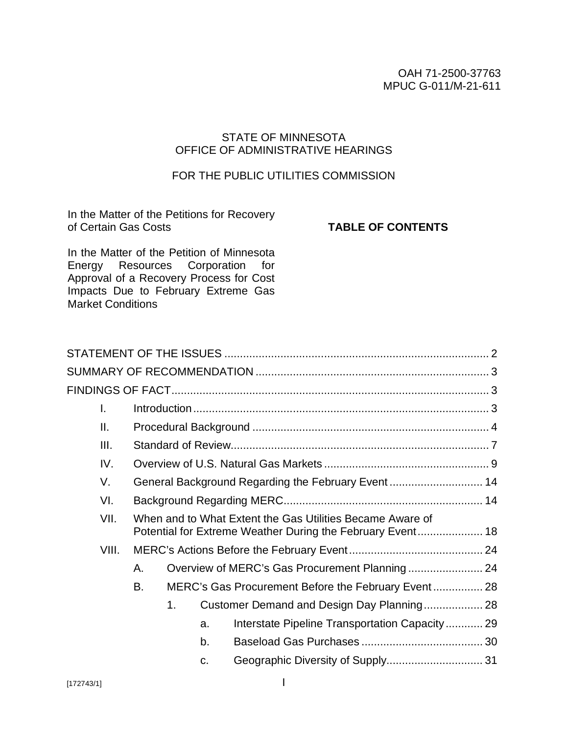#### OAH 71-2500-37763 MPUC G-011/M-21-611

# STATE OF MINNESOTA OFFICE OF ADMINISTRATIVE HEARINGS

# FOR THE PUBLIC UTILITIES COMMISSION

In the Matter of the Petitions for Recovery of Certain Gas Costs

#### **TABLE OF CONTENTS**

In the Matter of the Petition of Minnesota Energy Resources Corporation for Approval of a Recovery Process for Cost Impacts Due to February Extreme Gas Market Conditions

| L.              |                                                                                                                         |                |    |                                                     |  |  |
|-----------------|-------------------------------------------------------------------------------------------------------------------------|----------------|----|-----------------------------------------------------|--|--|
| $\mathbf{II}$ . |                                                                                                                         |                |    |                                                     |  |  |
| III.            |                                                                                                                         |                |    |                                                     |  |  |
| IV.             |                                                                                                                         |                |    |                                                     |  |  |
| V.              |                                                                                                                         |                |    | General Background Regarding the February Event 14  |  |  |
| VI.             |                                                                                                                         |                |    |                                                     |  |  |
| VII.            | When and to What Extent the Gas Utilities Became Aware of<br>Potential for Extreme Weather During the February Event 18 |                |    |                                                     |  |  |
| VIII.           |                                                                                                                         |                |    |                                                     |  |  |
|                 | Α.                                                                                                                      |                |    |                                                     |  |  |
|                 | В.                                                                                                                      |                |    | MERC's Gas Procurement Before the February Event 28 |  |  |
|                 |                                                                                                                         | 1 <sub>1</sub> |    | Customer Demand and Design Day Planning 28          |  |  |
|                 |                                                                                                                         |                | a. | Interstate Pipeline Transportation Capacity 29      |  |  |
|                 |                                                                                                                         |                | b. |                                                     |  |  |
|                 |                                                                                                                         |                | C. |                                                     |  |  |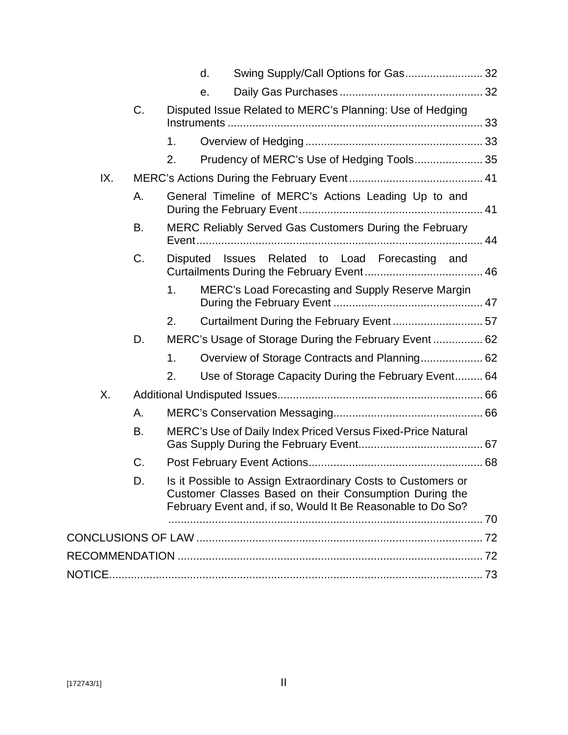|     |    |                | d. |                                                                                                                                                                                       |  |
|-----|----|----------------|----|---------------------------------------------------------------------------------------------------------------------------------------------------------------------------------------|--|
|     |    |                | е. |                                                                                                                                                                                       |  |
|     | C. |                |    | Disputed Issue Related to MERC's Planning: Use of Hedging                                                                                                                             |  |
|     |    | 1.             |    |                                                                                                                                                                                       |  |
|     |    | 2.             |    | Prudency of MERC's Use of Hedging Tools 35                                                                                                                                            |  |
| IX. |    |                |    |                                                                                                                                                                                       |  |
|     | А. |                |    | General Timeline of MERC's Actions Leading Up to and                                                                                                                                  |  |
|     | В. |                |    | MERC Reliably Served Gas Customers During the February                                                                                                                                |  |
|     | C. |                |    | Disputed Issues Related to Load Forecasting and                                                                                                                                       |  |
|     |    | 1 <sub>1</sub> |    | MERC's Load Forecasting and Supply Reserve Margin                                                                                                                                     |  |
|     |    | 2.             |    |                                                                                                                                                                                       |  |
|     | D. |                |    | MERC's Usage of Storage During the February Event 62                                                                                                                                  |  |
|     |    | 1.             |    |                                                                                                                                                                                       |  |
|     |    | 2.             |    | Use of Storage Capacity During the February Event 64                                                                                                                                  |  |
| Χ.  |    |                |    |                                                                                                                                                                                       |  |
|     | А. |                |    |                                                                                                                                                                                       |  |
|     | В. |                |    | MERC's Use of Daily Index Priced Versus Fixed-Price Natural                                                                                                                           |  |
|     | C. |                |    |                                                                                                                                                                                       |  |
|     | D. |                |    | Is it Possible to Assign Extraordinary Costs to Customers or<br>Customer Classes Based on their Consumption During the<br>February Event and, if so, Would It Be Reasonable to Do So? |  |
|     |    |                |    |                                                                                                                                                                                       |  |
|     |    |                |    |                                                                                                                                                                                       |  |
|     |    |                |    |                                                                                                                                                                                       |  |
|     |    |                |    |                                                                                                                                                                                       |  |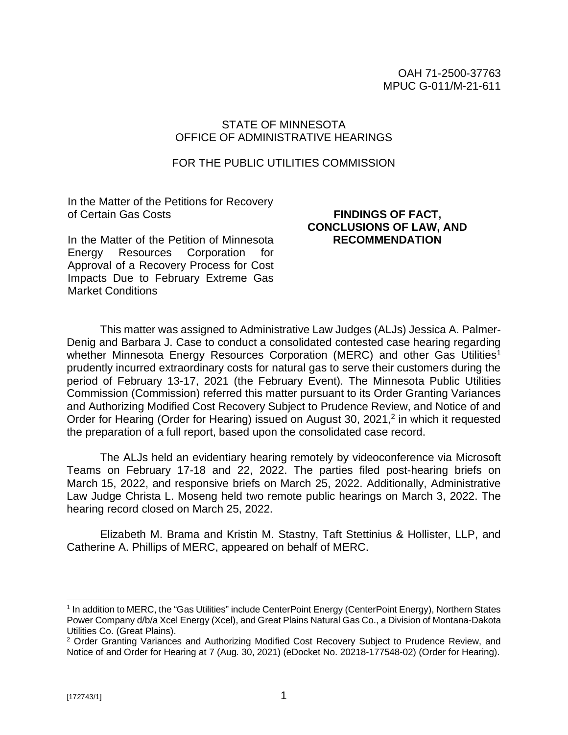## STATE OF MINNESOTA OFFICE OF ADMINISTRATIVE HEARINGS

#### FOR THE PUBLIC UTILITIES COMMISSION

In the Matter of the Petitions for Recovery of Certain Gas Costs

In the Matter of the Petition of Minnesota Energy Resources Corporation for Approval of a Recovery Process for Cost Impacts Due to February Extreme Gas Market Conditions

# **FINDINGS OF FACT, CONCLUSIONS OF LAW, AND RECOMMENDATION**

This matter was assigned to Administrative Law Judges (ALJs) Jessica A. Palmer-Denig and Barbara J. Case to conduct a consolidated contested case hearing regarding whether Minnesota Energy Resources Corporation (MERC) and other Gas Utilities<sup>1</sup> prudently incurred extraordinary costs for natural gas to serve their customers during the period of February 13-17, 2021 (the February Event). The Minnesota Public Utilities Commission (Commission) referred this matter pursuant to its Order Granting Variances and Authorizing Modified Cost Recovery Subject to Prudence Review, and Notice of and Order for Hearing (Order for Hearing) issued on August 30, 2021,<sup>2</sup> in which it requested the preparation of a full report, based upon the consolidated case record.

The ALJs held an evidentiary hearing remotely by videoconference via Microsoft Teams on February 17-18 and 22, 2022. The parties filed post-hearing briefs on March 15, 2022, and responsive briefs on March 25, 2022. Additionally, Administrative Law Judge Christa L. Moseng held two remote public hearings on March 3, 2022. The hearing record closed on March 25, 2022.

Elizabeth M. Brama and Kristin M. Stastny, Taft Stettinius & Hollister, LLP, and Catherine A. Phillips of MERC, appeared on behalf of MERC.

<sup>&</sup>lt;sup>1</sup> In addition to MERC, the "Gas Utilities" include CenterPoint Energy (CenterPoint Energy), Northern States Power Company d/b/a Xcel Energy (Xcel), and Great Plains Natural Gas Co., a Division of Montana-Dakota Utilities Co. (Great Plains).

<sup>&</sup>lt;sup>2</sup> Order Granting Variances and Authorizing Modified Cost Recovery Subject to Prudence Review, and Notice of and Order for Hearing at 7 (Aug. 30, 2021) (eDocket No. 20218-177548-02) (Order for Hearing).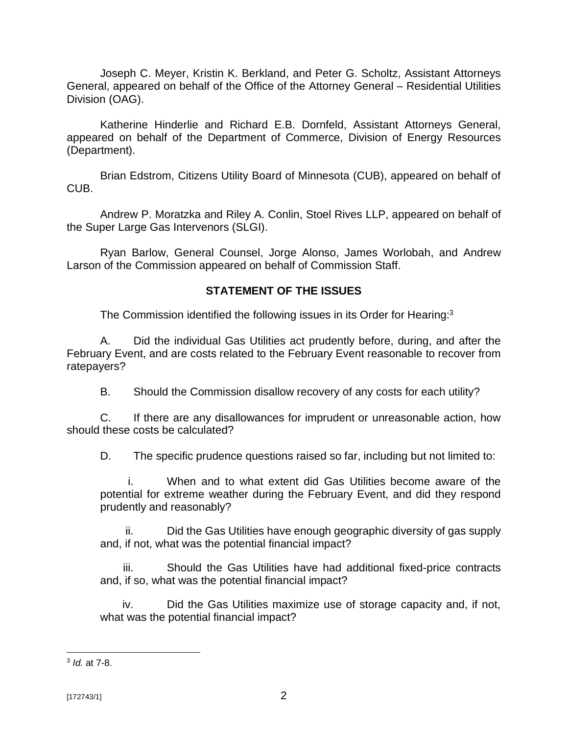Joseph C. Meyer, Kristin K. Berkland, and Peter G. Scholtz, Assistant Attorneys General, appeared on behalf of the Office of the Attorney General – Residential Utilities Division (OAG).

Katherine Hinderlie and Richard E.B. Dornfeld, Assistant Attorneys General, appeared on behalf of the Department of Commerce, Division of Energy Resources (Department).

Brian Edstrom, Citizens Utility Board of Minnesota (CUB), appeared on behalf of CUB.

Andrew P. Moratzka and Riley A. Conlin, Stoel Rives LLP, appeared on behalf of the Super Large Gas Intervenors (SLGI).

Ryan Barlow, General Counsel, Jorge Alonso, James Worlobah, and Andrew Larson of the Commission appeared on behalf of Commission Staff.

# **STATEMENT OF THE ISSUES**

The Commission identified the following issues in its Order for Hearing:<sup>3</sup>

A. Did the individual Gas Utilities act prudently before, during, and after the February Event, and are costs related to the February Event reasonable to recover from ratepayers?

B. Should the Commission disallow recovery of any costs for each utility?

C. If there are any disallowances for imprudent or unreasonable action, how should these costs be calculated?

D. The specific prudence questions raised so far, including but not limited to:

i. When and to what extent did Gas Utilities become aware of the potential for extreme weather during the February Event, and did they respond prudently and reasonably?

ii. Did the Gas Utilities have enough geographic diversity of gas supply and, if not, what was the potential financial impact?

iii. Should the Gas Utilities have had additional fixed-price contracts and, if so, what was the potential financial impact?

iv. Did the Gas Utilities maximize use of storage capacity and, if not, what was the potential financial impact?

<sup>3</sup> *Id.* at 7-8.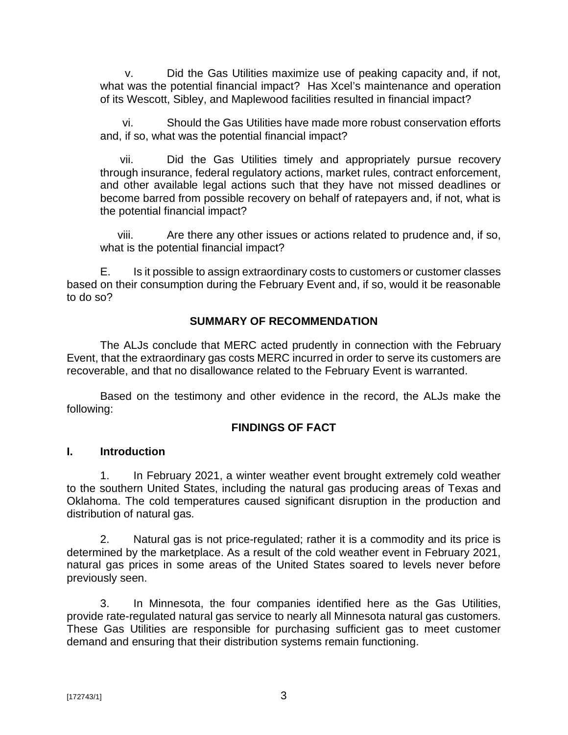v. Did the Gas Utilities maximize use of peaking capacity and, if not, what was the potential financial impact? Has Xcel's maintenance and operation of its Wescott, Sibley, and Maplewood facilities resulted in financial impact?

vi. Should the Gas Utilities have made more robust conservation efforts and, if so, what was the potential financial impact?

vii. Did the Gas Utilities timely and appropriately pursue recovery through insurance, federal regulatory actions, market rules, contract enforcement, and other available legal actions such that they have not missed deadlines or become barred from possible recovery on behalf of ratepayers and, if not, what is the potential financial impact?

viii. Are there any other issues or actions related to prudence and, if so, what is the potential financial impact?

E. Is it possible to assign extraordinary costs to customers or customer classes based on their consumption during the February Event and, if so, would it be reasonable to do so?

# **SUMMARY OF RECOMMENDATION**

The ALJs conclude that MERC acted prudently in connection with the February Event, that the extraordinary gas costs MERC incurred in order to serve its customers are recoverable, and that no disallowance related to the February Event is warranted.

Based on the testimony and other evidence in the record, the ALJs make the following:

## **FINDINGS OF FACT**

## **I. Introduction**

1. In February 2021, a winter weather event brought extremely cold weather to the southern United States, including the natural gas producing areas of Texas and Oklahoma. The cold temperatures caused significant disruption in the production and distribution of natural gas.

2. Natural gas is not price-regulated; rather it is a commodity and its price is determined by the marketplace. As a result of the cold weather event in February 2021, natural gas prices in some areas of the United States soared to levels never before previously seen.

3. In Minnesota, the four companies identified here as the Gas Utilities, provide rate-regulated natural gas service to nearly all Minnesota natural gas customers. These Gas Utilities are responsible for purchasing sufficient gas to meet customer demand and ensuring that their distribution systems remain functioning.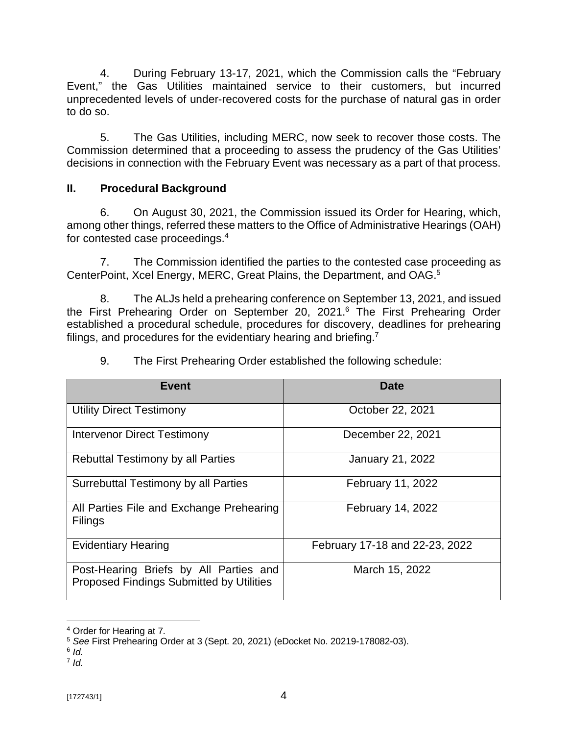4. During February 13-17, 2021, which the Commission calls the "February Event," the Gas Utilities maintained service to their customers, but incurred unprecedented levels of under-recovered costs for the purchase of natural gas in order to do so.

5. The Gas Utilities, including MERC, now seek to recover those costs. The Commission determined that a proceeding to assess the prudency of the Gas Utilities' decisions in connection with the February Event was necessary as a part of that process.

# **II. Procedural Background**

6. On August 30, 2021, the Commission issued its Order for Hearing, which, among other things, referred these matters to the Office of Administrative Hearings (OAH) for contested case proceedings.<sup>4</sup>

7. The Commission identified the parties to the contested case proceeding as CenterPoint, Xcel Energy, MERC, Great Plains, the Department, and OAG.<sup>5</sup>

8. The ALJs held a prehearing conference on September 13, 2021, and issued the First Prehearing Order on September 20, 2021.<sup>6</sup> The First Prehearing Order established a procedural schedule, procedures for discovery, deadlines for prehearing filings, and procedures for the evidentiary hearing and briefing.<sup>7</sup>

| <b>Event</b>                                                                       | Date                           |
|------------------------------------------------------------------------------------|--------------------------------|
| <b>Utility Direct Testimony</b>                                                    | October 22, 2021               |
| <b>Intervenor Direct Testimony</b>                                                 | December 22, 2021              |
| <b>Rebuttal Testimony by all Parties</b>                                           | <b>January 21, 2022</b>        |
| Surrebuttal Testimony by all Parties                                               | February 11, 2022              |
| All Parties File and Exchange Prehearing<br><b>Filings</b>                         | <b>February 14, 2022</b>       |
| <b>Evidentiary Hearing</b>                                                         | February 17-18 and 22-23, 2022 |
| Post-Hearing Briefs by All Parties and<br>Proposed Findings Submitted by Utilities | March 15, 2022                 |

9. The First Prehearing Order established the following schedule:

<sup>4</sup> Order for Hearing at 7.

<sup>5</sup> *See* First Prehearing Order at 3 (Sept. 20, 2021) (eDocket No. 20219-178082-03).

<sup>6</sup> *Id.*

<sup>7</sup> *Id.*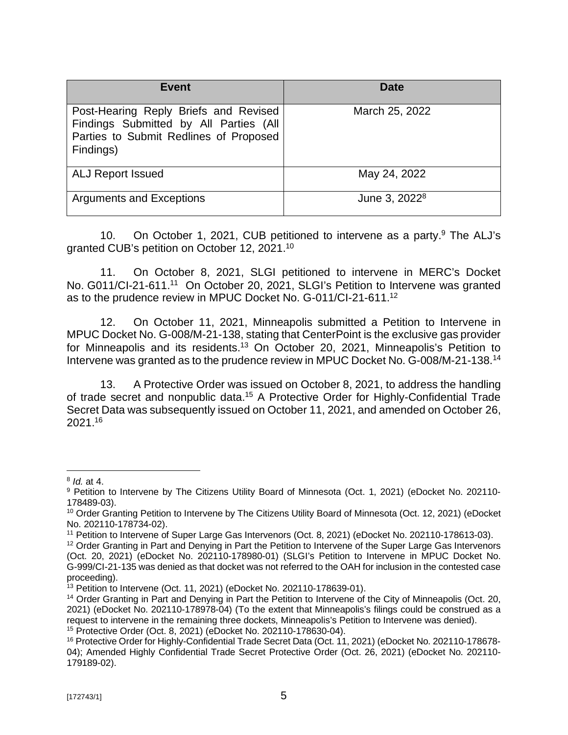| Event                                                                                                                                  | Date                      |
|----------------------------------------------------------------------------------------------------------------------------------------|---------------------------|
| Post-Hearing Reply Briefs and Revised<br>Findings Submitted by All Parties (All<br>Parties to Submit Redlines of Proposed<br>Findings) | March 25, 2022            |
| <b>ALJ Report Issued</b>                                                                                                               | May 24, 2022              |
| <b>Arguments and Exceptions</b>                                                                                                        | June 3, 2022 <sup>8</sup> |

10. On October 1, 2021, CUB petitioned to intervene as a party.<sup>9</sup> The ALJ's granted CUB's petition on October 12, 2021.<sup>10</sup>

11. On October 8, 2021, SLGI petitioned to intervene in MERC's Docket No. G011/CI-21-611.<sup>11</sup> On October 20, 2021, SLGI's Petition to Intervene was granted as to the prudence review in MPUC Docket No. G-011/CI-21-611.<sup>12</sup>

12. On October 11, 2021, Minneapolis submitted a Petition to Intervene in MPUC Docket No. G-008/M-21-138, stating that CenterPoint is the exclusive gas provider for Minneapolis and its residents.<sup>13</sup> On October 20, 2021, Minneapolis's Petition to Intervene was granted as to the prudence review in MPUC Docket No. G-008/M-21-138.<sup>14</sup>

13. A Protective Order was issued on October 8, 2021, to address the handling of trade secret and nonpublic data.<sup>15</sup> A Protective Order for Highly-Confidential Trade Secret Data was subsequently issued on October 11, 2021, and amended on October 26, 2021.<sup>16</sup>

<sup>8</sup> *Id.* at 4.

<sup>9</sup> Petition to Intervene by The Citizens Utility Board of Minnesota (Oct. 1, 2021) (eDocket No. 202110-178489-03).

<sup>&</sup>lt;sup>10</sup> Order Granting Petition to Intervene by The Citizens Utility Board of Minnesota (Oct. 12, 2021) (eDocket No. 202110-178734-02).

<sup>11</sup> Petition to Intervene of Super Large Gas Intervenors (Oct. 8, 2021) (eDocket No. 202110-178613-03).

<sup>&</sup>lt;sup>12</sup> Order Granting in Part and Denying in Part the Petition to Intervene of the Super Large Gas Intervenors (Oct. 20, 2021) (eDocket No. 202110-178980-01) (SLGI's Petition to Intervene in MPUC Docket No. G-999/CI-21-135 was denied as that docket was not referred to the OAH for inclusion in the contested case proceeding).

 $13$  Petition to Intervene (Oct. 11, 2021) (eDocket No. 202110-178639-01).

<sup>&</sup>lt;sup>14</sup> Order Granting in Part and Denying in Part the Petition to Intervene of the City of Minneapolis (Oct. 20, 2021) (eDocket No. 202110-178978-04) (To the extent that Minneapolis's filings could be construed as a request to intervene in the remaining three dockets, Minneapolis's Petition to Intervene was denied). <sup>15</sup> Protective Order (Oct. 8, 2021) (eDocket No. 202110-178630-04).

<sup>&</sup>lt;sup>16</sup> Protective Order for Highly-Confidential Trade Secret Data (Oct. 11, 2021) (eDocket No. 202110-178678-04); Amended Highly Confidential Trade Secret Protective Order (Oct. 26, 2021) (eDocket No. 202110- 179189-02).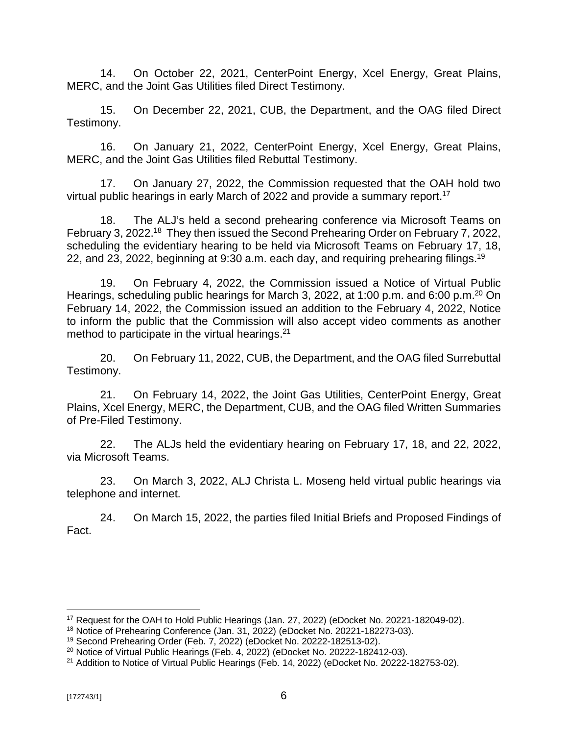14. On October 22, 2021, CenterPoint Energy, Xcel Energy, Great Plains, MERC, and the Joint Gas Utilities filed Direct Testimony.

15. On December 22, 2021, CUB, the Department, and the OAG filed Direct Testimony.

16. On January 21, 2022, CenterPoint Energy, Xcel Energy, Great Plains, MERC, and the Joint Gas Utilities filed Rebuttal Testimony.

17. On January 27, 2022, the Commission requested that the OAH hold two virtual public hearings in early March of 2022 and provide a summary report.<sup>17</sup>

18. The ALJ's held a second prehearing conference via Microsoft Teams on February 3, 2022.<sup>18</sup> They then issued the Second Prehearing Order on February 7, 2022, scheduling the evidentiary hearing to be held via Microsoft Teams on February 17, 18, 22, and 23, 2022, beginning at 9:30 a.m. each day, and requiring prehearing filings.<sup>19</sup>

19. On February 4, 2022, the Commission issued a Notice of Virtual Public Hearings, scheduling public hearings for March 3, 2022, at 1:00 p.m. and 6:00 p.m.<sup>20</sup> On February 14, 2022, the Commission issued an addition to the February 4, 2022, Notice to inform the public that the Commission will also accept video comments as another method to participate in the virtual hearings.<sup>21</sup>

20. On February 11, 2022, CUB, the Department, and the OAG filed Surrebuttal Testimony.

21. On February 14, 2022, the Joint Gas Utilities, CenterPoint Energy, Great Plains, Xcel Energy, MERC, the Department, CUB, and the OAG filed Written Summaries of Pre-Filed Testimony.

22. The ALJs held the evidentiary hearing on February 17, 18, and 22, 2022, via Microsoft Teams.

23. On March 3, 2022, ALJ Christa L. Moseng held virtual public hearings via telephone and internet.

24. On March 15, 2022, the parties filed Initial Briefs and Proposed Findings of Fact.

<sup>17</sup> Request for the OAH to Hold Public Hearings (Jan. 27, 2022) (eDocket No. 20221-182049-02).

<sup>18</sup> Notice of Prehearing Conference (Jan. 31, 2022) (eDocket No. 20221-182273-03).

<sup>19</sup> Second Prehearing Order (Feb. 7, 2022) (eDocket No. 20222-182513-02).

 $20$  Notice of Virtual Public Hearings (Feb. 4, 2022) (eDocket No. 20222-182412-03).

<sup>&</sup>lt;sup>21</sup> Addition to Notice of Virtual Public Hearings (Feb. 14, 2022) (eDocket No. 20222-182753-02).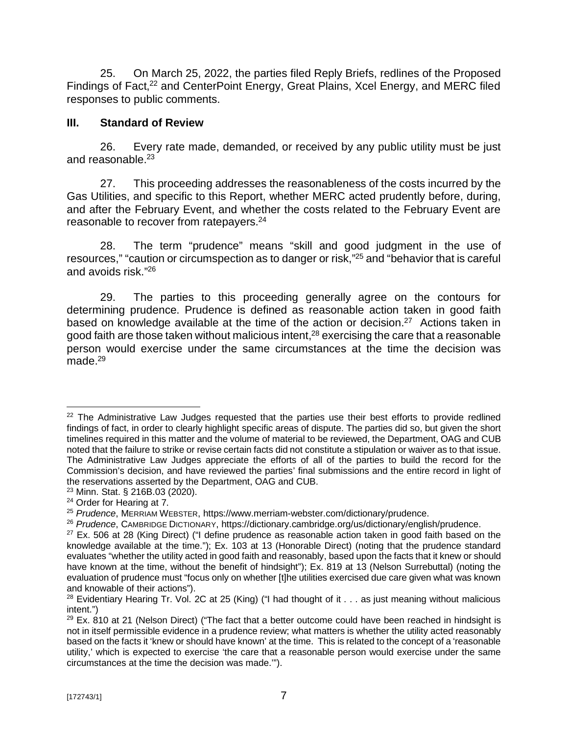25. On March 25, 2022, the parties filed Reply Briefs, redlines of the Proposed Findings of Fact,<sup>22</sup> and CenterPoint Energy, Great Plains, Xcel Energy, and MERC filed responses to public comments.

## **III. Standard of Review**

26. Every rate made, demanded, or received by any public utility must be just and reasonable.<sup>23</sup>

27. This proceeding addresses the reasonableness of the costs incurred by the Gas Utilities, and specific to this Report, whether MERC acted prudently before, during, and after the February Event, and whether the costs related to the February Event are reasonable to recover from ratepayers.<sup>24</sup>

28. The term "prudence" means "skill and good judgment in the use of resources," "caution or circumspection as to danger or risk,"<sup>25</sup> and "behavior that is careful and avoids risk." 26

29. The parties to this proceeding generally agree on the contours for determining prudence. Prudence is defined as reasonable action taken in good faith based on knowledge available at the time of the action or decision.<sup>27</sup> Actions taken in good faith are those taken without malicious intent,<sup>28</sup> exercising the care that a reasonable person would exercise under the same circumstances at the time the decision was made $^{29}$ 

 $22$  The Administrative Law Judges requested that the parties use their best efforts to provide redlined findings of fact, in order to clearly highlight specific areas of dispute. The parties did so, but given the short timelines required in this matter and the volume of material to be reviewed, the Department, OAG and CUB noted that the failure to strike or revise certain facts did not constitute a stipulation or waiver as to that issue. The Administrative Law Judges appreciate the efforts of all of the parties to build the record for the Commission's decision, and have reviewed the parties' final submissions and the entire record in light of the reservations asserted by the Department, OAG and CUB.

<sup>23</sup> Minn. Stat. § 216B.03 (2020).

<sup>&</sup>lt;sup>24</sup> Order for Hearing at 7.

<sup>25</sup> *Prudence*, MERRIAM WEBSTER,<https://www.merriam-webster.com/dictionary/prudence.>

<sup>26</sup> *Prudence*, CAMBRIDGE DICTIONARY, <https://dictionary.cambridge.org/us/dictionary/english/prudence.>

 $27$  Ex. 506 at 28 (King Direct) ("I define prudence as reasonable action taken in good faith based on the knowledge available at the time."); Ex. 103 at 13 (Honorable Direct) (noting that the prudence standard evaluates "whether the utility acted in good faith and reasonably, based upon the facts that it knew or should have known at the time, without the benefit of hindsight"); Ex. 819 at 13 (Nelson Surrebuttal) (noting the evaluation of prudence must "focus only on whether [t]he utilities exercised due care given what was known and knowable of their actions").

<sup>&</sup>lt;sup>28</sup> Evidentiary Hearing Tr. Vol. 2C at 25 (King) ("I had thought of it  $\ldots$  as just meaning without malicious intent.")

 $29$  Ex. 810 at 21 (Nelson Direct) ("The fact that a better outcome could have been reached in hindsight is not in itself permissible evidence in a prudence review; what matters is whether the utility acted reasonably based on the facts it 'knew or should have known' at the time. This is related to the concept of a 'reasonable utility,' which is expected to exercise 'the care that a reasonable person would exercise under the same circumstances at the time the decision was made.'").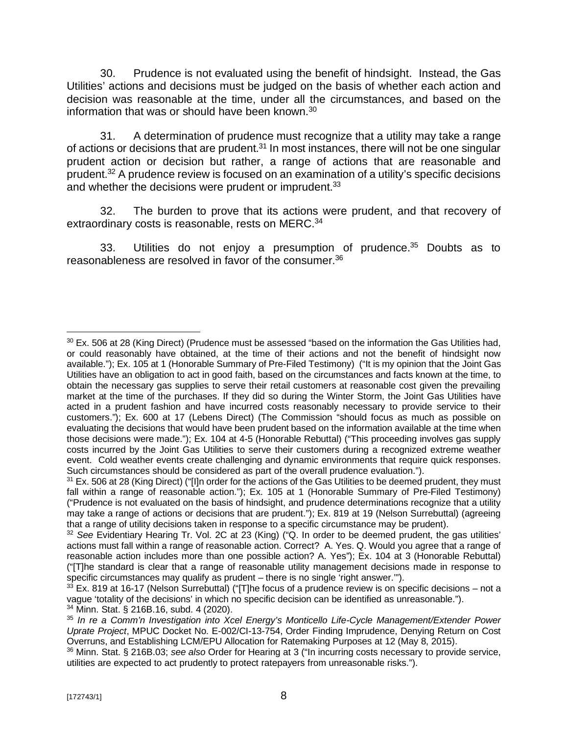30. Prudence is not evaluated using the benefit of hindsight. Instead, the Gas Utilities' actions and decisions must be judged on the basis of whether each action and decision was reasonable at the time, under all the circumstances, and based on the information that was or should have been known.<sup>30</sup>

31. A determination of prudence must recognize that a utility may take a range of actions or decisions that are prudent.<sup>31</sup> In most instances, there will not be one singular prudent action or decision but rather, a range of actions that are reasonable and prudent.<sup>32</sup> A prudence review is focused on an examination of a utility's specific decisions and whether the decisions were prudent or imprudent.<sup>33</sup>

32. The burden to prove that its actions were prudent, and that recovery of extraordinary costs is reasonable, rests on MERC.<sup>34</sup>

33. Utilities do not enjoy a presumption of prudence.<sup>35</sup> Doubts as to reasonableness are resolved in favor of the consumer.<sup>36</sup>

<sup>&</sup>lt;sup>30</sup> Ex. 506 at 28 (King Direct) (Prudence must be assessed "based on the information the Gas Utilities had, or could reasonably have obtained, at the time of their actions and not the benefit of hindsight now available."); Ex. 105 at 1 (Honorable Summary of Pre-Filed Testimony) ("It is my opinion that the Joint Gas Utilities have an obligation to act in good faith, based on the circumstances and facts known at the time, to obtain the necessary gas supplies to serve their retail customers at reasonable cost given the prevailing market at the time of the purchases. If they did so during the Winter Storm, the Joint Gas Utilities have acted in a prudent fashion and have incurred costs reasonably necessary to provide service to their customers."); Ex. 600 at 17 (Lebens Direct) (The Commission "should focus as much as possible on evaluating the decisions that would have been prudent based on the information available at the time when those decisions were made."); Ex. 104 at 4-5 (Honorable Rebuttal) ("This proceeding involves gas supply costs incurred by the Joint Gas Utilities to serve their customers during a recognized extreme weather event. Cold weather events create challenging and dynamic environments that require quick responses. Such circumstances should be considered as part of the overall prudence evaluation.").

<sup>&</sup>lt;sup>31</sup> Ex. 506 at 28 (King Direct) ("Illn order for the actions of the Gas Utilities to be deemed prudent, they must fall within a range of reasonable action."); Ex. 105 at 1 (Honorable Summary of Pre-Filed Testimony) ("Prudence is not evaluated on the basis of hindsight, and prudence determinations recognize that a utility may take a range of actions or decisions that are prudent."); Ex. 819 at 19 (Nelson Surrebuttal) (agreeing that a range of utility decisions taken in response to a specific circumstance may be prudent).

<sup>32</sup> *See* Evidentiary Hearing Tr. Vol. 2C at 23 (King) ("Q. In order to be deemed prudent, the gas utilities' actions must fall within a range of reasonable action. Correct? A. Yes. Q. Would you agree that a range of reasonable action includes more than one possible action? A. Yes"); Ex. 104 at 3 (Honorable Rebuttal) ("[T]he standard is clear that a range of reasonable utility management decisions made in response to specific circumstances may qualify as prudent – there is no single 'right answer.'").

 $33$  Ex. 819 at 16-17 (Nelson Surrebuttal) ("[T]he focus of a prudence review is on specific decisions – not a vague 'totality of the decisions' in which no specific decision can be identified as unreasonable."). <sup>34</sup> Minn. Stat. § 216B.16, subd. 4 (2020).

<sup>35</sup> *In re a Comm'n Investigation into Xcel Energy's Monticello Life-Cycle Management/Extender Power Uprate Project*, MPUC Docket No. E-002/CI-13-754, Order Finding Imprudence, Denying Return on Cost Overruns, and Establishing LCM/EPU Allocation for Ratemaking Purposes at 12 (May 8, 2015).

<sup>36</sup> Minn. Stat. § 216B.03; *see also* Order for Hearing at 3 ("In incurring costs necessary to provide service, utilities are expected to act prudently to protect ratepayers from unreasonable risks.").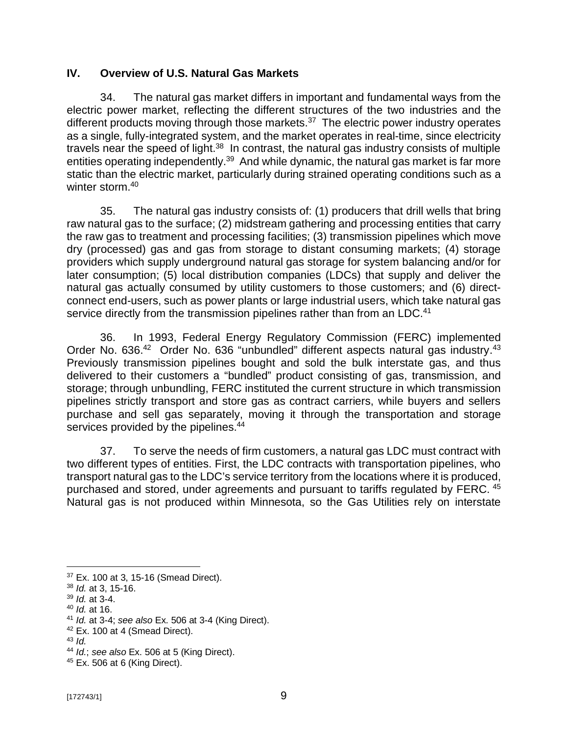# **IV. Overview of U.S. Natural Gas Markets**

34. The natural gas market differs in important and fundamental ways from the electric power market, reflecting the different structures of the two industries and the different products moving through those markets.<sup>37</sup> The electric power industry operates as a single, fully-integrated system, and the market operates in real-time, since electricity travels near the speed of light.<sup>38</sup> In contrast, the natural gas industry consists of multiple entities operating independently.<sup>39</sup> And while dynamic, the natural gas market is far more static than the electric market, particularly during strained operating conditions such as a winter storm.<sup>40</sup>

35. The natural gas industry consists of: (1) producers that drill wells that bring raw natural gas to the surface; (2) midstream gathering and processing entities that carry the raw gas to treatment and processing facilities; (3) transmission pipelines which move dry (processed) gas and gas from storage to distant consuming markets; (4) storage providers which supply underground natural gas storage for system balancing and/or for later consumption; (5) local distribution companies (LDCs) that supply and deliver the natural gas actually consumed by utility customers to those customers; and (6) directconnect end-users, such as power plants or large industrial users, which take natural gas service directly from the transmission pipelines rather than from an LDC.<sup>41</sup>

36. In 1993, Federal Energy Regulatory Commission (FERC) implemented Order No. 636.<sup>42</sup> Order No. 636 "unbundled" different aspects natural gas industry.<sup>43</sup> Previously transmission pipelines bought and sold the bulk interstate gas, and thus delivered to their customers a "bundled" product consisting of gas, transmission, and storage; through unbundling, FERC instituted the current structure in which transmission pipelines strictly transport and store gas as contract carriers, while buyers and sellers purchase and sell gas separately, moving it through the transportation and storage services provided by the pipelines.<sup>44</sup>

37. To serve the needs of firm customers, a natural gas LDC must contract with two different types of entities. First, the LDC contracts with transportation pipelines, who transport natural gas to the LDC's service territory from the locations where it is produced, purchased and stored, under agreements and pursuant to tariffs regulated by FERC. <sup>45</sup> Natural gas is not produced within Minnesota, so the Gas Utilities rely on interstate

<sup>37</sup> Ex. 100 at 3, 15-16 (Smead Direct).

<sup>38</sup> *Id.* at 3, 15-16.

<sup>39</sup> *Id.* at 3-4.

<sup>40</sup> *Id.* at 16.

<sup>41</sup> *Id.* at 3-4; *see also* Ex. 506 at 3-4 (King Direct).

 $42$  Ex. 100 at 4 (Smead Direct).

<sup>43</sup> *Id.*

<sup>44</sup> *Id.*; *see also* Ex. 506 at 5 (King Direct).

<sup>45</sup> Ex. 506 at 6 (King Direct).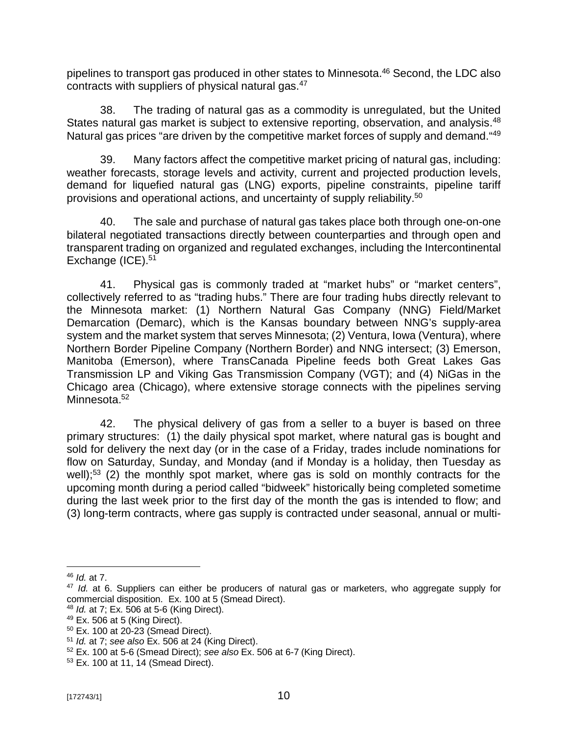pipelines to transport gas produced in other states to Minnesota.<sup>46</sup> Second, the LDC also contracts with suppliers of physical natural gas. $47$ 

38. The trading of natural gas as a commodity is unregulated, but the United States natural gas market is subject to extensive reporting, observation, and analysis.<sup>48</sup> Natural gas prices "are driven by the competitive market forces of supply and demand."<sup>49</sup>

39. Many factors affect the competitive market pricing of natural gas, including: weather forecasts, storage levels and activity, current and projected production levels, demand for liquefied natural gas (LNG) exports, pipeline constraints, pipeline tariff provisions and operational actions, and uncertainty of supply reliability.<sup>50</sup>

40. The sale and purchase of natural gas takes place both through one-on-one bilateral negotiated transactions directly between counterparties and through open and transparent trading on organized and regulated exchanges, including the Intercontinental Exchange (ICE).<sup>51</sup>

41. Physical gas is commonly traded at "market hubs" or "market centers", collectively referred to as "trading hubs." There are four trading hubs directly relevant to the Minnesota market: (1) Northern Natural Gas Company (NNG) Field/Market Demarcation (Demarc), which is the Kansas boundary between NNG's supply-area system and the market system that serves Minnesota; (2) Ventura, Iowa (Ventura), where Northern Border Pipeline Company (Northern Border) and NNG intersect; (3) Emerson, Manitoba (Emerson), where TransCanada Pipeline feeds both Great Lakes Gas Transmission LP and Viking Gas Transmission Company (VGT); and (4) NiGas in the Chicago area (Chicago), where extensive storage connects with the pipelines serving Minnesota.<sup>52</sup>

42. The physical delivery of gas from a seller to a buyer is based on three primary structures: (1) the daily physical spot market, where natural gas is bought and sold for delivery the next day (or in the case of a Friday, trades include nominations for flow on Saturday, Sunday, and Monday (and if Monday is a holiday, then Tuesday as well);<sup>53</sup> (2) the monthly spot market, where gas is sold on monthly contracts for the upcoming month during a period called "bidweek" historically being completed sometime during the last week prior to the first day of the month the gas is intended to flow; and (3) long-term contracts, where gas supply is contracted under seasonal, annual or multi-

<sup>46</sup> *Id.* at 7.

<sup>47</sup> *Id.* at 6. Suppliers can either be producers of natural gas or marketers, who aggregate supply for commercial disposition. Ex. 100 at 5 (Smead Direct).

<sup>48</sup> *Id.* at 7; Ex. 506 at 5-6 (King Direct).

<sup>49</sup> Ex. 506 at 5 (King Direct).

<sup>50</sup> Ex. 100 at 20-23 (Smead Direct).

<sup>51</sup> *Id.* at 7; *see also* Ex. 506 at 24 (King Direct).

<sup>52</sup> Ex. 100 at 5-6 (Smead Direct); *see also* Ex. 506 at 6-7 (King Direct).

<sup>53</sup> Ex. 100 at 11, 14 (Smead Direct).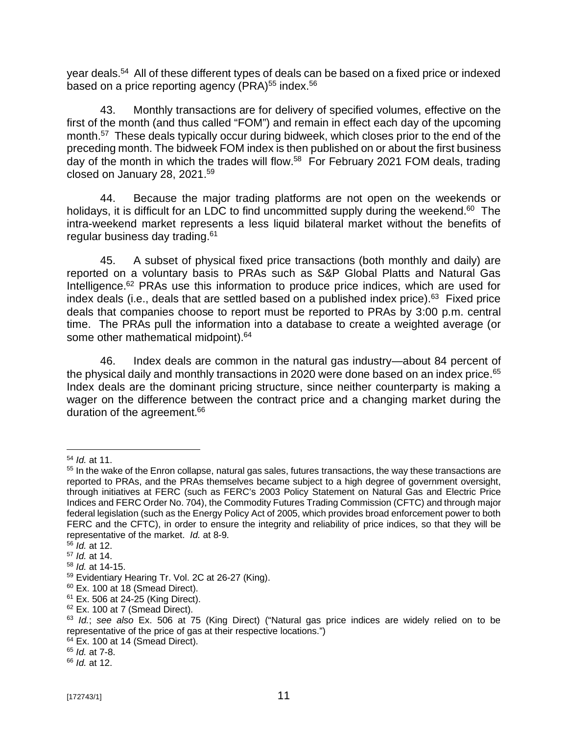year deals.<sup>54</sup> All of these different types of deals can be based on a fixed price or indexed based on a price reporting agency (PRA) $55$  index. $56$ 

43. Monthly transactions are for delivery of specified volumes, effective on the first of the month (and thus called "FOM") and remain in effect each day of the upcoming month.<sup>57</sup> These deals typically occur during bidweek, which closes prior to the end of the preceding month. The bidweek FOM index is then published on or about the first business day of the month in which the trades will flow.<sup>58</sup> For February 2021 FOM deals, trading closed on January 28, 2021.<sup>59</sup>

44. Because the major trading platforms are not open on the weekends or holidays, it is difficult for an LDC to find uncommitted supply during the weekend.<sup>60</sup> The intra-weekend market represents a less liquid bilateral market without the benefits of regular business day trading.<sup>61</sup>

45. A subset of physical fixed price transactions (both monthly and daily) are reported on a voluntary basis to PRAs such as S&P Global Platts and Natural Gas Intelligence.<sup>62</sup> PRAs use this information to produce price indices, which are used for index deals (i.e., deals that are settled based on a published index price).<sup>63</sup> Fixed price deals that companies choose to report must be reported to PRAs by 3:00 p.m. central time. The PRAs pull the information into a database to create a weighted average (or some other mathematical midpoint).<sup>64</sup>

46. Index deals are common in the natural gas industry—about 84 percent of the physical daily and monthly transactions in 2020 were done based on an index price.<sup>65</sup> Index deals are the dominant pricing structure, since neither counterparty is making a wager on the difference between the contract price and a changing market during the duration of the agreement.<sup>66</sup>

<sup>54</sup> *Id.* at 11.

<sup>&</sup>lt;sup>55</sup> In the wake of the Enron collapse, natural gas sales, futures transactions, the way these transactions are reported to PRAs, and the PRAs themselves became subject to a high degree of government oversight, through initiatives at FERC (such as FERC's 2003 Policy Statement on Natural Gas and Electric Price Indices and FERC Order No. 704), the Commodity Futures Trading Commission (CFTC) and through major federal legislation (such as the Energy Policy Act of 2005, which provides broad enforcement power to both FERC and the CFTC), in order to ensure the integrity and reliability of price indices, so that they will be representative of the market. *Id.* at 8-9.

<sup>56</sup> *Id.* at 12.

<sup>57</sup> *Id.* at 14.

<sup>58</sup> *Id.* at 14-15.

<sup>59</sup> Evidentiary Hearing Tr. Vol. 2C at 26-27 (King).

 $60$  Ex. 100 at 18 (Smead Direct).

 $61$  Ex. 506 at 24-25 (King Direct).

 $62$  Ex. 100 at 7 (Smead Direct).

<sup>63</sup> *Id.*; *see also* Ex. 506 at 75 (King Direct) ("Natural gas price indices are widely relied on to be representative of the price of gas at their respective locations.")

 $64$  Ex. 100 at 14 (Smead Direct).

<sup>65</sup> *Id.* at 7-8.

<sup>66</sup> *Id.* at 12.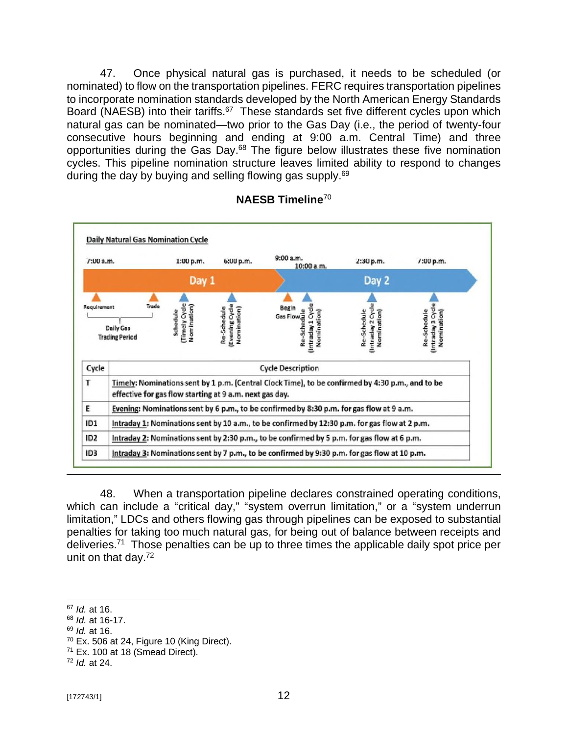47. Once physical natural gas is purchased, it needs to be scheduled (or nominated) to flow on the transportation pipelines. FERC requires transportation pipelines to incorporate nomination standards developed by the North American Energy Standards Board (NAESB) into their tariffs.<sup>67</sup> These standards set five different cycles upon which natural gas can be nominated—two prior to the Gas Day (i.e., the period of twenty-four consecutive hours beginning and ending at 9:00 a.m. Central Time) and three opportunities during the Gas Day.<sup>68</sup> The figure below illustrates these five nomination cycles. This pipeline nomination structure leaves limited ability to respond to changes during the day by buying and selling flowing gas supply.<sup>69</sup>



# **NAESB Timeline**<sup>70</sup>

48. When a transportation pipeline declares constrained operating conditions, which can include a "critical day," "system overrun limitation," or a "system underrun limitation," LDCs and others flowing gas through pipelines can be exposed to substantial penalties for taking too much natural gas, for being out of balance between receipts and deliveries.<sup>71</sup> Those penalties can be up to three times the applicable daily spot price per unit on that day.<sup>72</sup>

<sup>69</sup> *Id.* at 16.

<sup>67</sup> *Id.* at 16.

<sup>68</sup> *Id.* at 16-17.

 $70$  Ex. 506 at 24, Figure 10 (King Direct).

 $71$  Ex. 100 at 18 (Smead Direct).

<sup>72</sup> *Id.* at 24.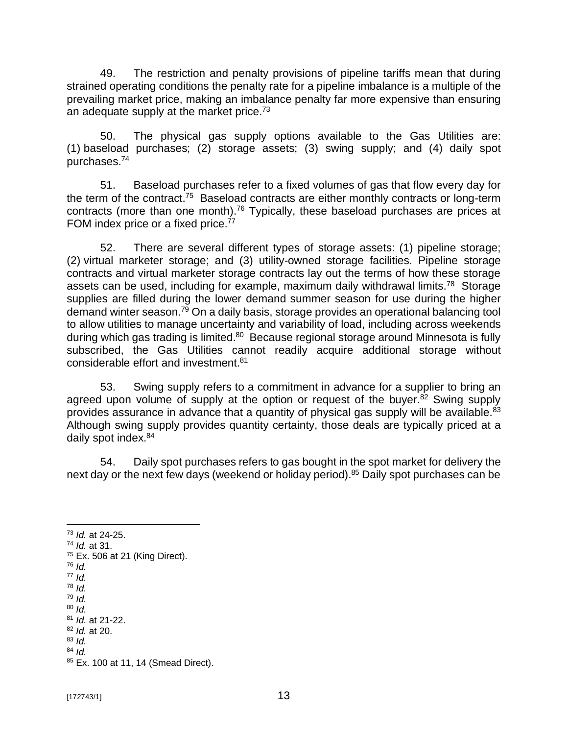49. The restriction and penalty provisions of pipeline tariffs mean that during strained operating conditions the penalty rate for a pipeline imbalance is a multiple of the prevailing market price, making an imbalance penalty far more expensive than ensuring an adequate supply at the market price.<sup>73</sup>

50. The physical gas supply options available to the Gas Utilities are: (1) baseload purchases; (2) storage assets; (3) swing supply; and (4) daily spot purchases.<sup>74</sup>

51. Baseload purchases refer to a fixed volumes of gas that flow every day for the term of the contract.<sup>75</sup> Baseload contracts are either monthly contracts or long-term contracts (more than one month).<sup>76</sup> Typically, these baseload purchases are prices at FOM index price or a fixed price.<sup>77</sup>

52. There are several different types of storage assets: (1) pipeline storage; (2) virtual marketer storage; and (3) utility-owned storage facilities. Pipeline storage contracts and virtual marketer storage contracts lay out the terms of how these storage assets can be used, including for example, maximum daily withdrawal limits.<sup>78</sup> Storage supplies are filled during the lower demand summer season for use during the higher demand winter season.<sup>79</sup> On a daily basis, storage provides an operational balancing tool to allow utilities to manage uncertainty and variability of load, including across weekends during which gas trading is limited.<sup>80</sup> Because regional storage around Minnesota is fully subscribed, the Gas Utilities cannot readily acquire additional storage without considerable effort and investment.<sup>81</sup>

53. Swing supply refers to a commitment in advance for a supplier to bring an agreed upon volume of supply at the option or request of the buyer.<sup>82</sup> Swing supply provides assurance in advance that a quantity of physical gas supply will be available.<sup>83</sup> Although swing supply provides quantity certainty, those deals are typically priced at a daily spot index.<sup>84</sup>

54. Daily spot purchases refers to gas bought in the spot market for delivery the next day or the next few days (weekend or holiday period).<sup>85</sup> Daily spot purchases can be

- <sup>76</sup> *Id.*
- <sup>77</sup> *Id.* <sup>78</sup> *Id.*
- <sup>79</sup> *Id.*
- <sup>80</sup> *Id.*
- <sup>81</sup> *Id.* at 21-22.
- <sup>82</sup> *Id.* at 20.
- <sup>83</sup> *Id.* <sup>84</sup> *Id.*
- 85 Ex. 100 at 11, 14 (Smead Direct).

<sup>73</sup> *Id.* at 24-25.

<sup>74</sup> *Id.* at 31.

 $75$  Ex. 506 at 21 (King Direct).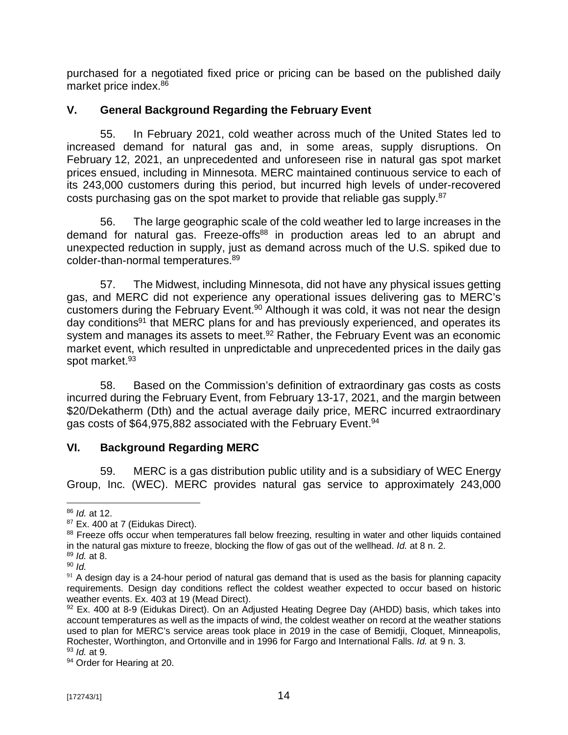purchased for a negotiated fixed price or pricing can be based on the published daily market price index.<sup>86</sup>

# **V. General Background Regarding the February Event**

55. In February 2021, cold weather across much of the United States led to increased demand for natural gas and, in some areas, supply disruptions. On February 12, 2021, an unprecedented and unforeseen rise in natural gas spot market prices ensued, including in Minnesota. MERC maintained continuous service to each of its 243,000 customers during this period, but incurred high levels of under-recovered costs purchasing gas on the spot market to provide that reliable gas supply.<sup>87</sup>

56. The large geographic scale of the cold weather led to large increases in the demand for natural gas. Freeze-offs<sup>88</sup> in production areas led to an abrupt and unexpected reduction in supply, just as demand across much of the U.S. spiked due to colder-than-normal temperatures.<sup>89</sup>

57. The Midwest, including Minnesota, did not have any physical issues getting gas, and MERC did not experience any operational issues delivering gas to MERC's customers during the February Event.<sup>90</sup> Although it was cold, it was not near the design day conditions<sup>91</sup> that MERC plans for and has previously experienced, and operates its system and manages its assets to meet.<sup>92</sup> Rather, the February Event was an economic market event, which resulted in unpredictable and unprecedented prices in the daily gas spot market.<sup>93</sup>

58. Based on the Commission's definition of extraordinary gas costs as costs incurred during the February Event, from February 13-17, 2021, and the margin between \$20/Dekatherm (Dth) and the actual average daily price, MERC incurred extraordinary gas costs of \$64,975,882 associated with the February Event.<sup>94</sup>

# **VI. Background Regarding MERC**

59. MERC is a gas distribution public utility and is a subsidiary of WEC Energy Group, Inc. (WEC). MERC provides natural gas service to approximately 243,000

<sup>86</sup> *Id.* at 12.

<sup>&</sup>lt;sup>87</sup> Ex. 400 at 7 (Eidukas Direct).

<sup>88</sup> Freeze offs occur when temperatures fall below freezing, resulting in water and other liquids contained in the natural gas mixture to freeze, blocking the flow of gas out of the wellhead. *Id.* at 8 n. 2.

<sup>89</sup> *Id.* at 8.

<sup>90</sup> *Id.*

 $91$  A design day is a 24-hour period of natural gas demand that is used as the basis for planning capacity requirements. Design day conditions reflect the coldest weather expected to occur based on historic weather events. Ex. 403 at 19 (Mead Direct).

<sup>92</sup> Ex. 400 at 8-9 (Eidukas Direct). On an Adjusted Heating Degree Day (AHDD) basis, which takes into account temperatures as well as the impacts of wind, the coldest weather on record at the weather stations used to plan for MERC's service areas took place in 2019 in the case of Bemidji, Cloquet, Minneapolis, Rochester, Worthington, and Ortonville and in 1996 for Fargo and International Falls. *Id.* at 9 n. 3. <sup>93</sup> *Id.* at 9.

<sup>94</sup> Order for Hearing at 20.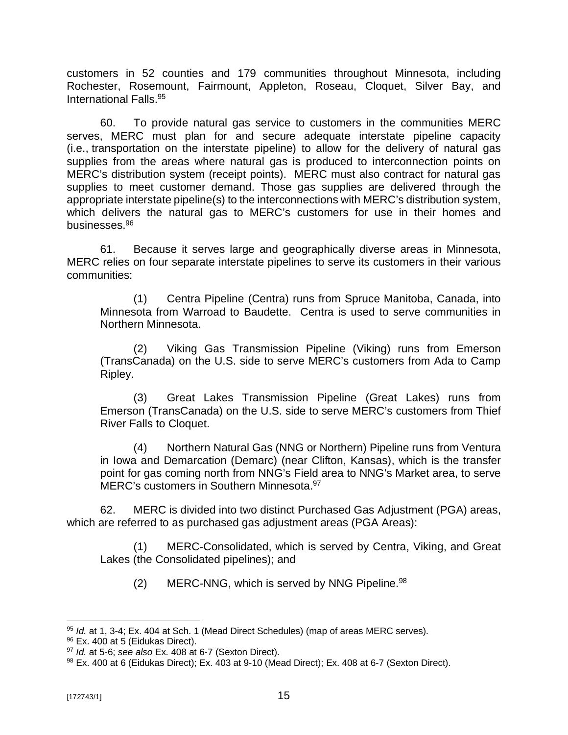customers in 52 counties and 179 communities throughout Minnesota, including Rochester, Rosemount, Fairmount, Appleton, Roseau, Cloquet, Silver Bay, and International Falls.<sup>95</sup>

60. To provide natural gas service to customers in the communities MERC serves, MERC must plan for and secure adequate interstate pipeline capacity (i.e., transportation on the interstate pipeline) to allow for the delivery of natural gas supplies from the areas where natural gas is produced to interconnection points on MERC's distribution system (receipt points). MERC must also contract for natural gas supplies to meet customer demand. Those gas supplies are delivered through the appropriate interstate pipeline(s) to the interconnections with MERC's distribution system, which delivers the natural gas to MERC's customers for use in their homes and businesses.<sup>96</sup>

61. Because it serves large and geographically diverse areas in Minnesota, MERC relies on four separate interstate pipelines to serve its customers in their various communities:

(1) Centra Pipeline (Centra) runs from Spruce Manitoba, Canada, into Minnesota from Warroad to Baudette. Centra is used to serve communities in Northern Minnesota.

(2) Viking Gas Transmission Pipeline (Viking) runs from Emerson (TransCanada) on the U.S. side to serve MERC's customers from Ada to Camp Ripley.

(3) Great Lakes Transmission Pipeline (Great Lakes) runs from Emerson (TransCanada) on the U.S. side to serve MERC's customers from Thief River Falls to Cloquet.

(4) Northern Natural Gas (NNG or Northern) Pipeline runs from Ventura in Iowa and Demarcation (Demarc) (near Clifton, Kansas), which is the transfer point for gas coming north from NNG's Field area to NNG's Market area, to serve MERC's customers in Southern Minnesota.<sup>97</sup>

62. MERC is divided into two distinct Purchased Gas Adjustment (PGA) areas, which are referred to as purchased gas adjustment areas (PGA Areas):

(1) MERC-Consolidated, which is served by Centra, Viking, and Great Lakes (the Consolidated pipelines); and

 $(2)$  MERC-NNG, which is served by NNG Pipeline.  $98$ 

<sup>95</sup> *Id.* at 1, 3-4; Ex. 404 at Sch. 1 (Mead Direct Schedules) (map of areas MERC serves).

<sup>96</sup> Ex. 400 at 5 (Eidukas Direct).

<sup>97</sup> *Id.* at 5-6; *see also* Ex. 408 at 6-7 (Sexton Direct).

<sup>98</sup> Ex. 400 at 6 (Eidukas Direct); Ex. 403 at 9-10 (Mead Direct); Ex. 408 at 6-7 (Sexton Direct).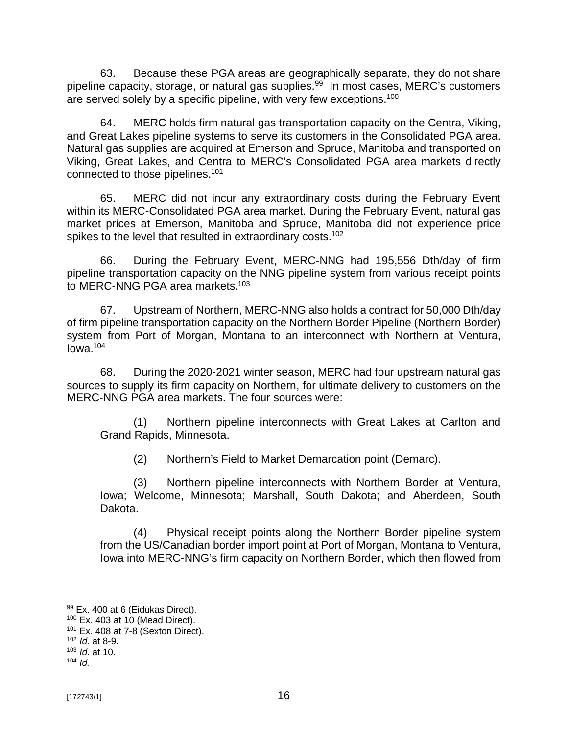63. Because these PGA areas are geographically separate, they do not share pipeline capacity, storage, or natural gas supplies.<sup>99</sup> In most cases, MERC's customers are served solely by a specific pipeline, with very few exceptions.<sup>100</sup>

64. MERC holds firm natural gas transportation capacity on the Centra, Viking, and Great Lakes pipeline systems to serve its customers in the Consolidated PGA area. Natural gas supplies are acquired at Emerson and Spruce, Manitoba and transported on Viking, Great Lakes, and Centra to MERC's Consolidated PGA area markets directly connected to those pipelines. 101

65. MERC did not incur any extraordinary costs during the February Event within its MERC-Consolidated PGA area market. During the February Event, natural gas market prices at Emerson, Manitoba and Spruce, Manitoba did not experience price spikes to the level that resulted in extraordinary costs.<sup>102</sup>

66. During the February Event, MERC-NNG had 195,556 Dth/day of firm pipeline transportation capacity on the NNG pipeline system from various receipt points to MERC-NNG PGA area markets.<sup>103</sup>

67. Upstream of Northern, MERC-NNG also holds a contract for 50,000 Dth/day of firm pipeline transportation capacity on the Northern Border Pipeline (Northern Border) system from Port of Morgan, Montana to an interconnect with Northern at Ventura,  $I<sub>0</sub>$  Iowa.<sup>104</sup>

68. During the 2020-2021 winter season, MERC had four upstream natural gas sources to supply its firm capacity on Northern, for ultimate delivery to customers on the MERC-NNG PGA area markets. The four sources were:

(1) Northern pipeline interconnects with Great Lakes at Carlton and Grand Rapids, Minnesota.

(2) Northern's Field to Market Demarcation point (Demarc).

(3) Northern pipeline interconnects with Northern Border at Ventura, Iowa; Welcome, Minnesota; Marshall, South Dakota; and Aberdeen, South Dakota.

(4) Physical receipt points along the Northern Border pipeline system from the US/Canadian border import point at Port of Morgan, Montana to Ventura, Iowa into MERC-NNG's firm capacity on Northern Border, which then flowed from

<sup>99</sup> Ex. 400 at 6 (Eidukas Direct).

 $100$  Ex. 403 at 10 (Mead Direct).

 $101$  Ex. 408 at 7-8 (Sexton Direct).

<sup>102</sup> *Id.* at 8-9.

<sup>103</sup> *Id.* at 10.

 $104$  *Id.*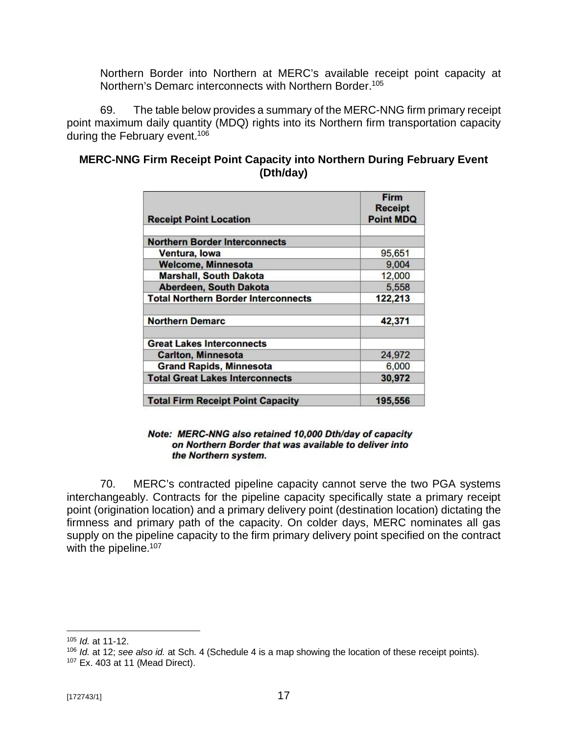Northern Border into Northern at MERC's available receipt point capacity at Northern's Demarc interconnects with Northern Border.<sup>105</sup>

69. The table below provides a summary of the MERC-NNG firm primary receipt point maximum daily quantity (MDQ) rights into its Northern firm transportation capacity during the February event.<sup>106</sup>

| <b>MERC-NNG Firm Receipt Point Capacity into Northern During February Event</b><br>(Dth/day) |  |
|----------------------------------------------------------------------------------------------|--|
|                                                                                              |  |

| <b>Receipt Point Location</b>              | <b>Firm</b><br><b>Receipt</b><br><b>Point MDQ</b> |  |  |
|--------------------------------------------|---------------------------------------------------|--|--|
| <b>Northern Border Interconnects</b>       |                                                   |  |  |
| Ventura, lowa                              | 95,651                                            |  |  |
| <b>Welcome, Minnesota</b>                  | 9,004                                             |  |  |
| <b>Marshall, South Dakota</b>              | 12,000                                            |  |  |
| Aberdeen, South Dakota                     | 5,558                                             |  |  |
| <b>Total Northern Border Interconnects</b> | 122,213                                           |  |  |
| <b>Northern Demarc</b>                     | 42,371                                            |  |  |
| <b>Great Lakes Interconnects</b>           |                                                   |  |  |
| <b>Carlton, Minnesota</b>                  | 24,972                                            |  |  |
| <b>Grand Rapids, Minnesota</b>             | 6,000                                             |  |  |
| <b>Total Great Lakes Interconnects</b>     | 30,972                                            |  |  |
| <b>Total Firm Receipt Point Capacity</b>   | 195,556                                           |  |  |

#### Note: MERC-NNG also retained 10,000 Dth/day of capacity on Northern Border that was available to deliver into the Northern system.

70. MERC's contracted pipeline capacity cannot serve the two PGA systems interchangeably. Contracts for the pipeline capacity specifically state a primary receipt point (origination location) and a primary delivery point (destination location) dictating the firmness and primary path of the capacity. On colder days, MERC nominates all gas supply on the pipeline capacity to the firm primary delivery point specified on the contract with the pipeline.<sup>107</sup>

<sup>105</sup> *Id.* at 11-12.

<sup>106</sup> *Id.* at 12; *see also id.* at Sch. 4 (Schedule 4 is a map showing the location of these receipt points).

<sup>107</sup> Ex. 403 at 11 (Mead Direct).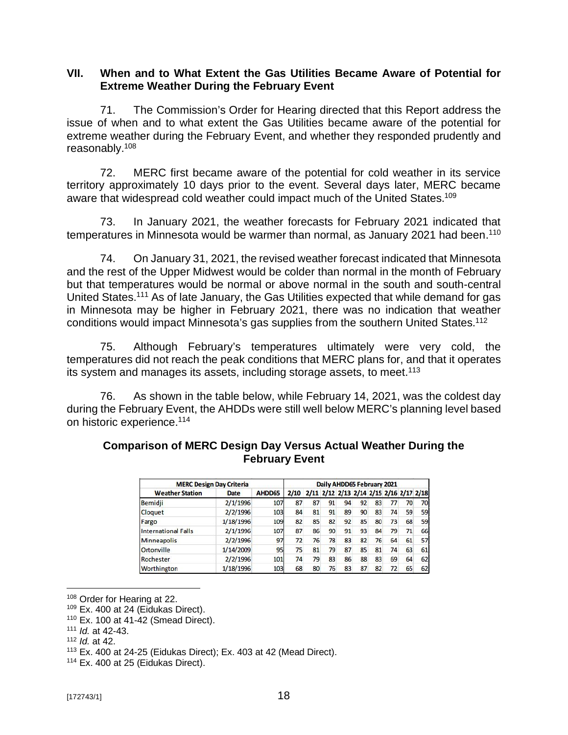#### **VII. When and to What Extent the Gas Utilities Became Aware of Potential for Extreme Weather During the February Event**

71. The Commission's Order for Hearing directed that this Report address the issue of when and to what extent the Gas Utilities became aware of the potential for extreme weather during the February Event, and whether they responded prudently and reasonably.<sup>108</sup>

72. MERC first became aware of the potential for cold weather in its service territory approximately 10 days prior to the event. Several days later, MERC became aware that widespread cold weather could impact much of the United States.<sup>109</sup>

73. In January 2021, the weather forecasts for February 2021 indicated that temperatures in Minnesota would be warmer than normal, as January 2021 had been.<sup>110</sup>

74. On January 31, 2021, the revised weather forecast indicated that Minnesota and the rest of the Upper Midwest would be colder than normal in the month of February but that temperatures would be normal or above normal in the south and south-central United States.<sup>111</sup> As of late January, the Gas Utilities expected that while demand for gas in Minnesota may be higher in February 2021, there was no indication that weather conditions would impact Minnesota's gas supplies from the southern United States.<sup>112</sup>

75. Although February's temperatures ultimately were very cold, the temperatures did not reach the peak conditions that MERC plans for, and that it operates its system and manages its assets, including storage assets, to meet.<sup>113</sup>

76. As shown in the table below, while February 14, 2021, was the coldest day during the February Event, the AHDDs were still well below MERC's planning level based on historic experience.<sup>114</sup>

| <b>MERC Design Day Criteria</b> |           |        | Daily AHDD65 February 2021 |                                              |    |    |    |    |    |    |    |
|---------------------------------|-----------|--------|----------------------------|----------------------------------------------|----|----|----|----|----|----|----|
| <b>Weather Station</b>          | Date      | AHDD65 |                            | 2/10 2/11 2/12 2/13 2/14 2/15 2/16 2/17 2/18 |    |    |    |    |    |    |    |
| Bemidji                         | 2/1/1996  | 107    | 87                         | 87                                           | 91 | 94 | 92 | 83 | 77 | 70 | 70 |
| Cloquet                         | 2/2/1996  | 103    | 84                         | 81                                           | 91 | 89 | 90 | 83 | 74 | 59 | 59 |
| Fargo                           | 1/18/1996 | 109    | 82                         | 85                                           | 82 | 92 | 85 | 80 | 73 | 68 | 59 |
| <b>International Falls</b>      | 2/1/1996  | 107    | 87                         | 86                                           | 90 | 91 | 93 | 84 | 79 | 71 | 66 |
| <b>Minneapolis</b>              | 2/2/1996  | 97     | 72                         | 76                                           | 78 | 83 | 82 | 76 | 64 | 61 | 57 |
| Ortonville                      | 1/14/2009 | 95     | 75                         | 81                                           | 79 | 87 | 85 | 81 | 74 | 63 | 61 |
| Rochester                       | 2/2/1996  | 101    | 74                         | 79                                           | 83 | 86 | 88 | 83 | 69 | 64 | 62 |
| Worthington                     | 1/18/1996 | 103    | 68                         | 80                                           | 76 | 83 | 87 | 82 | 72 | 65 | 62 |

# **Comparison of MERC Design Day Versus Actual Weather During the February Event**

<sup>108</sup> Order for Hearing at 22.

 $109$  Ex. 400 at 24 (Eidukas Direct).

<sup>110</sup> Ex. 100 at 41-42 (Smead Direct).

<sup>111</sup> *Id.* at 42-43.

<sup>112</sup> *Id.* at 42.

 $113$  Ex. 400 at 24-25 (Eidukas Direct); Ex. 403 at 42 (Mead Direct).

<sup>&</sup>lt;sup>114</sup> Ex. 400 at 25 (Eidukas Direct).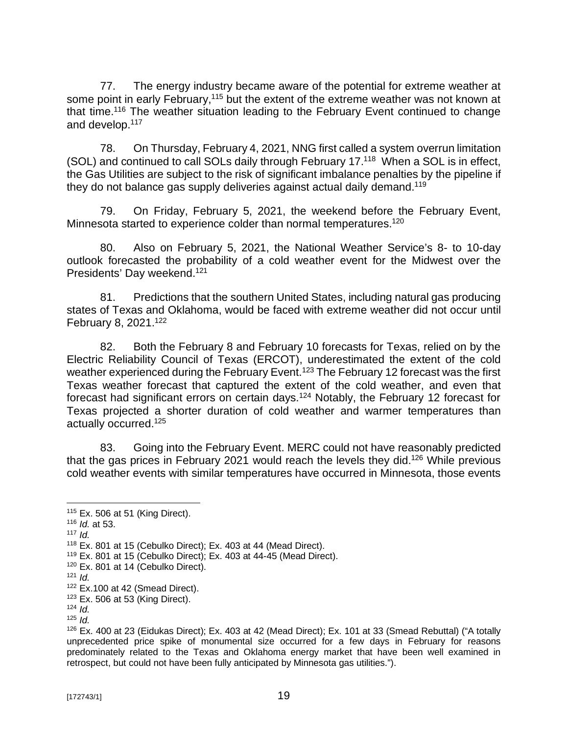77. The energy industry became aware of the potential for extreme weather at some point in early February,<sup>115</sup> but the extent of the extreme weather was not known at that time.<sup>116</sup> The weather situation leading to the February Event continued to change and develop.<sup>117</sup>

78. On Thursday, February 4, 2021, NNG first called a system overrun limitation (SOL) and continued to call SOLs daily through February 17.<sup>118</sup> When a SOL is in effect, the Gas Utilities are subject to the risk of significant imbalance penalties by the pipeline if they do not balance gas supply deliveries against actual daily demand.<sup>119</sup>

79. On Friday, February 5, 2021, the weekend before the February Event, Minnesota started to experience colder than normal temperatures.<sup>120</sup>

80. Also on February 5, 2021, the National Weather Service's 8- to 10-day outlook forecasted the probability of a cold weather event for the Midwest over the Presidents' Day weekend.<sup>121</sup>

81. Predictions that the southern United States, including natural gas producing states of Texas and Oklahoma, would be faced with extreme weather did not occur until February 8, 2021.<sup>122</sup>

82. Both the February 8 and February 10 forecasts for Texas, relied on by the Electric Reliability Council of Texas (ERCOT), underestimated the extent of the cold weather experienced during the February Event.<sup>123</sup> The February 12 forecast was the first Texas weather forecast that captured the extent of the cold weather, and even that forecast had significant errors on certain days.<sup>124</sup> Notably, the February 12 forecast for Texas projected a shorter duration of cold weather and warmer temperatures than actually occurred.<sup>125</sup>

83. Going into the February Event. MERC could not have reasonably predicted that the gas prices in February 2021 would reach the levels they did.<sup>126</sup> While previous cold weather events with similar temperatures have occurred in Minnesota, those events

<sup>117</sup> *Id.*

<sup>115</sup> Ex. 506 at 51 (King Direct).

<sup>116</sup> *Id.* at 53.

<sup>118</sup> Ex. 801 at 15 (Cebulko Direct); Ex. 403 at 44 (Mead Direct).

 $119$  Ex. 801 at 15 (Cebulko Direct); Ex. 403 at 44-45 (Mead Direct).

 $120$  Ex. 801 at 14 (Cebulko Direct).

<sup>121</sup> *Id.*

 $122$  Ex.100 at 42 (Smead Direct).

 $123$  Ex. 506 at 53 (King Direct).

 $124$  *Id.* 

<sup>125</sup> *Id.*

 $126$  Ex. 400 at 23 (Eidukas Direct); Ex. 403 at 42 (Mead Direct); Ex. 101 at 33 (Smead Rebuttal) ("A totally unprecedented price spike of monumental size occurred for a few days in February for reasons predominately related to the Texas and Oklahoma energy market that have been well examined in retrospect, but could not have been fully anticipated by Minnesota gas utilities.").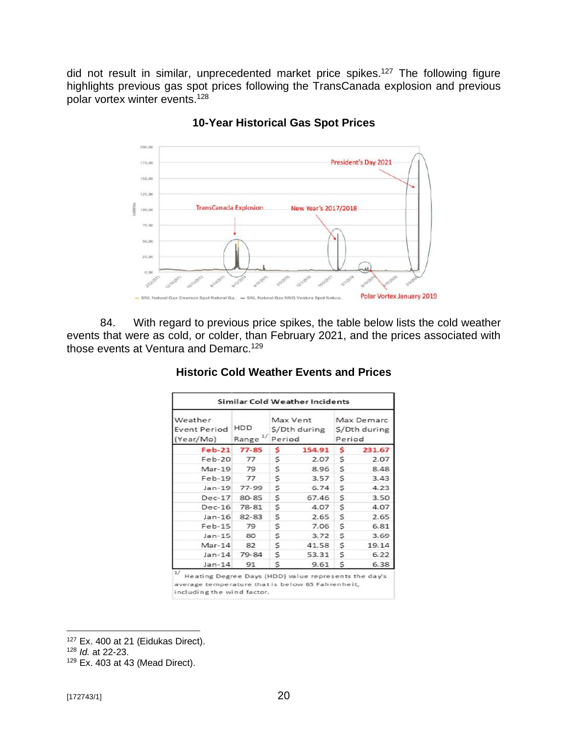did not result in similar, unprecedented market price spikes.<sup>127</sup> The following figure highlights previous gas spot prices following the TransCanada explosion and previous polar vortex winter events.<sup>128</sup>



# **10-Year Historical Gas Spot Prices**

84. With regard to previous price spikes, the table below lists the cold weather events that were as cold, or colder, than February 2021, and the prices associated with those events at Ventura and Demarc.<sup>129</sup>

| Weather<br><b>Event Period</b><br>(Year/Mo) | HDD<br>Range $^{1/2}$ | Period | Max Vent<br>\$/Dth during | Max Demarc<br>\$/Dth during<br>Period |        |  |
|---------------------------------------------|-----------------------|--------|---------------------------|---------------------------------------|--------|--|
| $Feb-21$                                    | 77-85                 | Ś      | 154.91                    | \$                                    | 231.67 |  |
| $Feb-20$                                    | 77                    | \$     | 2.07                      | S.                                    | 2.07   |  |
| Mar-19                                      | 79                    | S      | 8.96                      | S                                     | 8.48   |  |
| $Feb-19$                                    | 77                    | S      | 3.57                      | S                                     | 3.43   |  |
| $Jan-19$                                    | $77 - 99$             | s      | 6.74                      | S                                     | 4.23   |  |
| $Dec-17$                                    | 80-85                 | s      | 67.46                     | S                                     | 3.50   |  |
| $Dec-16$                                    | $78 - 81$             | \$     | 4.07                      | S                                     | 4.07   |  |
| $Jan-16$                                    | 82-83                 | s      | 2.65                      | S                                     | 2.65   |  |
| $Feb-15$                                    | 79                    | S      | 7.06                      | S                                     | 6.81   |  |
| $Jan-15$                                    | 80                    | S      | 3.72                      | S                                     | 3.69   |  |
| $Mar-14$                                    | 82                    | S      | 41.58                     | s                                     | 19.14  |  |
| $Jan-14$                                    | 79-84                 | s      | 53.31                     | S                                     | 6.22   |  |
| $Jan-14$                                    | 91                    | s      | 9.61                      | S                                     | 6.38   |  |

# **Historic Cold Weather Events and Prices**

Heating Degree Days (HDD) value represents the day's average temperature that is below 65 Fahrenheit, including the wind factor.

<sup>&</sup>lt;sup>127</sup> Ex. 400 at 21 (Eidukas Direct).

<sup>128</sup> *Id.* at 22-23.

<sup>129</sup> Ex. 403 at 43 (Mead Direct).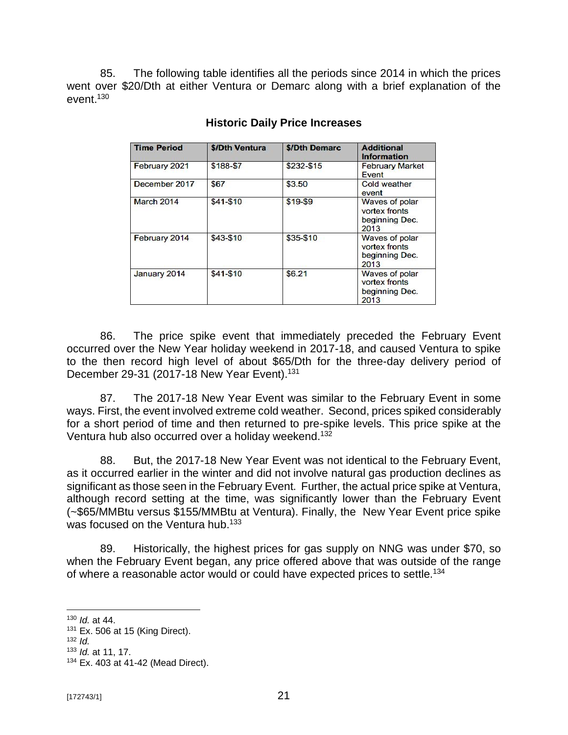85. The following table identifies all the periods since 2014 in which the prices went over \$20/Dth at either Ventura or Demarc along with a brief explanation of the event. 130

| <b>Time Period</b> | \$/Dth Ventura | \$/Dth Demarc | <b>Additional</b><br>Information                                 |
|--------------------|----------------|---------------|------------------------------------------------------------------|
| February 2021      | \$188-\$7      | \$232-\$15    | <b>February Market</b><br>Event                                  |
| December 2017      | \$67           | \$3.50        | <b>Cold weather</b><br>event                                     |
| March 2014         | $$41 - $10$    | $$19-$9$      | Waves of polar<br>vortex fronts<br>beginning Dec.<br>2013        |
| February 2014      | $$43 - $10$    | \$35-\$10     | <b>Waves of polar</b><br>vortex fronts<br>beginning Dec.<br>2013 |
| January 2014       | $$41 - $10$    | \$6.21        | <b>Waves of polar</b><br>vortex fronts<br>beginning Dec.<br>2013 |

# **Historic Daily Price Increases**

86. The price spike event that immediately preceded the February Event occurred over the New Year holiday weekend in 2017-18, and caused Ventura to spike to the then record high level of about \$65/Dth for the three-day delivery period of December 29-31 (2017-18 New Year Event).<sup>131</sup>

87. The 2017-18 New Year Event was similar to the February Event in some ways. First, the event involved extreme cold weather. Second, prices spiked considerably for a short period of time and then returned to pre-spike levels. This price spike at the Ventura hub also occurred over a holiday weekend.<sup>132</sup>

88. But, the 2017-18 New Year Event was not identical to the February Event, as it occurred earlier in the winter and did not involve natural gas production declines as significant as those seen in the February Event. Further, the actual price spike at Ventura, although record setting at the time, was significantly lower than the February Event (~\$65/MMBtu versus \$155/MMBtu at Ventura). Finally, the New Year Event price spike was focused on the Ventura hub.<sup>133</sup>

89. Historically, the highest prices for gas supply on NNG was under \$70, so when the February Event began, any price offered above that was outside of the range of where a reasonable actor would or could have expected prices to settle.<sup>134</sup>

<sup>130</sup> *Id.* at 44.

 $131$  Ex. 506 at 15 (King Direct).

<sup>132</sup> *Id.*

<sup>133</sup> *Id.* at 11, 17.

<sup>134</sup> Ex. 403 at 41-42 (Mead Direct).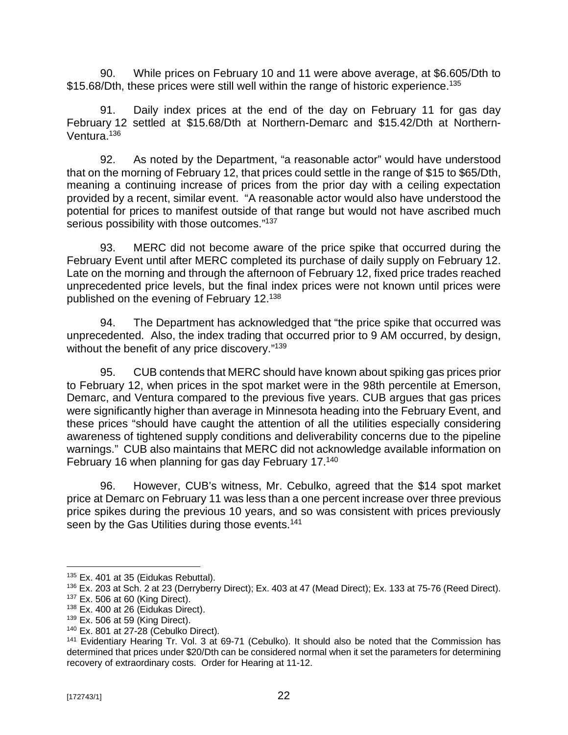90. While prices on February 10 and 11 were above average, at \$6.605/Dth to \$15.68/Dth, these prices were still well within the range of historic experience.<sup>135</sup>

91. Daily index prices at the end of the day on February 11 for gas day February 12 settled at \$15.68/Dth at Northern-Demarc and \$15.42/Dth at Northern-Ventura.<sup>136</sup>

92. As noted by the Department, "a reasonable actor" would have understood that on the morning of February 12, that prices could settle in the range of \$15 to \$65/Dth, meaning a continuing increase of prices from the prior day with a ceiling expectation provided by a recent, similar event. "A reasonable actor would also have understood the potential for prices to manifest outside of that range but would not have ascribed much serious possibility with those outcomes."<sup>137</sup>

93. MERC did not become aware of the price spike that occurred during the February Event until after MERC completed its purchase of daily supply on February 12. Late on the morning and through the afternoon of February 12, fixed price trades reached unprecedented price levels, but the final index prices were not known until prices were published on the evening of February 12.<sup>138</sup>

94. The Department has acknowledged that "the price spike that occurred was unprecedented. Also, the index trading that occurred prior to 9 AM occurred, by design, without the benefit of any price discovery." 139

95. CUB contends that MERC should have known about spiking gas prices prior to February 12, when prices in the spot market were in the 98th percentile at Emerson, Demarc, and Ventura compared to the previous five years. CUB argues that gas prices were significantly higher than average in Minnesota heading into the February Event, and these prices "should have caught the attention of all the utilities especially considering awareness of tightened supply conditions and deliverability concerns due to the pipeline warnings." CUB also maintains that MERC did not acknowledge available information on February 16 when planning for gas day February 17.<sup>140</sup>

96. However, CUB's witness, Mr. Cebulko, agreed that the \$14 spot market price at Demarc on February 11 was less than a one percent increase over three previous price spikes during the previous 10 years, and so was consistent with prices previously seen by the Gas Utilities during those events.<sup>141</sup>

<sup>&</sup>lt;sup>135</sup> Ex. 401 at 35 (Eidukas Rebuttal).

<sup>136</sup> Ex. 203 at Sch. 2 at 23 (Derryberry Direct); Ex. 403 at 47 (Mead Direct); Ex. 133 at 75-76 (Reed Direct).  $137$  Ex. 506 at 60 (King Direct).

 $138$  Ex. 400 at 26 (Eidukas Direct).

<sup>139</sup> Ex. 506 at 59 (King Direct).

<sup>140</sup> Ex. 801 at 27-28 (Cebulko Direct).

<sup>&</sup>lt;sup>141</sup> Evidentiary Hearing Tr. Vol. 3 at 69-71 (Cebulko). It should also be noted that the Commission has determined that prices under \$20/Dth can be considered normal when it set the parameters for determining recovery of extraordinary costs. Order for Hearing at 11-12.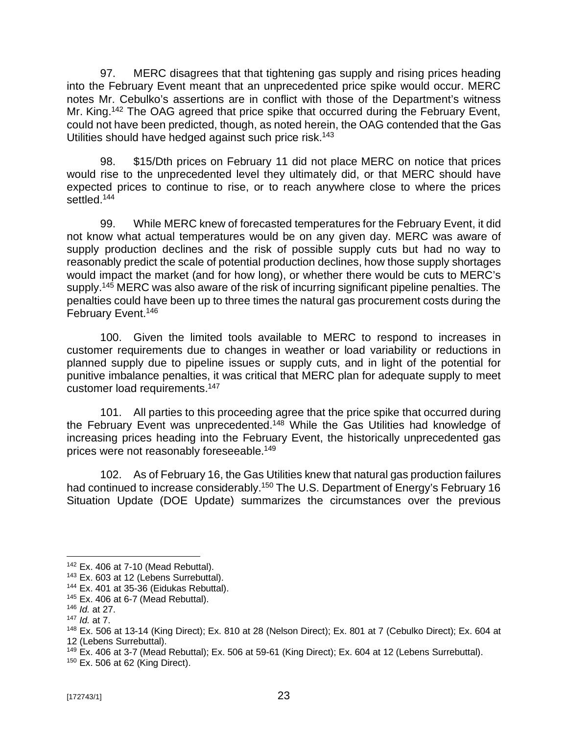97. MERC disagrees that that tightening gas supply and rising prices heading into the February Event meant that an unprecedented price spike would occur. MERC notes Mr. Cebulko's assertions are in conflict with those of the Department's witness Mr. King.<sup>142</sup> The OAG agreed that price spike that occurred during the February Event, could not have been predicted, though, as noted herein, the OAG contended that the Gas Utilities should have hedged against such price risk.<sup>143</sup>

98. \$15/Dth prices on February 11 did not place MERC on notice that prices would rise to the unprecedented level they ultimately did, or that MERC should have expected prices to continue to rise, or to reach anywhere close to where the prices settled. 144

99. While MERC knew of forecasted temperatures for the February Event, it did not know what actual temperatures would be on any given day. MERC was aware of supply production declines and the risk of possible supply cuts but had no way to reasonably predict the scale of potential production declines, how those supply shortages would impact the market (and for how long), or whether there would be cuts to MERC's supply.<sup>145</sup> MERC was also aware of the risk of incurring significant pipeline penalties. The penalties could have been up to three times the natural gas procurement costs during the February Event.<sup>146</sup>

100. Given the limited tools available to MERC to respond to increases in customer requirements due to changes in weather or load variability or reductions in planned supply due to pipeline issues or supply cuts, and in light of the potential for punitive imbalance penalties, it was critical that MERC plan for adequate supply to meet customer load requirements.<sup>147</sup>

101. All parties to this proceeding agree that the price spike that occurred during the February Event was unprecedented.<sup>148</sup> While the Gas Utilities had knowledge of increasing prices heading into the February Event, the historically unprecedented gas prices were not reasonably foreseeable.<sup>149</sup>

102. As of February 16, the Gas Utilities knew that natural gas production failures had continued to increase considerably.<sup>150</sup> The U.S. Department of Energy's February 16 Situation Update (DOE Update) summarizes the circumstances over the previous

<sup>142</sup> Ex. 406 at 7-10 (Mead Rebuttal).

<sup>143</sup> Ex. 603 at 12 (Lebens Surrebuttal).

<sup>144</sup> Ex. 401 at 35-36 (Eidukas Rebuttal).

 $145$  Ex. 406 at 6-7 (Mead Rebuttal).

<sup>146</sup> *Id.* at 27.

<sup>147</sup> *Id.* at 7.

<sup>148</sup> Ex. 506 at 13-14 (King Direct); Ex. 810 at 28 (Nelson Direct); Ex. 801 at 7 (Cebulko Direct); Ex. 604 at 12 (Lebens Surrebuttal).

<sup>&</sup>lt;sup>149</sup> Ex. 406 at 3-7 (Mead Rebuttal); Ex. 506 at 59-61 (King Direct); Ex. 604 at 12 (Lebens Surrebuttal).

<sup>150</sup> Ex. 506 at 62 (King Direct).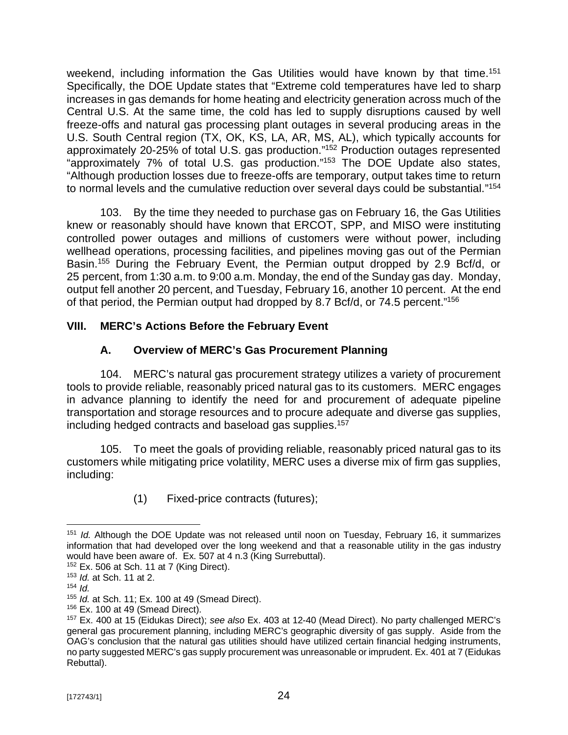weekend, including information the Gas Utilities would have known by that time.<sup>151</sup> Specifically, the DOE Update states that "Extreme cold temperatures have led to sharp increases in gas demands for home heating and electricity generation across much of the Central U.S. At the same time, the cold has led to supply disruptions caused by well freeze-offs and natural gas processing plant outages in several producing areas in the U.S. South Central region (TX, OK, KS, LA, AR, MS, AL), which typically accounts for approximately 20-25% of total U.S. gas production." <sup>152</sup> Production outages represented "approximately 7% of total U.S. gas production." <sup>153</sup> The DOE Update also states, "Although production losses due to freeze-offs are temporary, output takes time to return to normal levels and the cumulative reduction over several days could be substantial." 154

103. By the time they needed to purchase gas on February 16, the Gas Utilities knew or reasonably should have known that ERCOT, SPP, and MISO were instituting controlled power outages and millions of customers were without power, including wellhead operations, processing facilities, and pipelines moving gas out of the Permian Basin.<sup>155</sup> During the February Event, the Permian output dropped by 2.9 Bcf/d, or 25 percent, from 1:30 a.m. to 9:00 a.m. Monday, the end of the Sunday gas day. Monday, output fell another 20 percent, and Tuesday, February 16, another 10 percent. At the end of that period, the Permian output had dropped by 8.7 Bcf/d, or 74.5 percent."<sup>156</sup>

# **VIII. MERC's Actions Before the February Event**

# **A. Overview of MERC's Gas Procurement Planning**

104. MERC's natural gas procurement strategy utilizes a variety of procurement tools to provide reliable, reasonably priced natural gas to its customers. MERC engages in advance planning to identify the need for and procurement of adequate pipeline transportation and storage resources and to procure adequate and diverse gas supplies, including hedged contracts and baseload gas supplies.<sup>157</sup>

105. To meet the goals of providing reliable, reasonably priced natural gas to its customers while mitigating price volatility, MERC uses a diverse mix of firm gas supplies, including:

(1) Fixed-price contracts (futures);

<sup>151</sup> *Id.* Although the DOE Update was not released until noon on Tuesday, February 16, it summarizes information that had developed over the long weekend and that a reasonable utility in the gas industry would have been aware of. Ex. 507 at 4 n.3 (King Surrebuttal).

 $152$  Ex. 506 at Sch. 11 at 7 (King Direct).

<sup>153</sup> *Id.* at Sch. 11 at 2.

<sup>154</sup> *Id.*

<sup>155</sup> *Id.* at Sch. 11; Ex. 100 at 49 (Smead Direct).

 $156$  Ex. 100 at 49 (Smead Direct).

<sup>157</sup> Ex. 400 at 15 (Eidukas Direct); *see also* Ex. 403 at 12-40 (Mead Direct). No party challenged MERC's general gas procurement planning, including MERC's geographic diversity of gas supply. Aside from the OAG's conclusion that the natural gas utilities should have utilized certain financial hedging instruments, no party suggested MERC's gas supply procurement was unreasonable or imprudent. Ex. 401 at 7 (Eidukas Rebuttal).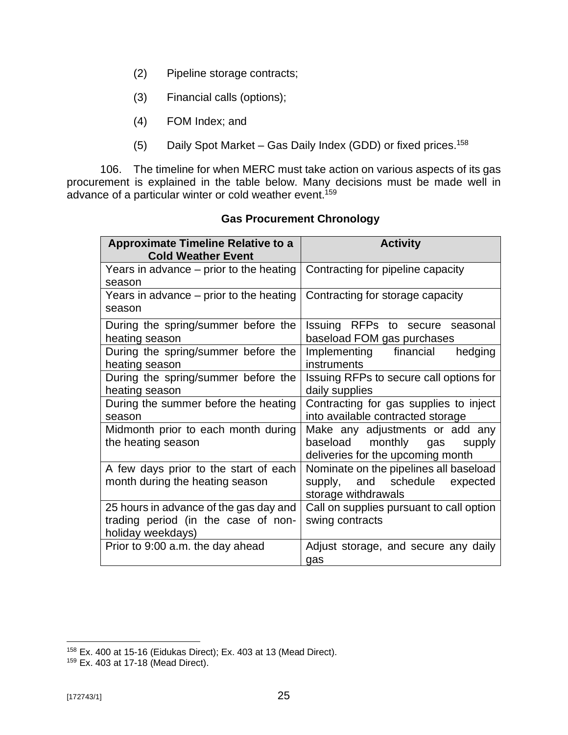- (2) Pipeline storage contracts;
- (3) Financial calls (options);
- (4) FOM Index; and
- (5) Daily Spot Market Gas Daily Index (GDD) or fixed prices.<sup>158</sup>

106. The timeline for when MERC must take action on various aspects of its gas procurement is explained in the table below. Many decisions must be made well in advance of a particular winter or cold weather event.<sup>159</sup>

| <b>Approximate Timeline Relative to a</b><br><b>Cold Weather Event</b> | <b>Activity</b>                          |
|------------------------------------------------------------------------|------------------------------------------|
| Years in advance $-$ prior to the heating                              | Contracting for pipeline capacity        |
| season                                                                 |                                          |
| Years in advance $-$ prior to the heating                              | Contracting for storage capacity         |
| season                                                                 |                                          |
| During the spring/summer before the                                    | Issuing RFPs to secure seasonal          |
| heating season                                                         | baseload FOM gas purchases               |
| During the spring/summer before the                                    | Implementing financial<br>hedging        |
| heating season                                                         | instruments                              |
| During the spring/summer before the                                    | Issuing RFPs to secure call options for  |
| heating season                                                         | daily supplies                           |
| During the summer before the heating                                   | Contracting for gas supplies to inject   |
| season                                                                 | into available contracted storage        |
| Midmonth prior to each month during                                    | Make any adjustments or add any          |
| the heating season                                                     | baseload monthly gas<br>supply           |
|                                                                        | deliveries for the upcoming month        |
| A few days prior to the start of each                                  | Nominate on the pipelines all baseload   |
| month during the heating season                                        | supply, and schedule expected            |
|                                                                        | storage withdrawals                      |
| 25 hours in advance of the gas day and                                 | Call on supplies pursuant to call option |
| trading period (in the case of non-                                    | swing contracts                          |
| holiday weekdays)                                                      |                                          |
| Prior to 9:00 a.m. the day ahead                                       | Adjust storage, and secure any daily     |
|                                                                        | gas                                      |

# **Gas Procurement Chronology**

<sup>158</sup> Ex. 400 at 15-16 (Eidukas Direct); Ex. 403 at 13 (Mead Direct).

<sup>159</sup> Ex. 403 at 17-18 (Mead Direct).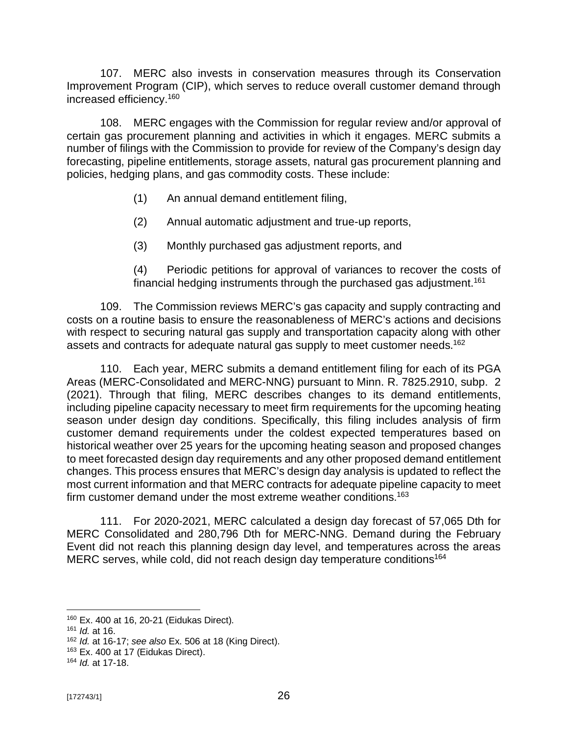107. MERC also invests in conservation measures through its Conservation Improvement Program (CIP), which serves to reduce overall customer demand through increased efficiency. 160

108. MERC engages with the Commission for regular review and/or approval of certain gas procurement planning and activities in which it engages. MERC submits a number of filings with the Commission to provide for review of the Company's design day forecasting, pipeline entitlements, storage assets, natural gas procurement planning and policies, hedging plans, and gas commodity costs. These include:

- (1) An annual demand entitlement filing,
- (2) Annual automatic adjustment and true-up reports,
- (3) Monthly purchased gas adjustment reports, and

(4) Periodic petitions for approval of variances to recover the costs of financial hedging instruments through the purchased gas adjustment.<sup>161</sup>

109. The Commission reviews MERC's gas capacity and supply contracting and costs on a routine basis to ensure the reasonableness of MERC's actions and decisions with respect to securing natural gas supply and transportation capacity along with other assets and contracts for adequate natural gas supply to meet customer needs.<sup>162</sup>

110. Each year, MERC submits a demand entitlement filing for each of its PGA Areas (MERC-Consolidated and MERC-NNG) pursuant to Minn. R. 7825.2910, subp. 2 (2021). Through that filing, MERC describes changes to its demand entitlements, including pipeline capacity necessary to meet firm requirements for the upcoming heating season under design day conditions. Specifically, this filing includes analysis of firm customer demand requirements under the coldest expected temperatures based on historical weather over 25 years for the upcoming heating season and proposed changes to meet forecasted design day requirements and any other proposed demand entitlement changes. This process ensures that MERC's design day analysis is updated to reflect the most current information and that MERC contracts for adequate pipeline capacity to meet firm customer demand under the most extreme weather conditions.<sup>163</sup>

111. For 2020-2021, MERC calculated a design day forecast of 57,065 Dth for MERC Consolidated and 280,796 Dth for MERC-NNG. Demand during the February Event did not reach this planning design day level, and temperatures across the areas MERC serves, while cold, did not reach design day temperature conditions<sup>164</sup>

<sup>160</sup> Ex. 400 at 16, 20-21 (Eidukas Direct).

<sup>161</sup> *Id.* at 16.

<sup>162</sup> *Id.* at 16-17; *see also* Ex. 506 at 18 (King Direct).

<sup>&</sup>lt;sup>163</sup> Ex. 400 at 17 (Eidukas Direct).

<sup>164</sup> *Id.* at 17-18.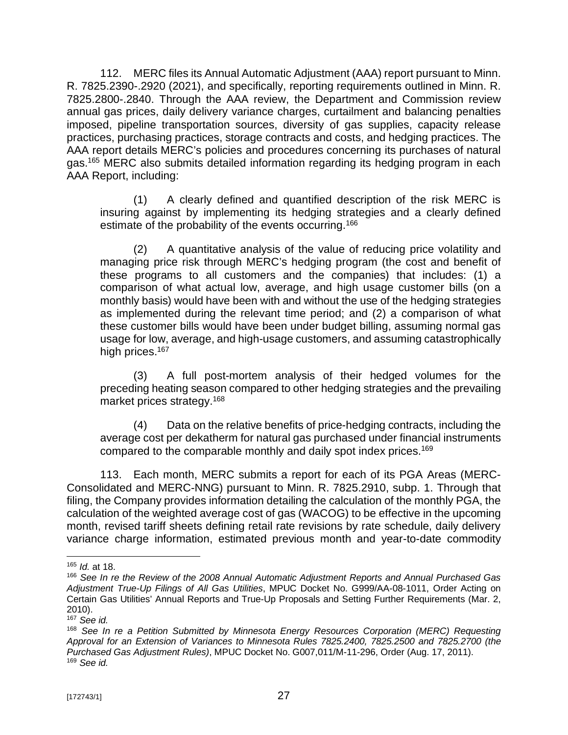112. MERC files its Annual Automatic Adjustment (AAA) report pursuant to Minn. R. 7825.2390-.2920 (2021), and specifically, reporting requirements outlined in Minn. R. 7825.2800-.2840. Through the AAA review, the Department and Commission review annual gas prices, daily delivery variance charges, curtailment and balancing penalties imposed, pipeline transportation sources, diversity of gas supplies, capacity release practices, purchasing practices, storage contracts and costs, and hedging practices. The AAA report details MERC's policies and procedures concerning its purchases of natural gas. <sup>165</sup> MERC also submits detailed information regarding its hedging program in each AAA Report, including:

(1) A clearly defined and quantified description of the risk MERC is insuring against by implementing its hedging strategies and a clearly defined estimate of the probability of the events occurring.<sup>166</sup>

(2) A quantitative analysis of the value of reducing price volatility and managing price risk through MERC's hedging program (the cost and benefit of these programs to all customers and the companies) that includes: (1) a comparison of what actual low, average, and high usage customer bills (on a monthly basis) would have been with and without the use of the hedging strategies as implemented during the relevant time period; and (2) a comparison of what these customer bills would have been under budget billing, assuming normal gas usage for low, average, and high-usage customers, and assuming catastrophically high prices. 167

(3) A full post-mortem analysis of their hedged volumes for the preceding heating season compared to other hedging strategies and the prevailing market prices strategy.<sup>168</sup>

(4) Data on the relative benefits of price-hedging contracts, including the average cost per dekatherm for natural gas purchased under financial instruments compared to the comparable monthly and daily spot index prices.<sup>169</sup>

113. Each month, MERC submits a report for each of its PGA Areas (MERC-Consolidated and MERC-NNG) pursuant to Minn. R. 7825.2910, subp. 1. Through that filing, the Company provides information detailing the calculation of the monthly PGA, the calculation of the weighted average cost of gas (WACOG) to be effective in the upcoming month, revised tariff sheets defining retail rate revisions by rate schedule, daily delivery variance charge information, estimated previous month and year-to-date commodity

<sup>165</sup> *Id.* at 18.

<sup>166</sup> *See In re the Review of the 2008 Annual Automatic Adjustment Reports and Annual Purchased Gas Adjustment True-Up Filings of All Gas Utilities*, MPUC Docket No. G999/AA-08-1011, Order Acting on Certain Gas Utilities' Annual Reports and True-Up Proposals and Setting Further Requirements (Mar. 2, 2010).

<sup>167</sup> *See id.* 

<sup>168</sup> *See In re a Petition Submitted by Minnesota Energy Resources Corporation (MERC) Requesting Approval for an Extension of Variances to Minnesota Rules 7825.2400, 7825.2500 and 7825.2700 (the Purchased Gas Adjustment Rules)*, MPUC Docket No. G007,011/M-11-296, Order (Aug. 17, 2011). <sup>169</sup> *See id.*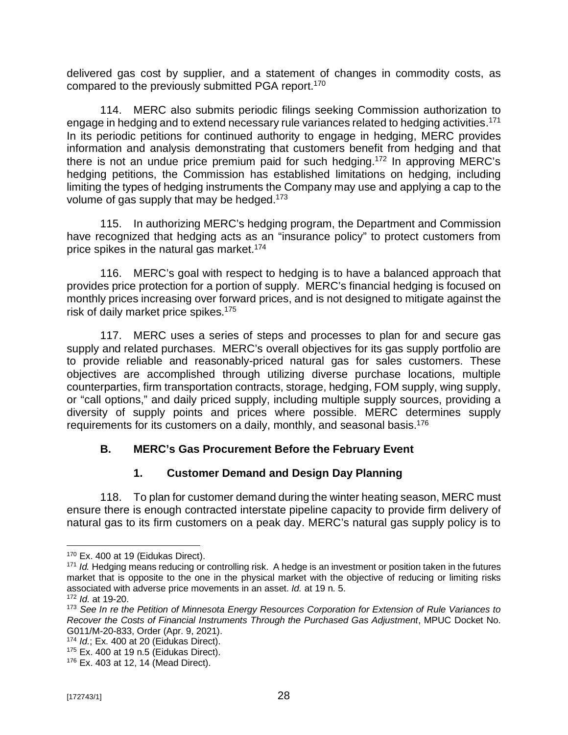delivered gas cost by supplier, and a statement of changes in commodity costs, as compared to the previously submitted PGA report.<sup>170</sup>

114. MERC also submits periodic filings seeking Commission authorization to engage in hedging and to extend necessary rule variances related to hedging activities.<sup>171</sup> In its periodic petitions for continued authority to engage in hedging, MERC provides information and analysis demonstrating that customers benefit from hedging and that there is not an undue price premium paid for such hedging.<sup>172</sup> In approving MERC's hedging petitions, the Commission has established limitations on hedging, including limiting the types of hedging instruments the Company may use and applying a cap to the volume of gas supply that may be hedged.<sup>173</sup>

115. In authorizing MERC's hedging program, the Department and Commission have recognized that hedging acts as an "insurance policy" to protect customers from price spikes in the natural gas market. 174

116. MERC's goal with respect to hedging is to have a balanced approach that provides price protection for a portion of supply. MERC's financial hedging is focused on monthly prices increasing over forward prices, and is not designed to mitigate against the risk of daily market price spikes.<sup>175</sup>

117. MERC uses a series of steps and processes to plan for and secure gas supply and related purchases. MERC's overall objectives for its gas supply portfolio are to provide reliable and reasonably-priced natural gas for sales customers. These objectives are accomplished through utilizing diverse purchase locations, multiple counterparties, firm transportation contracts, storage, hedging, FOM supply, wing supply, or "call options," and daily priced supply, including multiple supply sources, providing a diversity of supply points and prices where possible. MERC determines supply requirements for its customers on a daily, monthly, and seasonal basis.<sup>176</sup>

# **B. MERC's Gas Procurement Before the February Event**

# **1. Customer Demand and Design Day Planning**

118. To plan for customer demand during the winter heating season, MERC must ensure there is enough contracted interstate pipeline capacity to provide firm delivery of natural gas to its firm customers on a peak day. MERC's natural gas supply policy is to

<sup>&</sup>lt;sup>170</sup> Ex. 400 at 19 (Eidukas Direct).

<sup>&</sup>lt;sup>171</sup> *Id.* Hedging means reducing or controlling risk. A hedge is an investment or position taken in the futures market that is opposite to the one in the physical market with the objective of reducing or limiting risks associated with adverse price movements in an asset. *Id.* at 19 n. 5.

<sup>172</sup> *Id.* at 19-20.

<sup>173</sup> *See In re the Petition of Minnesota Energy Resources Corporation for Extension of Rule Variances to Recover the Costs of Financial Instruments Through the Purchased Gas Adjustment*, MPUC Docket No. G011/M-20-833, Order (Apr. 9, 2021).

<sup>174</sup> *Id.*; Ex. 400 at 20 (Eidukas Direct).

 $175$  Ex. 400 at 19 n.5 (Eidukas Direct).

<sup>176</sup> Ex. 403 at 12, 14 (Mead Direct).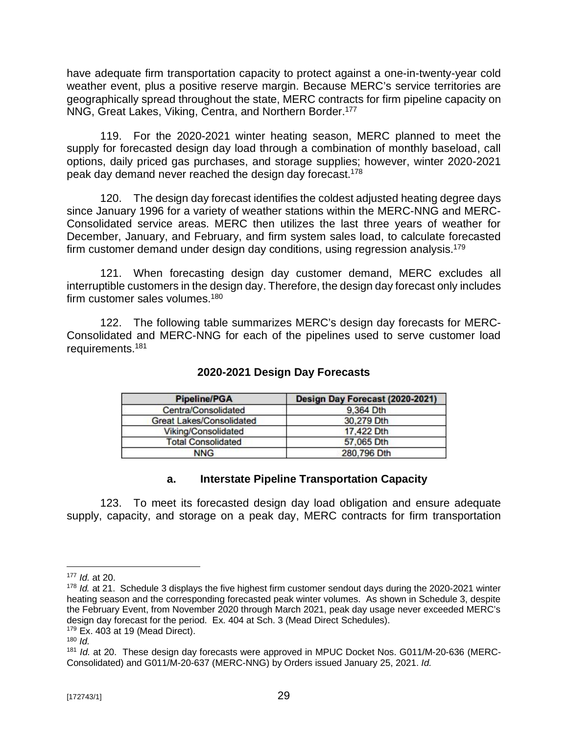have adequate firm transportation capacity to protect against a one-in-twenty-year cold weather event, plus a positive reserve margin. Because MERC's service territories are geographically spread throughout the state, MERC contracts for firm pipeline capacity on NNG, Great Lakes, Viking, Centra, and Northern Border.<sup>177</sup>

119. For the 2020-2021 winter heating season, MERC planned to meet the supply for forecasted design day load through a combination of monthly baseload, call options, daily priced gas purchases, and storage supplies; however, winter 2020-2021 peak day demand never reached the design day forecast.<sup>178</sup>

120. The design day forecast identifies the coldest adjusted heating degree days since January 1996 for a variety of weather stations within the MERC-NNG and MERC-Consolidated service areas. MERC then utilizes the last three years of weather for December, January, and February, and firm system sales load, to calculate forecasted firm customer demand under design day conditions, using regression analysis.<sup>179</sup>

121. When forecasting design day customer demand, MERC excludes all interruptible customers in the design day. Therefore, the design day forecast only includes firm customer sales volumes.<sup>180</sup>

122. The following table summarizes MERC's design day forecasts for MERC-Consolidated and MERC-NNG for each of the pipelines used to serve customer load requirements.<sup>181</sup>

| <b>Pipeline/PGA</b>             | Design Day Forecast (2020-2021) |  |  |
|---------------------------------|---------------------------------|--|--|
| Centra/Consolidated             | 9,364 Dth                       |  |  |
| <b>Great Lakes/Consolidated</b> | 30,279 Dth                      |  |  |
| Viking/Consolidated             | 17,422 Dth                      |  |  |
| <b>Total Consolidated</b>       | 57.065 Dth                      |  |  |
| <b>NNG</b>                      | 280,796 Dth                     |  |  |

# **2020-2021 Design Day Forecasts**

## **a. Interstate Pipeline Transportation Capacity**

123. To meet its forecasted design day load obligation and ensure adequate supply, capacity, and storage on a peak day, MERC contracts for firm transportation

<sup>177</sup> *Id.* at 20.

<sup>178</sup> *Id.* at 21. Schedule 3 displays the five highest firm customer sendout days during the 2020-2021 winter heating season and the corresponding forecasted peak winter volumes. As shown in Schedule 3, despite the February Event, from November 2020 through March 2021, peak day usage never exceeded MERC's design day forecast for the period. Ex. 404 at Sch. 3 (Mead Direct Schedules).

 $179$  Ex. 403 at 19 (Mead Direct).

<sup>180</sup>  $\overline{d}$ 

<sup>181</sup> *Id.* at 20. These design day forecasts were approved in MPUC Docket Nos. G011/M-20-636 (MERC-Consolidated) and G011/M-20-637 (MERC-NNG) by Orders issued January 25, 2021. *Id.*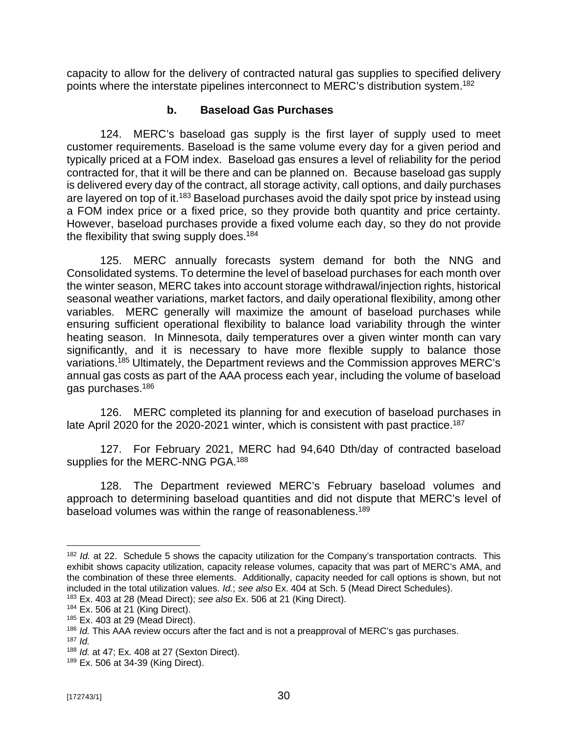capacity to allow for the delivery of contracted natural gas supplies to specified delivery points where the interstate pipelines interconnect to MERC's distribution system.<sup>182</sup>

# **b. Baseload Gas Purchases**

124. MERC's baseload gas supply is the first layer of supply used to meet customer requirements. Baseload is the same volume every day for a given period and typically priced at a FOM index. Baseload gas ensures a level of reliability for the period contracted for, that it will be there and can be planned on. Because baseload gas supply is delivered every day of the contract, all storage activity, call options, and daily purchases are layered on top of it.<sup>183</sup> Baseload purchases avoid the daily spot price by instead using a FOM index price or a fixed price, so they provide both quantity and price certainty. However, baseload purchases provide a fixed volume each day, so they do not provide the flexibility that swing supply does.<sup>184</sup>

125. MERC annually forecasts system demand for both the NNG and Consolidated systems. To determine the level of baseload purchases for each month over the winter season, MERC takes into account storage withdrawal/injection rights, historical seasonal weather variations, market factors, and daily operational flexibility, among other variables. MERC generally will maximize the amount of baseload purchases while ensuring sufficient operational flexibility to balance load variability through the winter heating season. In Minnesota, daily temperatures over a given winter month can vary significantly, and it is necessary to have more flexible supply to balance those variations.<sup>185</sup> Ultimately, the Department reviews and the Commission approves MERC's annual gas costs as part of the AAA process each year, including the volume of baseload gas purchases.<sup>186</sup>

126. MERC completed its planning for and execution of baseload purchases in late April 2020 for the 2020-2021 winter, which is consistent with past practice.<sup>187</sup>

127. For February 2021, MERC had 94,640 Dth/day of contracted baseload supplies for the MERC-NNG PGA.<sup>188</sup>

128. The Department reviewed MERC's February baseload volumes and approach to determining baseload quantities and did not dispute that MERC's level of baseload volumes was within the range of reasonableness.<sup>189</sup>

<sup>&</sup>lt;sup>182</sup> *Id.* at 22. Schedule 5 shows the capacity utilization for the Company's transportation contracts. This exhibit shows capacity utilization, capacity release volumes, capacity that was part of MERC's AMA, and the combination of these three elements. Additionally, capacity needed for call options is shown, but not included in the total utilization values. *Id.*; *see also* Ex. 404 at Sch. 5 (Mead Direct Schedules).

<sup>183</sup> Ex. 403 at 28 (Mead Direct); *see also* Ex. 506 at 21 (King Direct).

 $184$  Ex. 506 at 21 (King Direct).

<sup>185</sup> Ex. 403 at 29 (Mead Direct).

<sup>186</sup> *Id.* This AAA review occurs after the fact and is not a preapproval of MERC's gas purchases. <sup>187</sup> *Id.*

<sup>188</sup> *Id.* at 47; Ex. 408 at 27 (Sexton Direct).

<sup>189</sup> Ex. 506 at 34-39 (King Direct).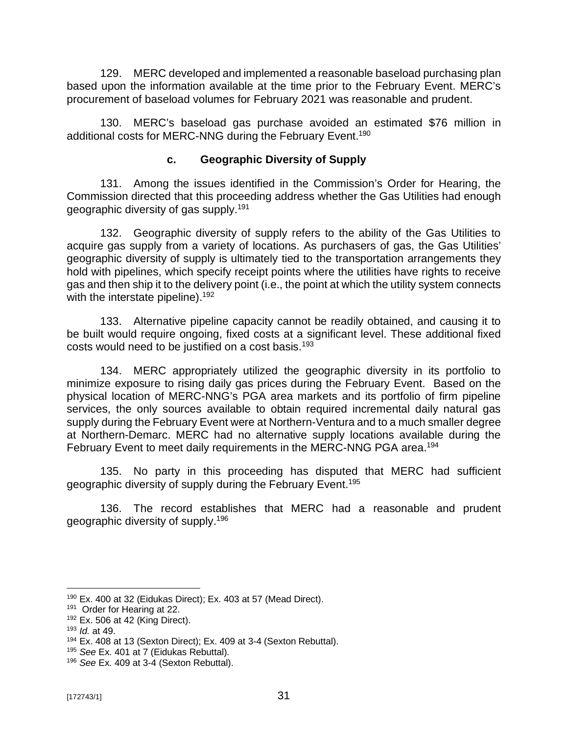129. MERC developed and implemented a reasonable baseload purchasing plan based upon the information available at the time prior to the February Event. MERC's procurement of baseload volumes for February 2021 was reasonable and prudent.

130. MERC's baseload gas purchase avoided an estimated \$76 million in additional costs for MERC-NNG during the February Event.<sup>190</sup>

# **c. Geographic Diversity of Supply**

131. Among the issues identified in the Commission's Order for Hearing, the Commission directed that this proceeding address whether the Gas Utilities had enough geographic diversity of gas supply.<sup>191</sup>

132. Geographic diversity of supply refers to the ability of the Gas Utilities to acquire gas supply from a variety of locations. As purchasers of gas, the Gas Utilities' geographic diversity of supply is ultimately tied to the transportation arrangements they hold with pipelines, which specify receipt points where the utilities have rights to receive gas and then ship it to the delivery point (i.e., the point at which the utility system connects with the interstate pipeline).<sup>192</sup>

133. Alternative pipeline capacity cannot be readily obtained, and causing it to be built would require ongoing, fixed costs at a significant level. These additional fixed costs would need to be justified on a cost basis.<sup>193</sup>

134. MERC appropriately utilized the geographic diversity in its portfolio to minimize exposure to rising daily gas prices during the February Event. Based on the physical location of MERC-NNG's PGA area markets and its portfolio of firm pipeline services, the only sources available to obtain required incremental daily natural gas supply during the February Event were at Northern-Ventura and to a much smaller degree at Northern-Demarc. MERC had no alternative supply locations available during the February Event to meet daily requirements in the MERC-NNG PGA area.<sup>194</sup>

135. No party in this proceeding has disputed that MERC had sufficient geographic diversity of supply during the February Event.<sup>195</sup>

136. The record establishes that MERC had a reasonable and prudent geographic diversity of supply. 196

<sup>190</sup> Ex. 400 at 32 (Eidukas Direct); Ex. 403 at 57 (Mead Direct).

<sup>&</sup>lt;sup>191</sup> Order for Hearing at 22.

<sup>192</sup> Ex. 506 at 42 (King Direct).

<sup>193</sup> *Id.* at 49.

<sup>&</sup>lt;sup>194</sup> Ex. 408 at 13 (Sexton Direct); Ex. 409 at 3-4 (Sexton Rebuttal).

<sup>195</sup> *See* Ex. 401 at 7 (Eidukas Rebuttal).

<sup>196</sup> *See* Ex. 409 at 3-4 (Sexton Rebuttal).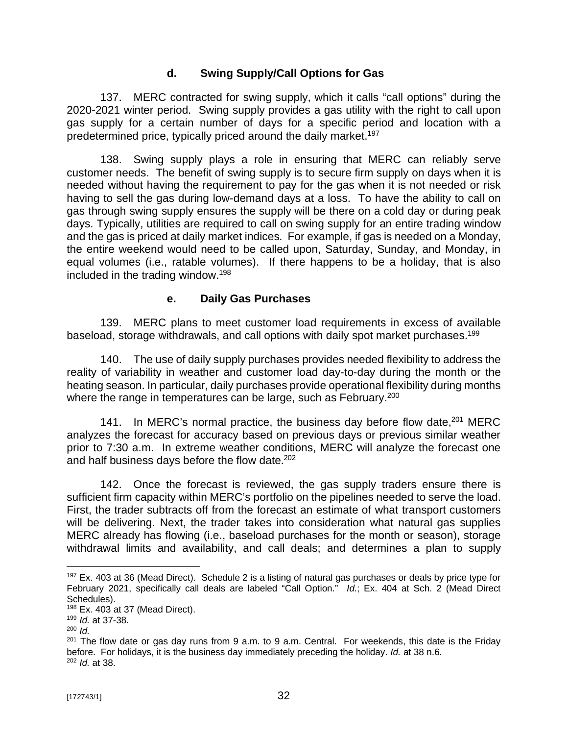# **d. Swing Supply/Call Options for Gas**

137. MERC contracted for swing supply, which it calls "call options" during the 2020-2021 winter period. Swing supply provides a gas utility with the right to call upon gas supply for a certain number of days for a specific period and location with a predetermined price, typically priced around the daily market.<sup>197</sup>

138. Swing supply plays a role in ensuring that MERC can reliably serve customer needs. The benefit of swing supply is to secure firm supply on days when it is needed without having the requirement to pay for the gas when it is not needed or risk having to sell the gas during low-demand days at a loss. To have the ability to call on gas through swing supply ensures the supply will be there on a cold day or during peak days. Typically, utilities are required to call on swing supply for an entire trading window and the gas is priced at daily market indices. For example, if gas is needed on a Monday, the entire weekend would need to be called upon, Saturday, Sunday, and Monday, in equal volumes (i.e., ratable volumes). If there happens to be a holiday, that is also included in the trading window.<sup>198</sup>

# **e. Daily Gas Purchases**

139. MERC plans to meet customer load requirements in excess of available baseload, storage withdrawals, and call options with daily spot market purchases.<sup>199</sup>

140. The use of daily supply purchases provides needed flexibility to address the reality of variability in weather and customer load day-to-day during the month or the heating season. In particular, daily purchases provide operational flexibility during months where the range in temperatures can be large, such as February.<sup>200</sup>

141. In MERC's normal practice, the business day before flow date, 201 MERC analyzes the forecast for accuracy based on previous days or previous similar weather prior to 7:30 a.m. In extreme weather conditions, MERC will analyze the forecast one and half business days before the flow date.<sup>202</sup>

142. Once the forecast is reviewed, the gas supply traders ensure there is sufficient firm capacity within MERC's portfolio on the pipelines needed to serve the load. First, the trader subtracts off from the forecast an estimate of what transport customers will be delivering. Next, the trader takes into consideration what natural gas supplies MERC already has flowing (i.e., baseload purchases for the month or season), storage withdrawal limits and availability, and call deals; and determines a plan to supply

<sup>&</sup>lt;sup>197</sup> Ex. 403 at 36 (Mead Direct). Schedule 2 is a listing of natural gas purchases or deals by price type for February 2021, specifically call deals are labeled "Call Option." *Id.*; Ex. 404 at Sch. 2 (Mead Direct Schedules).

 $198$  Ex. 403 at 37 (Mead Direct).

<sup>199</sup> *Id.* at 37-38.

<sup>200</sup> *Id.*

 $201$  The flow date or gas day runs from 9 a.m. to 9 a.m. Central. For weekends, this date is the Friday before. For holidays, it is the business day immediately preceding the holiday. *Id.* at 38 n.6. <sup>202</sup> *Id.* at 38.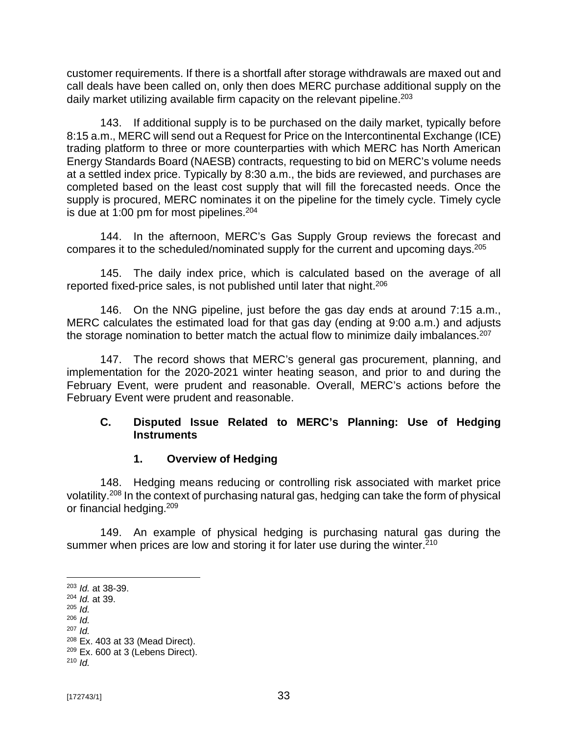customer requirements. If there is a shortfall after storage withdrawals are maxed out and call deals have been called on, only then does MERC purchase additional supply on the daily market utilizing available firm capacity on the relevant pipeline. $203$ 

143. If additional supply is to be purchased on the daily market, typically before 8:15 a.m., MERC will send out a Request for Price on the Intercontinental Exchange (ICE) trading platform to three or more counterparties with which MERC has North American Energy Standards Board (NAESB) contracts, requesting to bid on MERC's volume needs at a settled index price. Typically by 8:30 a.m., the bids are reviewed, and purchases are completed based on the least cost supply that will fill the forecasted needs. Once the supply is procured, MERC nominates it on the pipeline for the timely cycle. Timely cycle is due at 1:00 pm for most pipelines. $204$ 

144. In the afternoon, MERC's Gas Supply Group reviews the forecast and compares it to the scheduled/nominated supply for the current and upcoming days.<sup>205</sup>

145. The daily index price, which is calculated based on the average of all reported fixed-price sales, is not published until later that night.<sup>206</sup>

146. On the NNG pipeline, just before the gas day ends at around 7:15 a.m., MERC calculates the estimated load for that gas day (ending at 9:00 a.m.) and adjusts the storage nomination to better match the actual flow to minimize daily imbalances.<sup>207</sup>

147. The record shows that MERC's general gas procurement, planning, and implementation for the 2020-2021 winter heating season, and prior to and during the February Event, were prudent and reasonable. Overall, MERC's actions before the February Event were prudent and reasonable.

# **C. Disputed Issue Related to MERC's Planning: Use of Hedging Instruments**

# **1. Overview of Hedging**

148. Hedging means reducing or controlling risk associated with market price volatility.<sup>208</sup> In the context of purchasing natural gas, hedging can take the form of physical or financial hedging.<sup>209</sup>

149. An example of physical hedging is purchasing natural gas during the summer when prices are low and storing it for later use during the winter. $210$ 

<sup>203</sup> *Id.* at 38-39.

<sup>204</sup> *Id.* at 39.

<sup>205</sup> *Id.*

<sup>206</sup> *Id.* <sup>207</sup> *Id.*

<sup>208</sup> Ex. 403 at 33 (Mead Direct).

 $209$  Ex. 600 at 3 (Lebens Direct).

<sup>210</sup> *Id.*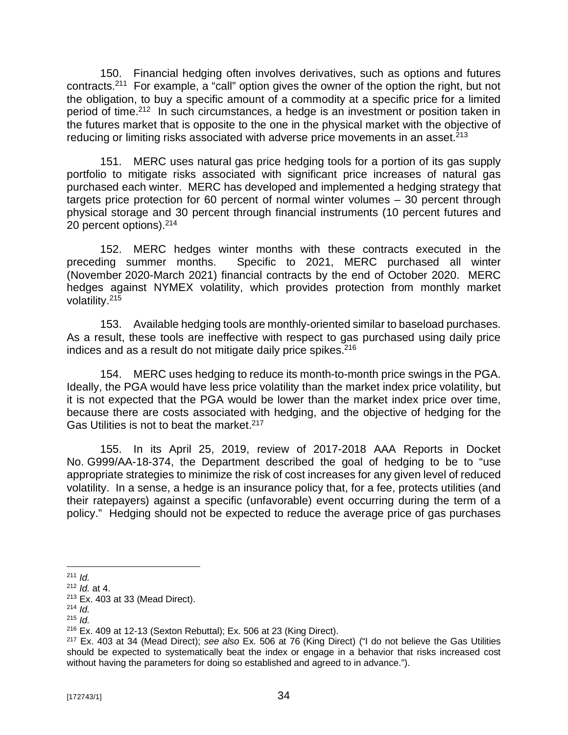150. Financial hedging often involves derivatives, such as options and futures contracts.<sup>211</sup> For example, a "call" option gives the owner of the option the right, but not the obligation, to buy a specific amount of a commodity at a specific price for a limited period of time.<sup>212</sup> In such circumstances, a hedge is an investment or position taken in the futures market that is opposite to the one in the physical market with the objective of reducing or limiting risks associated with adverse price movements in an asset.<sup>213</sup>

151. MERC uses natural gas price hedging tools for a portion of its gas supply portfolio to mitigate risks associated with significant price increases of natural gas purchased each winter. MERC has developed and implemented a hedging strategy that targets price protection for 60 percent of normal winter volumes – 30 percent through physical storage and 30 percent through financial instruments (10 percent futures and 20 percent options).<sup>214</sup>

152. MERC hedges winter months with these contracts executed in the preceding summer months. Specific to 2021, MERC purchased all winter (November 2020-March 2021) financial contracts by the end of October 2020. MERC hedges against NYMEX volatility, which provides protection from monthly market volatility.<sup>215</sup>

153. Available hedging tools are monthly-oriented similar to baseload purchases. As a result, these tools are ineffective with respect to gas purchased using daily price indices and as a result do not mitigate daily price spikes.<sup>216</sup>

154. MERC uses hedging to reduce its month-to-month price swings in the PGA. Ideally, the PGA would have less price volatility than the market index price volatility, but it is not expected that the PGA would be lower than the market index price over time, because there are costs associated with hedging, and the objective of hedging for the Gas Utilities is not to beat the market.<sup>217</sup>

155. In its April 25, 2019, review of 2017-2018 AAA Reports in Docket No. G999/AA-18-374, the Department described the goal of hedging to be to "use appropriate strategies to minimize the risk of cost increases for any given level of reduced volatility. In a sense, a hedge is an insurance policy that, for a fee, protects utilities (and their ratepayers) against a specific (unfavorable) event occurring during the term of a policy." Hedging should not be expected to reduce the average price of gas purchases

<sup>211</sup> *Id.*

<sup>212</sup> *Id.* at 4.

<sup>213</sup> Ex. 403 at 33 (Mead Direct).

<sup>214</sup> *Id.*

<sup>215</sup> *Id.*

 $216$  Ex. 409 at 12-13 (Sexton Rebuttal); Ex. 506 at 23 (King Direct).

<sup>217</sup> Ex. 403 at 34 (Mead Direct); *see also* Ex. 506 at 76 (King Direct) ("I do not believe the Gas Utilities should be expected to systematically beat the index or engage in a behavior that risks increased cost without having the parameters for doing so established and agreed to in advance.").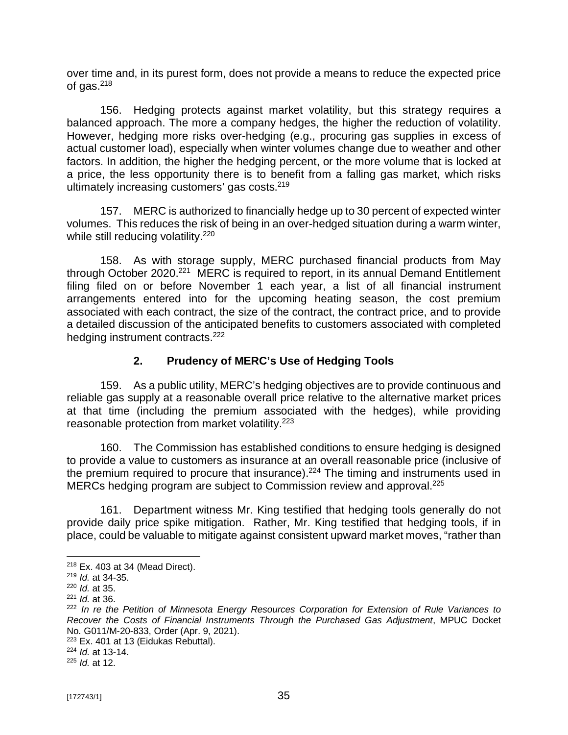over time and, in its purest form, does not provide a means to reduce the expected price of gas. $218$ 

156. Hedging protects against market volatility, but this strategy requires a balanced approach. The more a company hedges, the higher the reduction of volatility. However, hedging more risks over-hedging (e.g., procuring gas supplies in excess of actual customer load), especially when winter volumes change due to weather and other factors. In addition, the higher the hedging percent, or the more volume that is locked at a price, the less opportunity there is to benefit from a falling gas market, which risks ultimately increasing customers' gas costs.<sup>219</sup>

157. MERC is authorized to financially hedge up to 30 percent of expected winter volumes. This reduces the risk of being in an over-hedged situation during a warm winter, while still reducing volatility.<sup>220</sup>

158. As with storage supply, MERC purchased financial products from May through October 2020.<sup>221</sup> MERC is required to report, in its annual Demand Entitlement filing filed on or before November 1 each year, a list of all financial instrument arrangements entered into for the upcoming heating season, the cost premium associated with each contract, the size of the contract, the contract price, and to provide a detailed discussion of the anticipated benefits to customers associated with completed hedging instrument contracts.<sup>222</sup>

## **2. Prudency of MERC's Use of Hedging Tools**

159. As a public utility, MERC's hedging objectives are to provide continuous and reliable gas supply at a reasonable overall price relative to the alternative market prices at that time (including the premium associated with the hedges), while providing reasonable protection from market volatility.<sup>223</sup>

160. The Commission has established conditions to ensure hedging is designed to provide a value to customers as insurance at an overall reasonable price (inclusive of the premium required to procure that insurance).<sup>224</sup> The timing and instruments used in MERCs hedging program are subject to Commission review and approval.<sup>225</sup>

161. Department witness Mr. King testified that hedging tools generally do not provide daily price spike mitigation. Rather, Mr. King testified that hedging tools, if in place, could be valuable to mitigate against consistent upward market moves, "rather than

<sup>218</sup> Ex. 403 at 34 (Mead Direct).

<sup>219</sup> *Id.* at 34-35.

<sup>220</sup> *Id.* at 35.

<sup>221</sup> *Id.* at 36.

<sup>222</sup> *In re the Petition of Minnesota Energy Resources Corporation for Extension of Rule Variances to Recover the Costs of Financial Instruments Through the Purchased Gas Adjustment*, MPUC Docket No. G011/M-20-833, Order (Apr. 9, 2021).

<sup>&</sup>lt;sup>223</sup> Ex. 401 at 13 (Eidukas Rebuttal).

<sup>224</sup> *Id.* at 13-14.

<sup>225</sup> *Id.* at 12.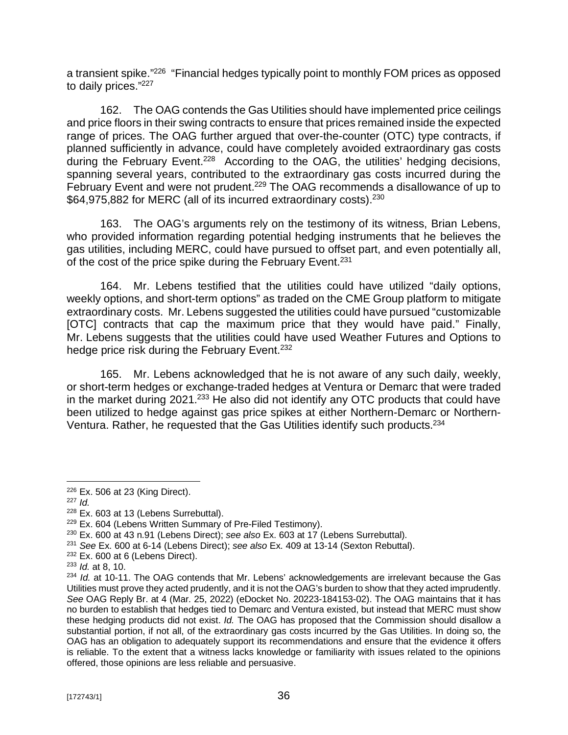a transient spike."<sup>226</sup> "Financial hedges typically point to monthly FOM prices as opposed to daily prices."<sup>227</sup>

162. The OAG contends the Gas Utilities should have implemented price ceilings and price floors in their swing contracts to ensure that prices remained inside the expected range of prices. The OAG further argued that over-the-counter (OTC) type contracts, if planned sufficiently in advance, could have completely avoided extraordinary gas costs during the February Event.<sup>228</sup> According to the OAG, the utilities' hedging decisions, spanning several years, contributed to the extraordinary gas costs incurred during the February Event and were not prudent.<sup>229</sup> The OAG recommends a disallowance of up to \$64,975,882 for MERC (all of its incurred extraordinary costs).<sup>230</sup>

163. The OAG's arguments rely on the testimony of its witness, Brian Lebens, who provided information regarding potential hedging instruments that he believes the gas utilities, including MERC, could have pursued to offset part, and even potentially all, of the cost of the price spike during the February Event.<sup>231</sup>

164. Mr. Lebens testified that the utilities could have utilized "daily options, weekly options, and short-term options" as traded on the CME Group platform to mitigate extraordinary costs. Mr. Lebens suggested the utilities could have pursued "customizable [OTC] contracts that cap the maximum price that they would have paid." Finally, Mr. Lebens suggests that the utilities could have used Weather Futures and Options to hedge price risk during the February Event.<sup>232</sup>

165. Mr. Lebens acknowledged that he is not aware of any such daily, weekly, or short-term hedges or exchange-traded hedges at Ventura or Demarc that were traded in the market during 2021.<sup>233</sup> He also did not identify any OTC products that could have been utilized to hedge against gas price spikes at either Northern-Demarc or Northern-Ventura. Rather, he requested that the Gas Utilities identify such products.<sup>234</sup>

<sup>226</sup> Ex. 506 at 23 (King Direct).

<sup>227</sup> *Id.*

<sup>228</sup> Ex. 603 at 13 (Lebens Surrebuttal).

<sup>229</sup> Ex. 604 (Lebens Written Summary of Pre-Filed Testimony).

<sup>230</sup> Ex. 600 at 43 n.91 (Lebens Direct); *see also* Ex. 603 at 17 (Lebens Surrebuttal).

<sup>231</sup> *See* Ex. 600 at 6-14 (Lebens Direct); *see also* Ex. 409 at 13-14 (Sexton Rebuttal).

 $232$  Ex. 600 at 6 (Lebens Direct).

<sup>233</sup> *Id.* at 8, 10.

<sup>234</sup> *Id.* at 10-11. The OAG contends that Mr. Lebens' acknowledgements are irrelevant because the Gas Utilities must prove they acted prudently, and it is not the OAG's burden to show that they acted imprudently. *See* OAG Reply Br. at 4 (Mar. 25, 2022) (eDocket No. 20223-184153-02). The OAG maintains that it has no burden to establish that hedges tied to Demarc and Ventura existed, but instead that MERC must show these hedging products did not exist. *Id.* The OAG has proposed that the Commission should disallow a substantial portion, if not all, of the extraordinary gas costs incurred by the Gas Utilities. In doing so, the OAG has an obligation to adequately support its recommendations and ensure that the evidence it offers is reliable. To the extent that a witness lacks knowledge or familiarity with issues related to the opinions offered, those opinions are less reliable and persuasive.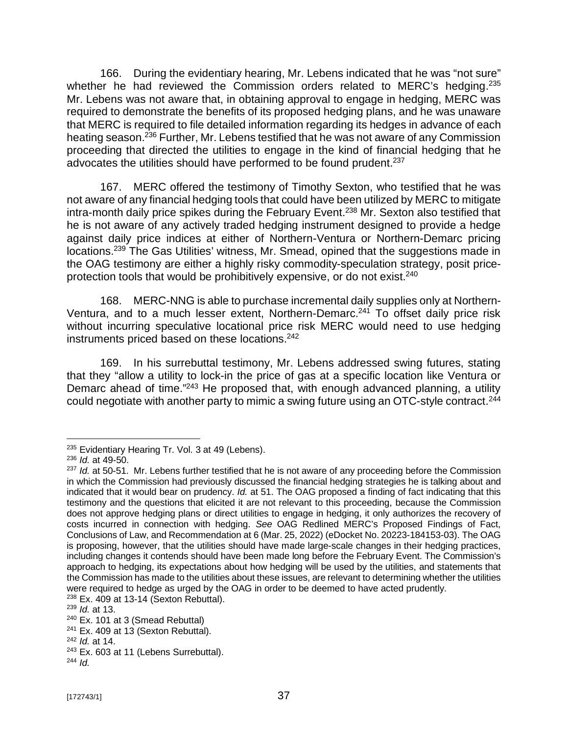166. During the evidentiary hearing, Mr. Lebens indicated that he was "not sure" whether he had reviewed the Commission orders related to MERC's hedging. $235$ Mr. Lebens was not aware that, in obtaining approval to engage in hedging, MERC was required to demonstrate the benefits of its proposed hedging plans, and he was unaware that MERC is required to file detailed information regarding its hedges in advance of each heating season.<sup>236</sup> Further, Mr. Lebens testified that he was not aware of any Commission proceeding that directed the utilities to engage in the kind of financial hedging that he advocates the utilities should have performed to be found prudent.<sup>237</sup>

167. MERC offered the testimony of Timothy Sexton, who testified that he was not aware of any financial hedging tools that could have been utilized by MERC to mitigate intra-month daily price spikes during the February Event.<sup>238</sup> Mr. Sexton also testified that he is not aware of any actively traded hedging instrument designed to provide a hedge against daily price indices at either of Northern-Ventura or Northern-Demarc pricing locations.<sup>239</sup> The Gas Utilities' witness, Mr. Smead, opined that the suggestions made in the OAG testimony are either a highly risky commodity-speculation strategy, posit priceprotection tools that would be prohibitively expensive, or do not exist.<sup>240</sup>

168. MERC-NNG is able to purchase incremental daily supplies only at Northern-Ventura, and to a much lesser extent, Northern-Demarc.<sup>241</sup> To offset daily price risk without incurring speculative locational price risk MERC would need to use hedging instruments priced based on these locations.<sup>242</sup>

169. In his surrebuttal testimony, Mr. Lebens addressed swing futures, stating that they "allow a utility to lock-in the price of gas at a specific location like Ventura or Demarc ahead of time."<sup>243</sup> He proposed that, with enough advanced planning, a utility could negotiate with another party to mimic a swing future using an OTC-style contract.<sup>244</sup>

<sup>&</sup>lt;sup>235</sup> Evidentiary Hearing Tr. Vol. 3 at 49 (Lebens).

<sup>236</sup> *Id.* at 49-50.

<sup>&</sup>lt;sup>237</sup> *Id.* at 50-51. Mr. Lebens further testified that he is not aware of any proceeding before the Commission in which the Commission had previously discussed the financial hedging strategies he is talking about and indicated that it would bear on prudency. *Id.* at 51. The OAG proposed a finding of fact indicating that this testimony and the questions that elicited it are not relevant to this proceeding, because the Commission does not approve hedging plans or direct utilities to engage in hedging, it only authorizes the recovery of costs incurred in connection with hedging. *See* OAG Redlined MERC's Proposed Findings of Fact, Conclusions of Law, and Recommendation at 6 (Mar. 25, 2022) (eDocket No. 20223-184153-03). The OAG is proposing, however, that the utilities should have made large-scale changes in their hedging practices, including changes it contends should have been made long before the February Event. The Commission's approach to hedging, its expectations about how hedging will be used by the utilities, and statements that the Commission has made to the utilities about these issues, are relevant to determining whether the utilities were required to hedge as urged by the OAG in order to be deemed to have acted prudently.

 $238$  Ex. 409 at 13-14 (Sexton Rebuttal).

<sup>239</sup> *Id.* at 13.

<sup>240</sup> Ex. 101 at 3 (Smead Rebuttal)

 $241$  Ex. 409 at 13 (Sexton Rebuttal).

<sup>242</sup> *Id.* at 14.

<sup>&</sup>lt;sup>243</sup> Ex. 603 at 11 (Lebens Surrebuttal). <sup>244</sup> *Id.*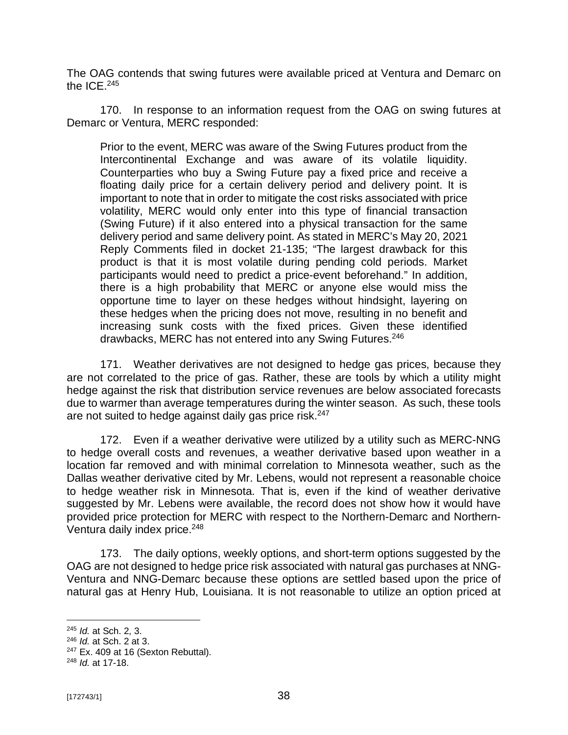The OAG contends that swing futures were available priced at Ventura and Demarc on the  $ICF<sub>.245</sub>$ 

170. In response to an information request from the OAG on swing futures at Demarc or Ventura, MERC responded:

Prior to the event, MERC was aware of the Swing Futures product from the Intercontinental Exchange and was aware of its volatile liquidity. Counterparties who buy a Swing Future pay a fixed price and receive a floating daily price for a certain delivery period and delivery point. It is important to note that in order to mitigate the cost risks associated with price volatility, MERC would only enter into this type of financial transaction (Swing Future) if it also entered into a physical transaction for the same delivery period and same delivery point. As stated in MERC's May 20, 2021 Reply Comments filed in docket 21-135; "The largest drawback for this product is that it is most volatile during pending cold periods. Market participants would need to predict a price-event beforehand." In addition, there is a high probability that MERC or anyone else would miss the opportune time to layer on these hedges without hindsight, layering on these hedges when the pricing does not move, resulting in no benefit and increasing sunk costs with the fixed prices. Given these identified drawbacks, MERC has not entered into any Swing Futures.<sup>246</sup>

171. Weather derivatives are not designed to hedge gas prices, because they are not correlated to the price of gas. Rather, these are tools by which a utility might hedge against the risk that distribution service revenues are below associated forecasts due to warmer than average temperatures during the winter season. As such, these tools are not suited to hedge against daily gas price risk.<sup>247</sup>

172. Even if a weather derivative were utilized by a utility such as MERC-NNG to hedge overall costs and revenues, a weather derivative based upon weather in a location far removed and with minimal correlation to Minnesota weather, such as the Dallas weather derivative cited by Mr. Lebens, would not represent a reasonable choice to hedge weather risk in Minnesota. That is, even if the kind of weather derivative suggested by Mr. Lebens were available, the record does not show how it would have provided price protection for MERC with respect to the Northern-Demarc and Northern-Ventura daily index price.<sup>248</sup>

173. The daily options, weekly options, and short-term options suggested by the OAG are not designed to hedge price risk associated with natural gas purchases at NNG-Ventura and NNG-Demarc because these options are settled based upon the price of natural gas at Henry Hub, Louisiana. It is not reasonable to utilize an option priced at

<sup>245</sup> *Id.* at Sch. 2, 3.

<sup>246</sup> *Id.* at Sch. 2 at 3.

 $247$  Ex. 409 at 16 (Sexton Rebuttal).

<sup>248</sup> *Id.* at 17-18.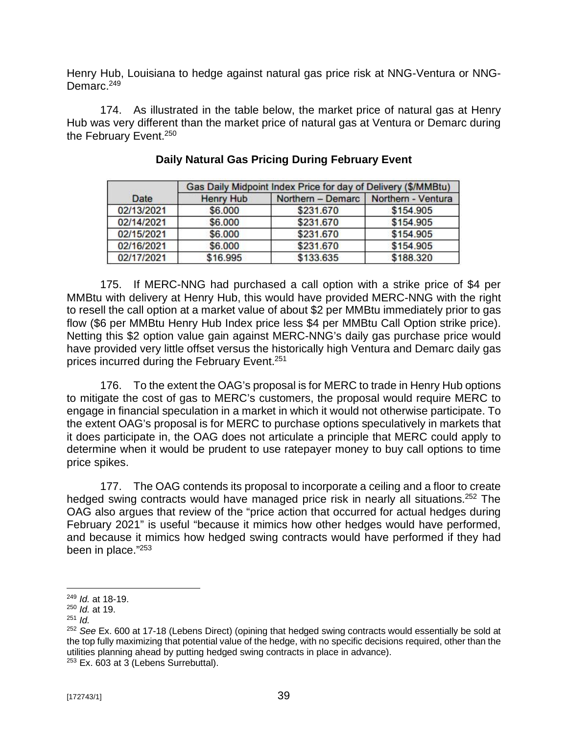Henry Hub, Louisiana to hedge against natural gas price risk at NNG-Ventura or NNG-Demarc.<sup>249</sup>

174. As illustrated in the table below, the market price of natural gas at Henry Hub was very different than the market price of natural gas at Ventura or Demarc during the February Event.<sup>250</sup>

|            | Gas Daily Midpoint Index Price for day of Delivery (\$/MMBtu) |                                        |           |  |  |
|------------|---------------------------------------------------------------|----------------------------------------|-----------|--|--|
| Date       | <b>Henry Hub</b>                                              | Northern - Demarc   Northern - Ventura |           |  |  |
| 02/13/2021 | \$6,000                                                       | \$231.670                              | \$154,905 |  |  |
| 02/14/2021 | \$6.000                                                       | \$231.670                              | \$154,905 |  |  |
| 02/15/2021 | \$6.000                                                       | \$231.670                              | \$154,905 |  |  |
| 02/16/2021 | \$6.000                                                       | \$231.670                              | \$154,905 |  |  |
| 02/17/2021 | \$16,995                                                      | \$133.635                              | \$188.320 |  |  |

### **Daily Natural Gas Pricing During February Event**

175. If MERC-NNG had purchased a call option with a strike price of \$4 per MMBtu with delivery at Henry Hub, this would have provided MERC-NNG with the right to resell the call option at a market value of about \$2 per MMBtu immediately prior to gas flow (\$6 per MMBtu Henry Hub Index price less \$4 per MMBtu Call Option strike price). Netting this \$2 option value gain against MERC-NNG's daily gas purchase price would have provided very little offset versus the historically high Ventura and Demarc daily gas prices incurred during the February Event.<sup>251</sup>

176. To the extent the OAG's proposal is for MERC to trade in Henry Hub options to mitigate the cost of gas to MERC's customers, the proposal would require MERC to engage in financial speculation in a market in which it would not otherwise participate. To the extent OAG's proposal is for MERC to purchase options speculatively in markets that it does participate in, the OAG does not articulate a principle that MERC could apply to determine when it would be prudent to use ratepayer money to buy call options to time price spikes.

177. The OAG contends its proposal to incorporate a ceiling and a floor to create hedged swing contracts would have managed price risk in nearly all situations.<sup>252</sup> The OAG also argues that review of the "price action that occurred for actual hedges during February 2021" is useful "because it mimics how other hedges would have performed, and because it mimics how hedged swing contracts would have performed if they had been in place." 253

<sup>249</sup> *Id.* at 18-19.

<sup>250</sup> *Id.* at 19.

 $251$  *Id.* 

<sup>252</sup> *See* Ex. 600 at 17-18 (Lebens Direct) (opining that hedged swing contracts would essentially be sold at the top fully maximizing that potential value of the hedge, with no specific decisions required, other than the utilities planning ahead by putting hedged swing contracts in place in advance). <sup>253</sup> Ex. 603 at 3 (Lebens Surrebuttal).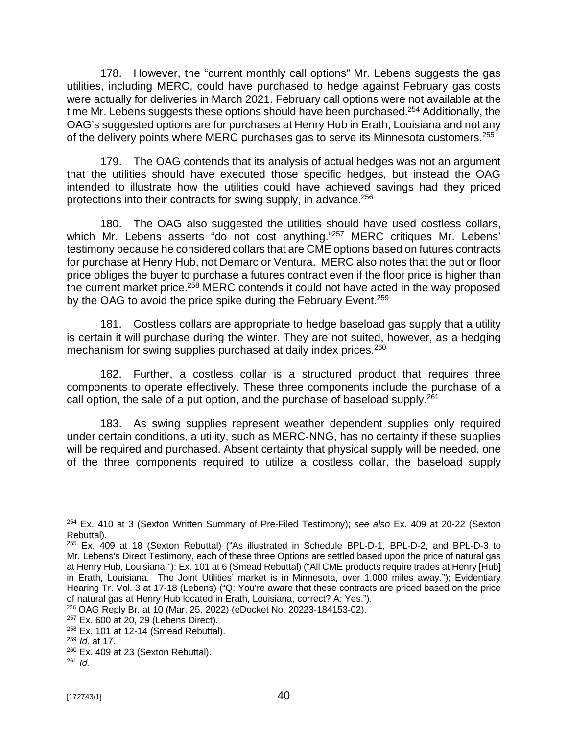178. However, the "current monthly call options" Mr. Lebens suggests the gas utilities, including MERC, could have purchased to hedge against February gas costs were actually for deliveries in March 2021. February call options were not available at the time Mr. Lebens suggests these options should have been purchased.<sup>254</sup> Additionally, the OAG's suggested options are for purchases at Henry Hub in Erath, Louisiana and not any of the delivery points where MERC purchases gas to serve its Minnesota customers.<sup>255</sup>

179. The OAG contends that its analysis of actual hedges was not an argument that the utilities should have executed those specific hedges, but instead the OAG intended to illustrate how the utilities could have achieved savings had they priced protections into their contracts for swing supply, in advance.<sup>256</sup>

180. The OAG also suggested the utilities should have used costless collars, which Mr. Lebens asserts "do not cost anything."<sup>257</sup> MERC critiques Mr. Lebens' testimony because he considered collars that are CME options based on futures contracts for purchase at Henry Hub, not Demarc or Ventura. MERC also notes that the put or floor price obliges the buyer to purchase a futures contract even if the floor price is higher than the current market price.<sup>258</sup> MERC contends it could not have acted in the way proposed by the OAG to avoid the price spike during the February Event.<sup>259</sup>

181. Costless collars are appropriate to hedge baseload gas supply that a utility is certain it will purchase during the winter. They are not suited, however, as a hedging mechanism for swing supplies purchased at daily index prices.<sup>260</sup>

182. Further, a costless collar is a structured product that requires three components to operate effectively. These three components include the purchase of a call option, the sale of a put option, and the purchase of baseload supply.<sup>261</sup>

183. As swing supplies represent weather dependent supplies only required under certain conditions, a utility, such as MERC-NNG, has no certainty if these supplies will be required and purchased. Absent certainty that physical supply will be needed, one of the three components required to utilize a costless collar, the baseload supply

<sup>254</sup> Ex. 410 at 3 (Sexton Written Summary of Pre-Filed Testimony); *see also* Ex. 409 at 20-22 (Sexton Rebuttal).

<sup>255</sup> Ex. 409 at 18 (Sexton Rebuttal) ("As illustrated in Schedule BPL-D-1, BPL-D-2, and BPL-D-3 to Mr. Lebens's Direct Testimony, each of these three Options are settled based upon the price of natural gas at Henry Hub, Louisiana."); Ex. 101 at 6 (Smead Rebuttal) ("All CME products require trades at Henry [Hub] in Erath, Louisiana. The Joint Utilities' market is in Minnesota, over 1,000 miles away."); Evidentiary Hearing Tr. Vol. 3 at 17-18 (Lebens) ("Q: You're aware that these contracts are priced based on the price of natural gas at Henry Hub located in Erath, Louisiana, correct? A: Yes.").

<sup>256</sup> OAG Reply Br. at 10 (Mar. 25, 2022) (eDocket No. 20223-184153-02).

<sup>257</sup> Ex. 600 at 20, 29 (Lebens Direct).

 $258$  Ex. 101 at 12-14 (Smead Rebuttal).

<sup>259</sup> *Id.* at 17.

<sup>&</sup>lt;sup>260</sup> Ex. 409 at 23 (Sexton Rebuttal).

<sup>261</sup> *Id.*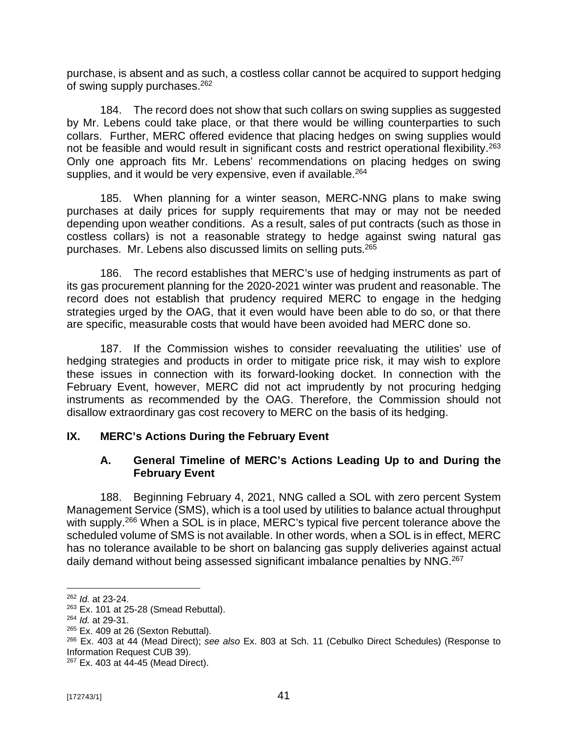purchase, is absent and as such, a costless collar cannot be acquired to support hedging of swing supply purchases.<sup>262</sup>

184. The record does not show that such collars on swing supplies as suggested by Mr. Lebens could take place, or that there would be willing counterparties to such collars. Further, MERC offered evidence that placing hedges on swing supplies would not be feasible and would result in significant costs and restrict operational flexibility.<sup>263</sup> Only one approach fits Mr. Lebens' recommendations on placing hedges on swing supplies, and it would be very expensive, even if available.<sup>264</sup>

185. When planning for a winter season, MERC-NNG plans to make swing purchases at daily prices for supply requirements that may or may not be needed depending upon weather conditions. As a result, sales of put contracts (such as those in costless collars) is not a reasonable strategy to hedge against swing natural gas purchases. Mr. Lebens also discussed limits on selling puts.<sup>265</sup>

186. The record establishes that MERC's use of hedging instruments as part of its gas procurement planning for the 2020-2021 winter was prudent and reasonable. The record does not establish that prudency required MERC to engage in the hedging strategies urged by the OAG, that it even would have been able to do so, or that there are specific, measurable costs that would have been avoided had MERC done so.

187. If the Commission wishes to consider reevaluating the utilities' use of hedging strategies and products in order to mitigate price risk, it may wish to explore these issues in connection with its forward-looking docket. In connection with the February Event, however, MERC did not act imprudently by not procuring hedging instruments as recommended by the OAG. Therefore, the Commission should not disallow extraordinary gas cost recovery to MERC on the basis of its hedging.

## **IX. MERC's Actions During the February Event**

#### **A. General Timeline of MERC's Actions Leading Up to and During the February Event**

188. Beginning February 4, 2021, NNG called a SOL with zero percent System Management Service (SMS), which is a tool used by utilities to balance actual throughput with supply.<sup>266</sup> When a SOL is in place, MERC's typical five percent tolerance above the scheduled volume of SMS is not available. In other words, when a SOL is in effect, MERC has no tolerance available to be short on balancing gas supply deliveries against actual daily demand without being assessed significant imbalance penalties by NNG.<sup>267</sup>

<sup>262</sup> *Id.* at 23-24.

<sup>263</sup> Ex. 101 at 25-28 (Smead Rebuttal).

<sup>264</sup> *Id.* at 29-31.

 $265$  Ex. 409 at 26 (Sexton Rebuttal).

<sup>266</sup> Ex. 403 at 44 (Mead Direct); *see also* Ex. 803 at Sch. 11 (Cebulko Direct Schedules) (Response to Information Request CUB 39).

<sup>267</sup> Ex. 403 at 44-45 (Mead Direct).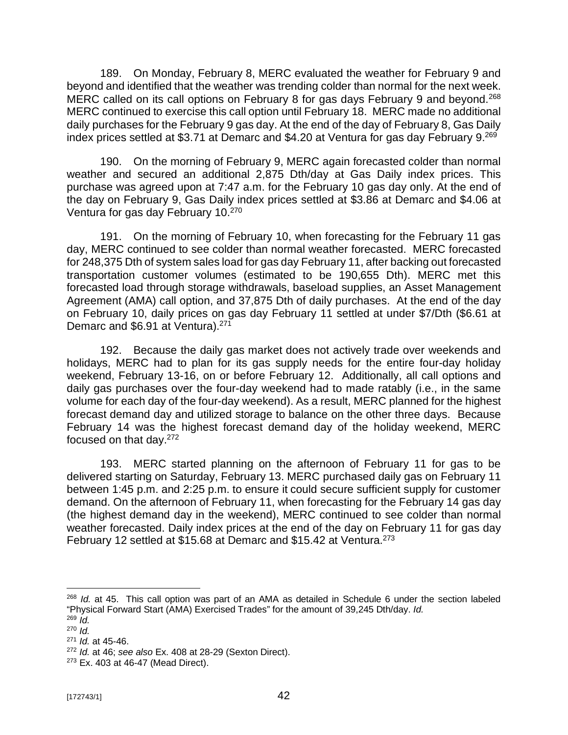189. On Monday, February 8, MERC evaluated the weather for February 9 and beyond and identified that the weather was trending colder than normal for the next week. MERC called on its call options on February 8 for gas days February 9 and beyond.<sup>268</sup> MERC continued to exercise this call option until February 18. MERC made no additional daily purchases for the February 9 gas day. At the end of the day of February 8, Gas Daily index prices settled at \$3.71 at Demarc and \$4.20 at Ventura for gas day February 9.<sup>269</sup>

190. On the morning of February 9, MERC again forecasted colder than normal weather and secured an additional 2,875 Dth/day at Gas Daily index prices. This purchase was agreed upon at 7:47 a.m. for the February 10 gas day only. At the end of the day on February 9, Gas Daily index prices settled at \$3.86 at Demarc and \$4.06 at Ventura for gas day February 10.<sup>270</sup>

191. On the morning of February 10, when forecasting for the February 11 gas day, MERC continued to see colder than normal weather forecasted. MERC forecasted for 248,375 Dth of system sales load for gas day February 11, after backing out forecasted transportation customer volumes (estimated to be 190,655 Dth). MERC met this forecasted load through storage withdrawals, baseload supplies, an Asset Management Agreement (AMA) call option, and 37,875 Dth of daily purchases. At the end of the day on February 10, daily prices on gas day February 11 settled at under \$7/Dth (\$6.61 at Demarc and \$6.91 at Ventura).<sup>271</sup>

192. Because the daily gas market does not actively trade over weekends and holidays, MERC had to plan for its gas supply needs for the entire four-day holiday weekend, February 13-16, on or before February 12. Additionally, all call options and daily gas purchases over the four-day weekend had to made ratably (i.e., in the same volume for each day of the four-day weekend). As a result, MERC planned for the highest forecast demand day and utilized storage to balance on the other three days. Because February 14 was the highest forecast demand day of the holiday weekend, MERC focused on that day.<sup>272</sup>

193. MERC started planning on the afternoon of February 11 for gas to be delivered starting on Saturday, February 13. MERC purchased daily gas on February 11 between 1:45 p.m. and 2:25 p.m. to ensure it could secure sufficient supply for customer demand. On the afternoon of February 11, when forecasting for the February 14 gas day (the highest demand day in the weekend), MERC continued to see colder than normal weather forecasted. Daily index prices at the end of the day on February 11 for gas day February 12 settled at \$15.68 at Demarc and \$15.42 at Ventura.<sup>273</sup>

<sup>268</sup> *Id.* at 45. This call option was part of an AMA as detailed in Schedule 6 under the section labeled "Physical Forward Start (AMA) Exercised Trades" for the amount of 39,245 Dth/day. *Id.*

<sup>269</sup> *Id.* <sup>270</sup> *Id.*

<sup>271</sup> *Id.* at 45-46.

<sup>272</sup> *Id.* at 46; *see also* Ex. 408 at 28-29 (Sexton Direct).

<sup>273</sup> Ex. 403 at 46-47 (Mead Direct).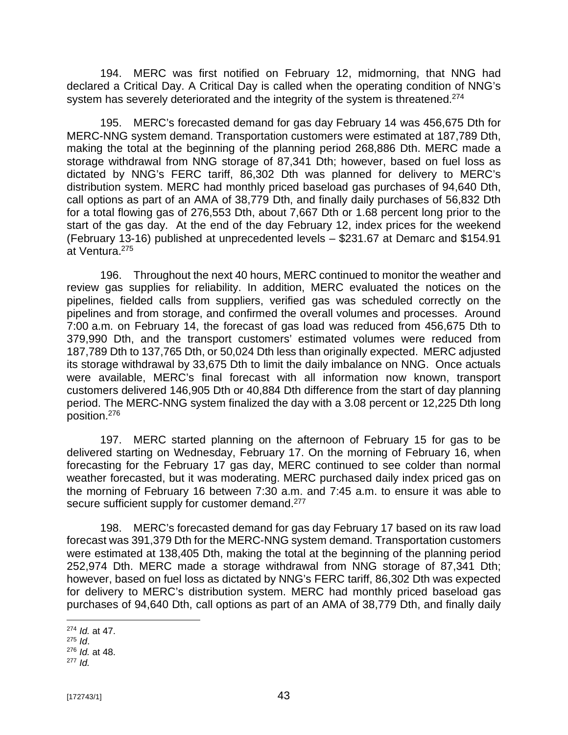194. MERC was first notified on February 12, midmorning, that NNG had declared a Critical Day. A Critical Day is called when the operating condition of NNG's system has severely deteriorated and the integrity of the system is threatened.<sup>274</sup>

195. MERC's forecasted demand for gas day February 14 was 456,675 Dth for MERC-NNG system demand. Transportation customers were estimated at 187,789 Dth, making the total at the beginning of the planning period 268,886 Dth. MERC made a storage withdrawal from NNG storage of 87,341 Dth; however, based on fuel loss as dictated by NNG's FERC tariff, 86,302 Dth was planned for delivery to MERC's distribution system. MERC had monthly priced baseload gas purchases of 94,640 Dth, call options as part of an AMA of 38,779 Dth, and finally daily purchases of 56,832 Dth for a total flowing gas of 276,553 Dth, about 7,667 Dth or 1.68 percent long prior to the start of the gas day. At the end of the day February 12, index prices for the weekend (February 13-16) published at unprecedented levels – \$231.67 at Demarc and \$154.91 at Ventura.<sup>275</sup>

196. Throughout the next 40 hours, MERC continued to monitor the weather and review gas supplies for reliability. In addition, MERC evaluated the notices on the pipelines, fielded calls from suppliers, verified gas was scheduled correctly on the pipelines and from storage, and confirmed the overall volumes and processes. Around 7:00 a.m. on February 14, the forecast of gas load was reduced from 456,675 Dth to 379,990 Dth, and the transport customers' estimated volumes were reduced from 187,789 Dth to 137,765 Dth, or 50,024 Dth less than originally expected. MERC adjusted its storage withdrawal by 33,675 Dth to limit the daily imbalance on NNG. Once actuals were available, MERC's final forecast with all information now known, transport customers delivered 146,905 Dth or 40,884 Dth difference from the start of day planning period. The MERC-NNG system finalized the day with a 3.08 percent or 12,225 Dth long position.<sup>276</sup>

197. MERC started planning on the afternoon of February 15 for gas to be delivered starting on Wednesday, February 17. On the morning of February 16, when forecasting for the February 17 gas day, MERC continued to see colder than normal weather forecasted, but it was moderating. MERC purchased daily index priced gas on the morning of February 16 between 7:30 a.m. and 7:45 a.m. to ensure it was able to secure sufficient supply for customer demand.<sup>277</sup>

198. MERC's forecasted demand for gas day February 17 based on its raw load forecast was 391,379 Dth for the MERC-NNG system demand. Transportation customers were estimated at 138,405 Dth, making the total at the beginning of the planning period 252,974 Dth. MERC made a storage withdrawal from NNG storage of 87,341 Dth; however, based on fuel loss as dictated by NNG's FERC tariff, 86,302 Dth was expected for delivery to MERC's distribution system. MERC had monthly priced baseload gas purchases of 94,640 Dth, call options as part of an AMA of 38,779 Dth, and finally daily

<sup>274</sup> *Id.* at 47.

<sup>275</sup> *Id*.

<sup>276</sup> *Id.* at 48.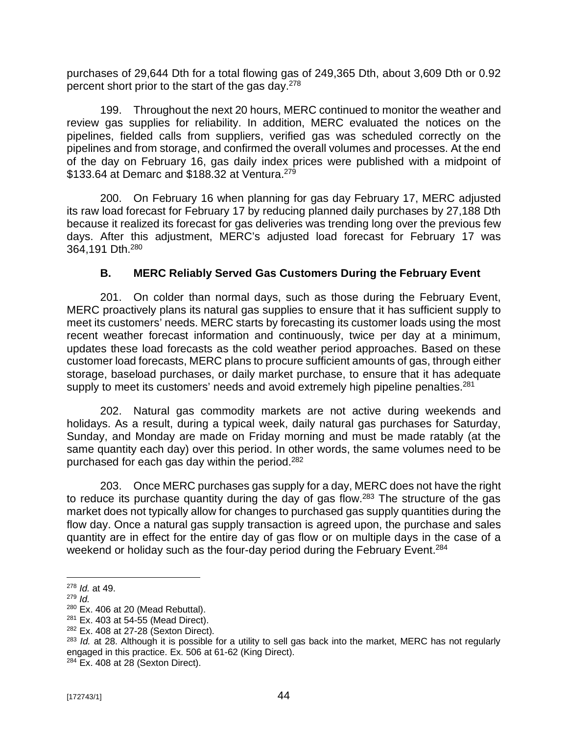purchases of 29,644 Dth for a total flowing gas of 249,365 Dth, about 3,609 Dth or 0.92 percent short prior to the start of the gas day.<sup>278</sup>

199. Throughout the next 20 hours, MERC continued to monitor the weather and review gas supplies for reliability. In addition, MERC evaluated the notices on the pipelines, fielded calls from suppliers, verified gas was scheduled correctly on the pipelines and from storage, and confirmed the overall volumes and processes. At the end of the day on February 16, gas daily index prices were published with a midpoint of \$133.64 at Demarc and \$188.32 at Ventura.<sup>279</sup>

200. On February 16 when planning for gas day February 17, MERC adjusted its raw load forecast for February 17 by reducing planned daily purchases by 27,188 Dth because it realized its forecast for gas deliveries was trending long over the previous few days. After this adjustment, MERC's adjusted load forecast for February 17 was 364,191 Dth.<sup>280</sup>

## **B. MERC Reliably Served Gas Customers During the February Event**

201. On colder than normal days, such as those during the February Event, MERC proactively plans its natural gas supplies to ensure that it has sufficient supply to meet its customers' needs. MERC starts by forecasting its customer loads using the most recent weather forecast information and continuously, twice per day at a minimum, updates these load forecasts as the cold weather period approaches. Based on these customer load forecasts, MERC plans to procure sufficient amounts of gas, through either storage, baseload purchases, or daily market purchase, to ensure that it has adequate supply to meet its customers' needs and avoid extremely high pipeline penalties.<sup>281</sup>

202. Natural gas commodity markets are not active during weekends and holidays. As a result, during a typical week, daily natural gas purchases for Saturday, Sunday, and Monday are made on Friday morning and must be made ratably (at the same quantity each day) over this period. In other words, the same volumes need to be purchased for each gas day within the period.<sup>282</sup>

203. Once MERC purchases gas supply for a day, MERC does not have the right to reduce its purchase quantity during the day of gas flow.<sup>283</sup> The structure of the gas market does not typically allow for changes to purchased gas supply quantities during the flow day. Once a natural gas supply transaction is agreed upon, the purchase and sales quantity are in effect for the entire day of gas flow or on multiple days in the case of a weekend or holiday such as the four-day period during the February Event.<sup>284</sup>

<sup>278</sup> *Id.* at 49.

<sup>279</sup> *Id.*

 $280$  Ex. 406 at 20 (Mead Rebuttal).

<sup>281</sup> Ex. 403 at 54-55 (Mead Direct).

<sup>282</sup> Ex. 408 at 27-28 (Sexton Direct).

<sup>283</sup> *Id.* at 28. Although it is possible for a utility to sell gas back into the market, MERC has not regularly engaged in this practice. Ex. 506 at 61-62 (King Direct).

 $284$  Ex. 408 at 28 (Sexton Direct).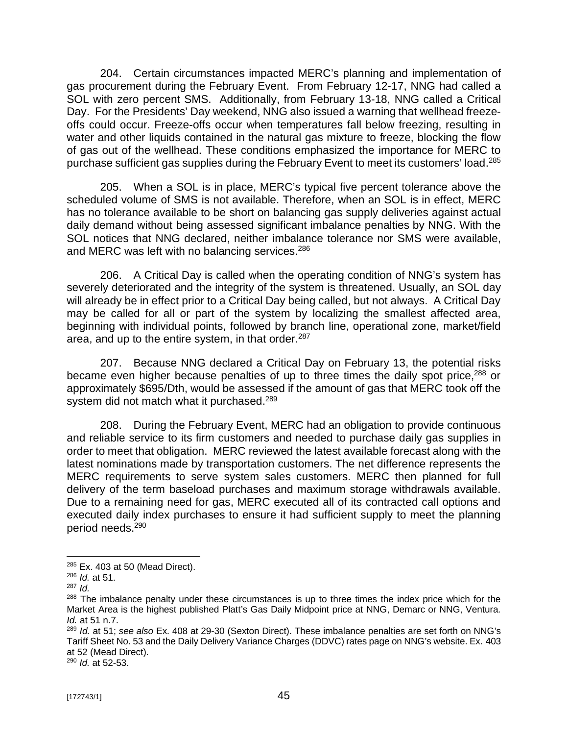204. Certain circumstances impacted MERC's planning and implementation of gas procurement during the February Event. From February 12-17, NNG had called a SOL with zero percent SMS. Additionally, from February 13-18, NNG called a Critical Day. For the Presidents' Day weekend, NNG also issued a warning that wellhead freezeoffs could occur. Freeze-offs occur when temperatures fall below freezing, resulting in water and other liquids contained in the natural gas mixture to freeze, blocking the flow of gas out of the wellhead. These conditions emphasized the importance for MERC to purchase sufficient gas supplies during the February Event to meet its customers' load.<sup>285</sup>

205. When a SOL is in place, MERC's typical five percent tolerance above the scheduled volume of SMS is not available. Therefore, when an SOL is in effect, MERC has no tolerance available to be short on balancing gas supply deliveries against actual daily demand without being assessed significant imbalance penalties by NNG. With the SOL notices that NNG declared, neither imbalance tolerance nor SMS were available, and MERC was left with no balancing services.<sup>286</sup>

206. A Critical Day is called when the operating condition of NNG's system has severely deteriorated and the integrity of the system is threatened. Usually, an SOL day will already be in effect prior to a Critical Day being called, but not always. A Critical Day may be called for all or part of the system by localizing the smallest affected area, beginning with individual points, followed by branch line, operational zone, market/field area, and up to the entire system, in that order.<sup>287</sup>

207. Because NNG declared a Critical Day on February 13, the potential risks became even higher because penalties of up to three times the daily spot price,<sup>288</sup> or approximately \$695/Dth, would be assessed if the amount of gas that MERC took off the system did not match what it purchased.<sup>289</sup>

208. During the February Event, MERC had an obligation to provide continuous and reliable service to its firm customers and needed to purchase daily gas supplies in order to meet that obligation. MERC reviewed the latest available forecast along with the latest nominations made by transportation customers. The net difference represents the MERC requirements to serve system sales customers. MERC then planned for full delivery of the term baseload purchases and maximum storage withdrawals available. Due to a remaining need for gas, MERC executed all of its contracted call options and executed daily index purchases to ensure it had sufficient supply to meet the planning period needs.<sup>290</sup>

<sup>290</sup> *Id.* at 52-53.

<sup>285</sup> Ex. 403 at 50 (Mead Direct).

<sup>286</sup> *Id.* at 51.

<sup>287</sup> *Id.*

<sup>&</sup>lt;sup>288</sup> The imbalance penalty under these circumstances is up to three times the index price which for the Market Area is the highest published Platt's Gas Daily Midpoint price at NNG, Demarc or NNG, Ventura. *Id.* at 51 n.7.

<sup>289</sup> *Id.* at 51; *see also* Ex. 408 at 29-30 (Sexton Direct). These imbalance penalties are set forth on NNG's Tariff Sheet No. 53 and the Daily Delivery Variance Charges (DDVC) rates page on NNG's website. Ex. 403 at 52 (Mead Direct).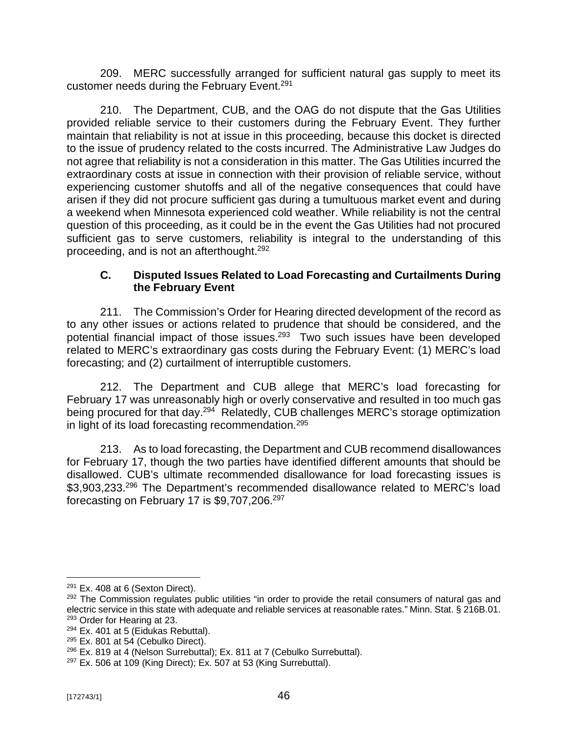209. MERC successfully arranged for sufficient natural gas supply to meet its customer needs during the February Event.<sup>291</sup>

210. The Department, CUB, and the OAG do not dispute that the Gas Utilities provided reliable service to their customers during the February Event. They further maintain that reliability is not at issue in this proceeding, because this docket is directed to the issue of prudency related to the costs incurred. The Administrative Law Judges do not agree that reliability is not a consideration in this matter. The Gas Utilities incurred the extraordinary costs at issue in connection with their provision of reliable service, without experiencing customer shutoffs and all of the negative consequences that could have arisen if they did not procure sufficient gas during a tumultuous market event and during a weekend when Minnesota experienced cold weather. While reliability is not the central question of this proceeding, as it could be in the event the Gas Utilities had not procured sufficient gas to serve customers, reliability is integral to the understanding of this proceeding, and is not an afterthought.<sup>292</sup>

### **C. Disputed Issues Related to Load Forecasting and Curtailments During the February Event**

211. The Commission's Order for Hearing directed development of the record as to any other issues or actions related to prudence that should be considered, and the potential financial impact of those issues.<sup>293</sup> Two such issues have been developed related to MERC's extraordinary gas costs during the February Event: (1) MERC's load forecasting; and (2) curtailment of interruptible customers.

212. The Department and CUB allege that MERC's load forecasting for February 17 was unreasonably high or overly conservative and resulted in too much gas being procured for that day.<sup>294</sup> Relatedly, CUB challenges MERC's storage optimization in light of its load forecasting recommendation.<sup>295</sup>

213. As to load forecasting, the Department and CUB recommend disallowances for February 17, though the two parties have identified different amounts that should be disallowed. CUB's ultimate recommended disallowance for load forecasting issues is \$3,903,233.<sup>296</sup> The Department's recommended disallowance related to MERC's load forecasting on February 17 is \$9,707,206. 297

 $291$  Ex. 408 at 6 (Sexton Direct).

 $292$  The Commission regulates public utilities "in order to provide the retail consumers of natural gas and electric service in this state with adequate and reliable services at reasonable rates." Minn. Stat. § 216B.01. <sup>293</sup> Order for Hearing at 23.

 $294$  Ex. 401 at 5 (Eidukas Rebuttal).

 $295$  Ex. 801 at 54 (Cebulko Direct).

 $296$  Ex. 819 at 4 (Nelson Surrebuttal); Ex. 811 at 7 (Cebulko Surrebuttal).

 $297$  Ex. 506 at 109 (King Direct); Ex. 507 at 53 (King Surrebuttal).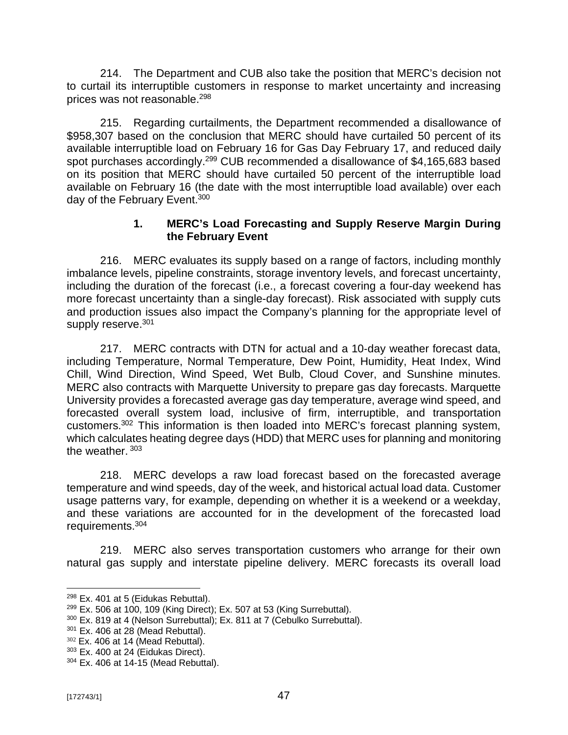214. The Department and CUB also take the position that MERC's decision not to curtail its interruptible customers in response to market uncertainty and increasing prices was not reasonable.<sup>298</sup>

215. Regarding curtailments, the Department recommended a disallowance of \$958,307 based on the conclusion that MERC should have curtailed 50 percent of its available interruptible load on February 16 for Gas Day February 17, and reduced daily spot purchases accordingly.<sup>299</sup> CUB recommended a disallowance of \$4,165,683 based on its position that MERC should have curtailed 50 percent of the interruptible load available on February 16 (the date with the most interruptible load available) over each day of the February Event.<sup>300</sup>

### **1. MERC's Load Forecasting and Supply Reserve Margin During the February Event**

216. MERC evaluates its supply based on a range of factors, including monthly imbalance levels, pipeline constraints, storage inventory levels, and forecast uncertainty, including the duration of the forecast (i.e., a forecast covering a four-day weekend has more forecast uncertainty than a single-day forecast). Risk associated with supply cuts and production issues also impact the Company's planning for the appropriate level of supply reserve.<sup>301</sup>

217. MERC contracts with DTN for actual and a 10‐day weather forecast data, including Temperature, Normal Temperature, Dew Point, Humidity, Heat Index, Wind Chill, Wind Direction, Wind Speed, Wet Bulb, Cloud Cover, and Sunshine minutes. MERC also contracts with Marquette University to prepare gas day forecasts. Marquette University provides a forecasted average gas day temperature, average wind speed, and forecasted overall system load, inclusive of firm, interruptible, and transportation customers.<sup>302</sup> This information is then loaded into MERC's forecast planning system, which calculates heating degree days (HDD) that MERC uses for planning and monitoring the weather. <sup>303</sup>

218. MERC develops a raw load forecast based on the forecasted average temperature and wind speeds, day of the week, and historical actual load data. Customer usage patterns vary, for example, depending on whether it is a weekend or a weekday, and these variations are accounted for in the development of the forecasted load requirements.<sup>304</sup>

219. MERC also serves transportation customers who arrange for their own natural gas supply and interstate pipeline delivery. MERC forecasts its overall load

 $298$  Ex. 401 at 5 (Eidukas Rebuttal).

 $299$  Ex. 506 at 100, 109 (King Direct); Ex. 507 at 53 (King Surrebuttal).

<sup>300</sup> Ex. 819 at 4 (Nelson Surrebuttal); Ex. 811 at 7 (Cebulko Surrebuttal).

 $301$  Ex. 406 at 28 (Mead Rebuttal).

 $302$  Ex. 406 at 14 (Mead Rebuttal).

<sup>303</sup> Ex. 400 at 24 (Eidukas Direct).

<sup>304</sup> Ex. 406 at 14-15 (Mead Rebuttal).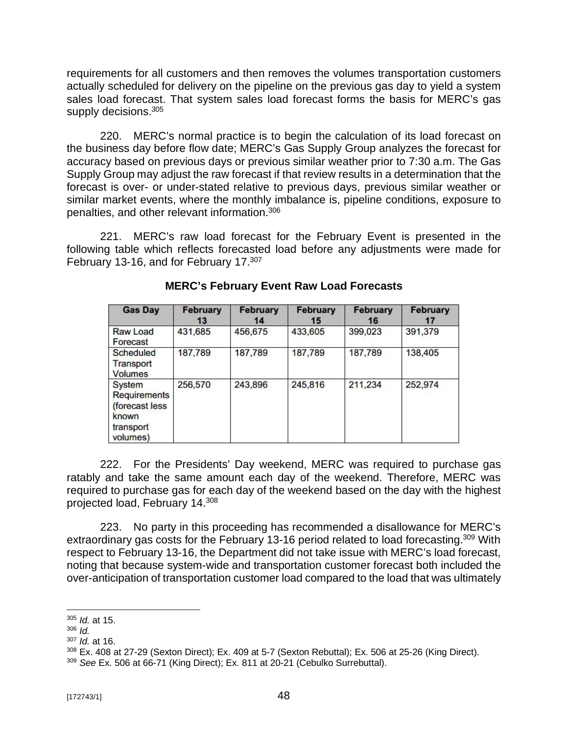requirements for all customers and then removes the volumes transportation customers actually scheduled for delivery on the pipeline on the previous gas day to yield a system sales load forecast. That system sales load forecast forms the basis for MERC's gas supply decisions.<sup>305</sup>

220. MERC's normal practice is to begin the calculation of its load forecast on the business day before flow date; MERC's Gas Supply Group analyzes the forecast for accuracy based on previous days or previous similar weather prior to 7:30 a.m. The Gas Supply Group may adjust the raw forecast if that review results in a determination that the forecast is over- or under-stated relative to previous days, previous similar weather or similar market events, where the monthly imbalance is, pipeline conditions, exposure to penalties, and other relevant information.<sup>306</sup>

221. MERC's raw load forecast for the February Event is presented in the following table which reflects forecasted load before any adjustments were made for February 13-16, and for February 17.<sup>307</sup>

| <b>Gas Day</b>                                                                           | <b>February</b><br>13 | <b>February</b><br>14 | <b>February</b><br>15 | <b>February</b><br>16 | <b>February</b><br>17 |
|------------------------------------------------------------------------------------------|-----------------------|-----------------------|-----------------------|-----------------------|-----------------------|
| Raw Load<br>Forecast                                                                     | 431,685               | 456,675               | 433,605               | 399,023               | 391,379               |
| Scheduled<br>Transport<br><b>Volumes</b>                                                 | 187,789               | 187,789               | 187,789               | 187,789               | 138,405               |
| <b>System</b><br><b>Requirements</b><br>(forecast less<br>known<br>transport<br>volumes) | 256,570               | 243,896               | 245,816               | 211,234               | 252,974               |

### **MERC's February Event Raw Load Forecasts**

222. For the Presidents' Day weekend, MERC was required to purchase gas ratably and take the same amount each day of the weekend. Therefore, MERC was required to purchase gas for each day of the weekend based on the day with the highest projected load, February 14.<sup>308</sup>

223. No party in this proceeding has recommended a disallowance for MERC's extraordinary gas costs for the February 13-16 period related to load forecasting.<sup>309</sup> With respect to February 13-16, the Department did not take issue with MERC's load forecast, noting that because system-wide and transportation customer forecast both included the over-anticipation of transportation customer load compared to the load that was ultimately

<sup>305</sup> *Id.* at 15.

<sup>306</sup> *Id.*

<sup>307</sup> *Id.* at 16.

<sup>308</sup> Ex. 408 at 27-29 (Sexton Direct); Ex. 409 at 5-7 (Sexton Rebuttal); Ex. 506 at 25-26 (King Direct).

<sup>309</sup> *See* Ex. 506 at 66-71 (King Direct); Ex. 811 at 20-21 (Cebulko Surrebuttal).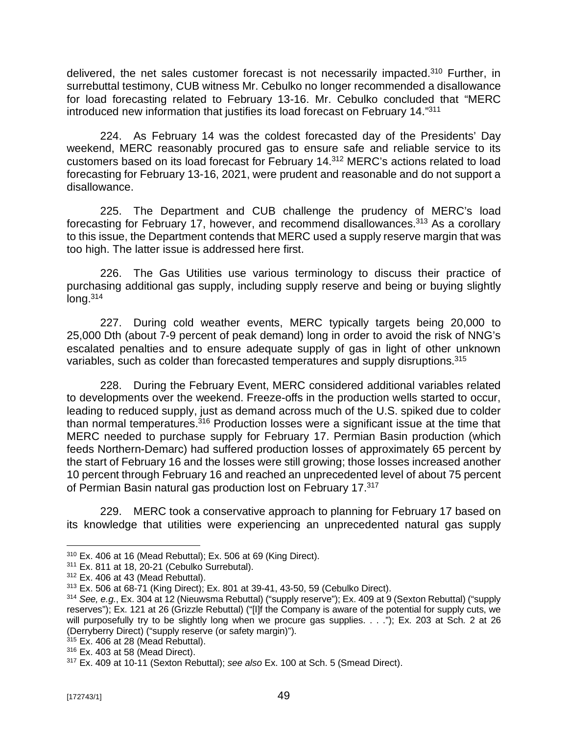delivered, the net sales customer forecast is not necessarily impacted.<sup>310</sup> Further, in surrebuttal testimony, CUB witness Mr. Cebulko no longer recommended a disallowance for load forecasting related to February 13-16. Mr. Cebulko concluded that "MERC introduced new information that justifies its load forecast on February 14." 311

224. As February 14 was the coldest forecasted day of the Presidents' Day weekend, MERC reasonably procured gas to ensure safe and reliable service to its customers based on its load forecast for February 14.<sup>312</sup> MERC's actions related to load forecasting for February 13-16, 2021, were prudent and reasonable and do not support a disallowance.

225. The Department and CUB challenge the prudency of MERC's load forecasting for February 17, however, and recommend disallowances.<sup>313</sup> As a corollary to this issue, the Department contends that MERC used a supply reserve margin that was too high. The latter issue is addressed here first.

226. The Gas Utilities use various terminology to discuss their practice of purchasing additional gas supply, including supply reserve and being or buying slightly  $lona.<sup>314</sup>$ 

227. During cold weather events, MERC typically targets being 20,000 to 25,000 Dth (about 7-9 percent of peak demand) long in order to avoid the risk of NNG's escalated penalties and to ensure adequate supply of gas in light of other unknown variables, such as colder than forecasted temperatures and supply disruptions.<sup>315</sup>

228. During the February Event, MERC considered additional variables related to developments over the weekend. Freeze-offs in the production wells started to occur, leading to reduced supply, just as demand across much of the U.S. spiked due to colder than normal temperatures.<sup>316</sup> Production losses were a significant issue at the time that MERC needed to purchase supply for February 17. Permian Basin production (which feeds Northern-Demarc) had suffered production losses of approximately 65 percent by the start of February 16 and the losses were still growing; those losses increased another 10 percent through February 16 and reached an unprecedented level of about 75 percent of Permian Basin natural gas production lost on February 17.<sup>317</sup>

229. MERC took a conservative approach to planning for February 17 based on its knowledge that utilities were experiencing an unprecedented natural gas supply

 $315$  Ex. 406 at 28 (Mead Rebuttal).

<sup>310</sup> Ex. 406 at 16 (Mead Rebuttal); Ex. 506 at 69 (King Direct).

<sup>311</sup> Ex. 811 at 18, 20-21 (Cebulko Surrebutal).

 $312$  Ex. 406 at 43 (Mead Rebuttal).

<sup>313</sup> Ex. 506 at 68-71 (King Direct); Ex. 801 at 39-41, 43-50, 59 (Cebulko Direct).

<sup>&</sup>lt;sup>314</sup> See, e.g., Ex. 304 at 12 (Nieuwsma Rebuttal) ("supply reserve"); Ex. 409 at 9 (Sexton Rebuttal) ("supply reserves"); Ex. 121 at 26 (Grizzle Rebuttal) ("[I]f the Company is aware of the potential for supply cuts, we will purposefully try to be slightly long when we procure gas supplies. . . ."); Ex. 203 at Sch. 2 at 26 (Derryberry Direct) ("supply reserve (or safety margin)").

<sup>316</sup> Ex. 403 at 58 (Mead Direct).

<sup>317</sup> Ex. 409 at 10-11 (Sexton Rebuttal); *see also* Ex. 100 at Sch. 5 (Smead Direct).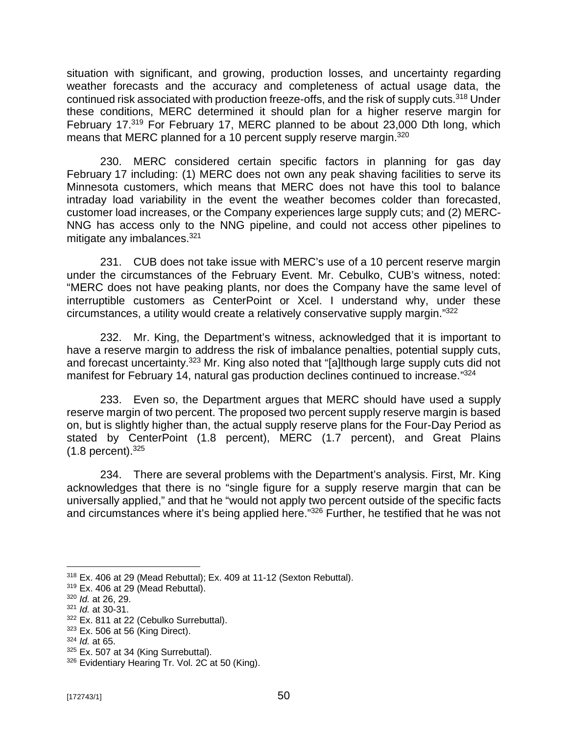situation with significant, and growing, production losses, and uncertainty regarding weather forecasts and the accuracy and completeness of actual usage data, the continued risk associated with production freeze-offs, and the risk of supply cuts.<sup>318</sup> Under these conditions, MERC determined it should plan for a higher reserve margin for February 17.<sup>319</sup> For February 17, MERC planned to be about 23,000 Dth long, which means that MERC planned for a 10 percent supply reserve margin.<sup>320</sup>

230. MERC considered certain specific factors in planning for gas day February 17 including: (1) MERC does not own any peak shaving facilities to serve its Minnesota customers, which means that MERC does not have this tool to balance intraday load variability in the event the weather becomes colder than forecasted, customer load increases, or the Company experiences large supply cuts; and (2) MERC-NNG has access only to the NNG pipeline, and could not access other pipelines to mitigate any imbalances.<sup>321</sup>

231. CUB does not take issue with MERC's use of a 10 percent reserve margin under the circumstances of the February Event. Mr. Cebulko, CUB's witness, noted: "MERC does not have peaking plants, nor does the Company have the same level of interruptible customers as CenterPoint or Xcel. I understand why, under these circumstances, a utility would create a relatively conservative supply margin." 322

232. Mr. King, the Department's witness, acknowledged that it is important to have a reserve margin to address the risk of imbalance penalties, potential supply cuts, and forecast uncertainty.<sup>323</sup> Mr. King also noted that "[a]lthough large supply cuts did not manifest for February 14, natural gas production declines continued to increase."<sup>324</sup>

233. Even so, the Department argues that MERC should have used a supply reserve margin of two percent. The proposed two percent supply reserve margin is based on, but is slightly higher than, the actual supply reserve plans for the Four-Day Period as stated by CenterPoint (1.8 percent), MERC (1.7 percent), and Great Plains  $(1.8 \text{ percent})^{.325}$ 

234. There are several problems with the Department's analysis. First, Mr. King acknowledges that there is no "single figure for a supply reserve margin that can be universally applied," and that he "would not apply two percent outside of the specific facts and circumstances where it's being applied here." <sup>326</sup> Further, he testified that he was not

<sup>318</sup> Ex. 406 at 29 (Mead Rebuttal); Ex. 409 at 11-12 (Sexton Rebuttal).

 $319$  Ex. 406 at 29 (Mead Rebuttal).

<sup>320</sup> *Id.* at 26, 29.

<sup>321</sup> *Id.* at 30-31.

<sup>322</sup> Ex. 811 at 22 (Cebulko Surrebuttal).

 $323$  Ex. 506 at 56 (King Direct).

<sup>324</sup> *Id.* at 65.

 $325$  Ex. 507 at 34 (King Surrebuttal).

<sup>326</sup> Evidentiary Hearing Tr. Vol. 2C at 50 (King).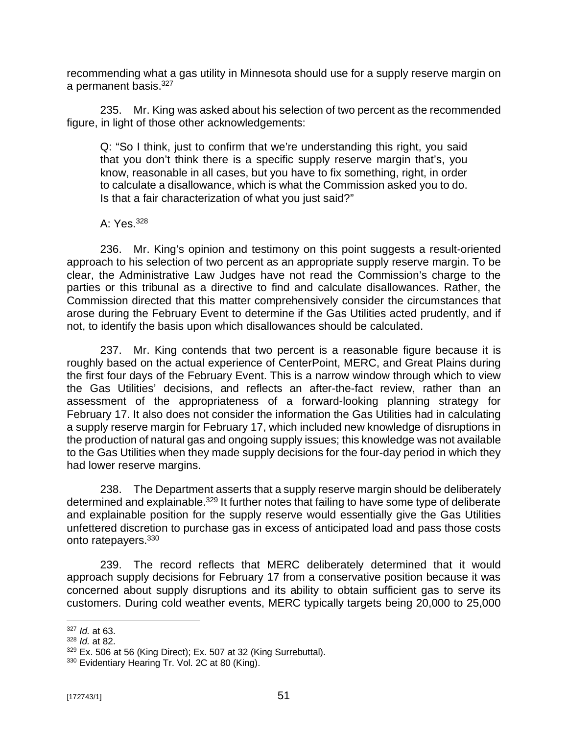recommending what a gas utility in Minnesota should use for a supply reserve margin on a permanent basis.<sup>327</sup>

235. Mr. King was asked about his selection of two percent as the recommended figure, in light of those other acknowledgements:

Q: "So I think, just to confirm that we're understanding this right, you said that you don't think there is a specific supply reserve margin that's, you know, reasonable in all cases, but you have to fix something, right, in order to calculate a disallowance, which is what the Commission asked you to do. Is that a fair characterization of what you just said?"

A: Yes.<sup>328</sup>

236. Mr. King's opinion and testimony on this point suggests a result-oriented approach to his selection of two percent as an appropriate supply reserve margin. To be clear, the Administrative Law Judges have not read the Commission's charge to the parties or this tribunal as a directive to find and calculate disallowances. Rather, the Commission directed that this matter comprehensively consider the circumstances that arose during the February Event to determine if the Gas Utilities acted prudently, and if not, to identify the basis upon which disallowances should be calculated.

237. Mr. King contends that two percent is a reasonable figure because it is roughly based on the actual experience of CenterPoint, MERC, and Great Plains during the first four days of the February Event. This is a narrow window through which to view the Gas Utilities' decisions, and reflects an after-the-fact review, rather than an assessment of the appropriateness of a forward-looking planning strategy for February 17. It also does not consider the information the Gas Utilities had in calculating a supply reserve margin for February 17, which included new knowledge of disruptions in the production of natural gas and ongoing supply issues; this knowledge was not available to the Gas Utilities when they made supply decisions for the four-day period in which they had lower reserve margins.

238. The Department asserts that a supply reserve margin should be deliberately determined and explainable.<sup>329</sup> It further notes that failing to have some type of deliberate and explainable position for the supply reserve would essentially give the Gas Utilities unfettered discretion to purchase gas in excess of anticipated load and pass those costs onto ratepayers.<sup>330</sup>

239. The record reflects that MERC deliberately determined that it would approach supply decisions for February 17 from a conservative position because it was concerned about supply disruptions and its ability to obtain sufficient gas to serve its customers. During cold weather events, MERC typically targets being 20,000 to 25,000

<sup>327</sup> *Id.* at 63.

<sup>328</sup> *Id.* at 82.

<sup>329</sup> Ex. 506 at 56 (King Direct); Ex. 507 at 32 (King Surrebuttal).

<sup>330</sup> Evidentiary Hearing Tr. Vol. 2C at 80 (King).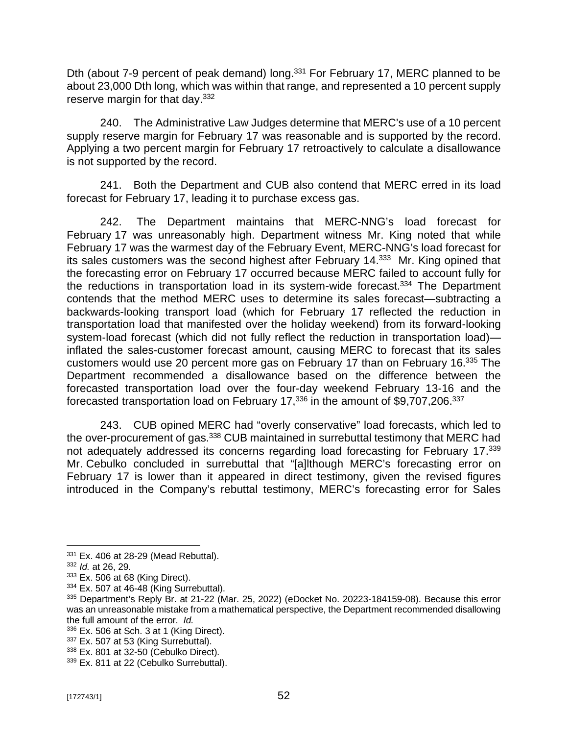Dth (about 7-9 percent of peak demand) long.<sup>331</sup> For February 17, MERC planned to be about 23,000 Dth long, which was within that range, and represented a 10 percent supply reserve margin for that day.<sup>332</sup>

240. The Administrative Law Judges determine that MERC's use of a 10 percent supply reserve margin for February 17 was reasonable and is supported by the record. Applying a two percent margin for February 17 retroactively to calculate a disallowance is not supported by the record.

241. Both the Department and CUB also contend that MERC erred in its load forecast for February 17, leading it to purchase excess gas.

242. The Department maintains that MERC-NNG's load forecast for February 17 was unreasonably high. Department witness Mr. King noted that while February 17 was the warmest day of the February Event, MERC-NNG's load forecast for its sales customers was the second highest after February 14.<sup>333</sup> Mr. King opined that the forecasting error on February 17 occurred because MERC failed to account fully for the reductions in transportation load in its system-wide forecast.<sup>334</sup> The Department contends that the method MERC uses to determine its sales forecast—subtracting a backwards-looking transport load (which for February 17 reflected the reduction in transportation load that manifested over the holiday weekend) from its forward-looking system-load forecast (which did not fully reflect the reduction in transportation load) inflated the sales-customer forecast amount, causing MERC to forecast that its sales customers would use 20 percent more gas on February 17 than on February 16.<sup>335</sup> The Department recommended a disallowance based on the difference between the forecasted transportation load over the four-day weekend February 13-16 and the forecasted transportation load on February 17, $^{336}$  in the amount of \$9,707,206. $^{337}$ 

243. CUB opined MERC had "overly conservative" load forecasts, which led to the over-procurement of gas.<sup>338</sup> CUB maintained in surrebuttal testimony that MERC had not adequately addressed its concerns regarding load forecasting for February 17.<sup>339</sup> Mr. Cebulko concluded in surrebuttal that "[a]lthough MERC's forecasting error on February 17 is lower than it appeared in direct testimony, given the revised figures introduced in the Company's rebuttal testimony, MERC's forecasting error for Sales

<sup>331</sup> Ex. 406 at 28-29 (Mead Rebuttal).

<sup>332</sup> *Id.* at 26, 29.

<sup>333</sup> Ex. 506 at 68 (King Direct).

<sup>334</sup> Ex. 507 at 46-48 (King Surrebuttal).

<sup>&</sup>lt;sup>335</sup> Department's Reply Br. at 21-22 (Mar. 25, 2022) (eDocket No. 20223-184159-08). Because this error was an unreasonable mistake from a mathematical perspective, the Department recommended disallowing the full amount of the error. *Id.*

 $336$  Ex. 506 at Sch. 3 at 1 (King Direct).

<sup>&</sup>lt;sup>337</sup> Ex. 507 at 53 (King Surrebuttal).

<sup>338</sup> Ex. 801 at 32-50 (Cebulko Direct).

<sup>339</sup> Ex. 811 at 22 (Cebulko Surrebuttal).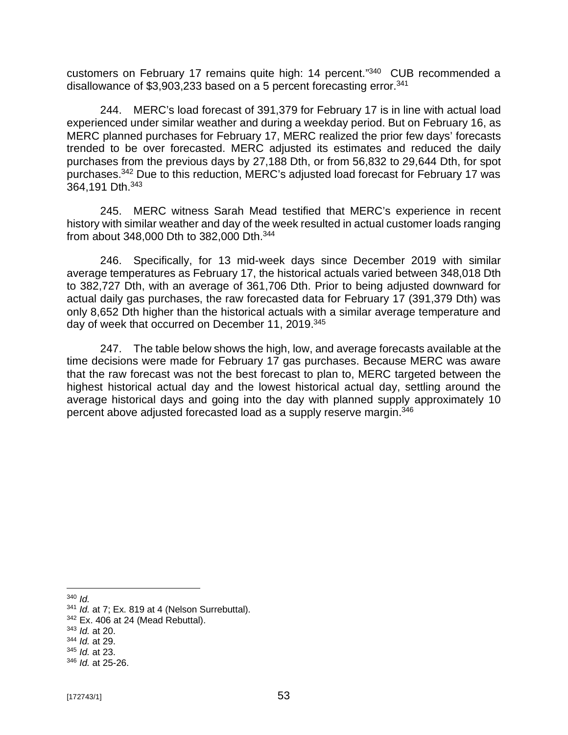customers on February 17 remains quite high: 14 percent." 340 CUB recommended a disallowance of \$3,903,233 based on a 5 percent forecasting error. $341$ 

244. MERC's load forecast of 391,379 for February 17 is in line with actual load experienced under similar weather and during a weekday period. But on February 16, as MERC planned purchases for February 17, MERC realized the prior few days' forecasts trended to be over forecasted. MERC adjusted its estimates and reduced the daily purchases from the previous days by 27,188 Dth, or from 56,832 to 29,644 Dth, for spot purchases.<sup>342</sup> Due to this reduction, MERC's adjusted load forecast for February 17 was 364,191 Dth.<sup>343</sup>

245. MERC witness Sarah Mead testified that MERC's experience in recent history with similar weather and day of the week resulted in actual customer loads ranging from about 348,000 Dth to 382,000 Dth.<sup>344</sup>

246. Specifically, for 13 mid-week days since December 2019 with similar average temperatures as February 17, the historical actuals varied between 348,018 Dth to 382,727 Dth, with an average of 361,706 Dth. Prior to being adjusted downward for actual daily gas purchases, the raw forecasted data for February 17 (391,379 Dth) was only 8,652 Dth higher than the historical actuals with a similar average temperature and day of week that occurred on December 11, 2019.<sup>345</sup>

247. The table below shows the high, low, and average forecasts available at the time decisions were made for February 17 gas purchases. Because MERC was aware that the raw forecast was not the best forecast to plan to, MERC targeted between the highest historical actual day and the lowest historical actual day, settling around the average historical days and going into the day with planned supply approximately 10 percent above adjusted forecasted load as a supply reserve margin.<sup>346</sup>

<sup>340</sup> *Id.*

<sup>341</sup> *Id.* at 7; Ex. 819 at 4 (Nelson Surrebuttal).

 $342$  Ex. 406 at 24 (Mead Rebuttal).

<sup>343</sup> *Id.* at 20.

<sup>344</sup> *Id.* at 29.

<sup>345</sup> *Id.* at 23.

<sup>346</sup> *Id.* at 25-26.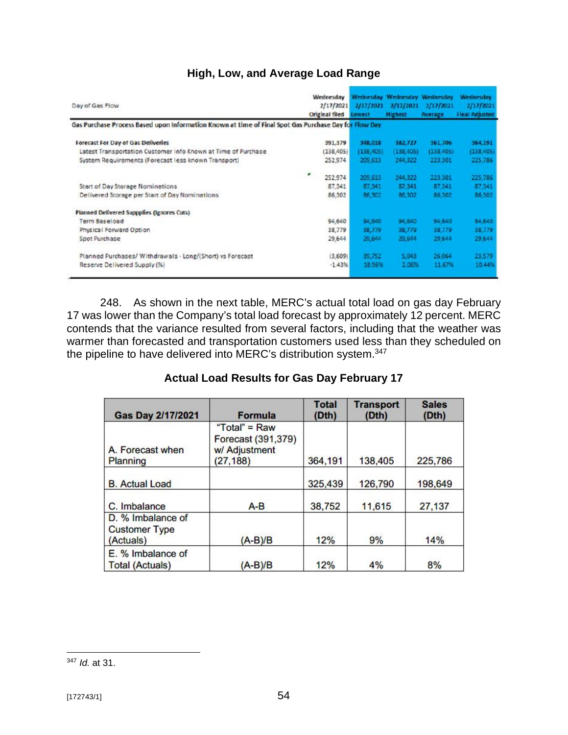# **High, Low, and Average Load Range**

| Day of Gas Flow                                                                                       | Wednesday<br>2/17/2021<br>Original filed | 2/17/2021<br>Lowest | Wednesday Wednesday Wednesday<br>2/17/2021<br><b>Highest</b> | 2/17/2021<br><b>Average</b> | <b>Wednesday</b><br>2/17/2021<br><b>Final Adjusted</b> |
|-------------------------------------------------------------------------------------------------------|------------------------------------------|---------------------|--------------------------------------------------------------|-----------------------------|--------------------------------------------------------|
| Gas Purchase Process Based upon Information Known at time of Final Spot Gas Purchase Day for Flow Day |                                          |                     |                                                              |                             |                                                        |
| <b>Forecast For Day of Gas Deliveries</b>                                                             | 391,379                                  | 348,018             | 382,727                                                      | 361.706                     | 364,191                                                |
| Latest Transportation Customer Info Known at Time of Purchase                                         | (138, 405)                               | (138, 405)          | (138, 405)                                                   | (138, 405)                  | (138, 405)                                             |
| System Requirements (Forecast less known Transport)                                                   | 252,974<br>۳<br>252.974                  | 209,613<br>209,613  | 244,322<br>244,322                                           | 223,301<br>223.301          | 225,786<br>225.786                                     |
| Start of Day Storage Nominations                                                                      | 87,341                                   | 87,341              | 87,341                                                       | 87,341                      | 87,341                                                 |
| Delivered Storage per Start of Day Nominations                                                        | 86,302                                   | 86,302              | 85.302                                                       | 86.302                      | 86.302                                                 |
| <b>Planned Delivered Suppplies (Ignores Cuts)</b>                                                     |                                          |                     |                                                              |                             |                                                        |
| Term Baseload                                                                                         | 94,640                                   | 94,640              | 94,640                                                       | 94,640                      | 94,640                                                 |
| Physical Forward Option                                                                               | 38,779                                   | 38,779              | 38,779                                                       | 38,779                      | 38,779                                                 |
| Spot Purchase                                                                                         | 29,644                                   | 29,644              | 29,644                                                       | 29,644                      | 29.644                                                 |
| Planned Purchases/ Withdrawals - Long/(Short) vs Forecast                                             | (3,609)                                  | 39,752              | 5.043                                                        | 26.064                      | 23,579                                                 |
| Reserve Delivered Supply (%)                                                                          | $-1.43%$                                 | 18.96%              | 2.06%                                                        | 11.67%                      | 10.44%                                                 |

248. As shown in the next table, MERC's actual total load on gas day February 17 was lower than the Company's total load forecast by approximately 12 percent. MERC contends that the variance resulted from several factors, including that the weather was warmer than forecasted and transportation customers used less than they scheduled on the pipeline to have delivered into MERC's distribution system.<sup>347</sup>

## **Actual Load Results for Gas Day February 17**

| <b>Gas Day 2/17/2021</b>                               | <b>Formula</b>                                                      | <b>Total</b><br>(Dth) | <b>Transport</b><br>(Dth) | <b>Sales</b><br>(Dth) |
|--------------------------------------------------------|---------------------------------------------------------------------|-----------------------|---------------------------|-----------------------|
| A. Forecast when<br>Planning                           | "Total" = $Raw$<br>Forecast (391,379)<br>w/ Adjustment<br>(27, 188) | 364,191               | 138,405                   | 225,786               |
| <b>B.</b> Actual Load                                  |                                                                     | 325,439               | 126,790                   | 198,649               |
| C. Imbalance                                           | $A-B$                                                               | 38,752                | 11,615                    | 27,137                |
| D. % Imbalance of<br><b>Customer Type</b><br>(Actuals) | $(A-B)/B$                                                           | 12%                   | 9%                        | 14%                   |
| E. % Imbalance of<br><b>Total (Actuals)</b>            | $(A-B)/B$                                                           | 12%                   | 4%                        | 8%                    |

<sup>347</sup> *Id.* at 31.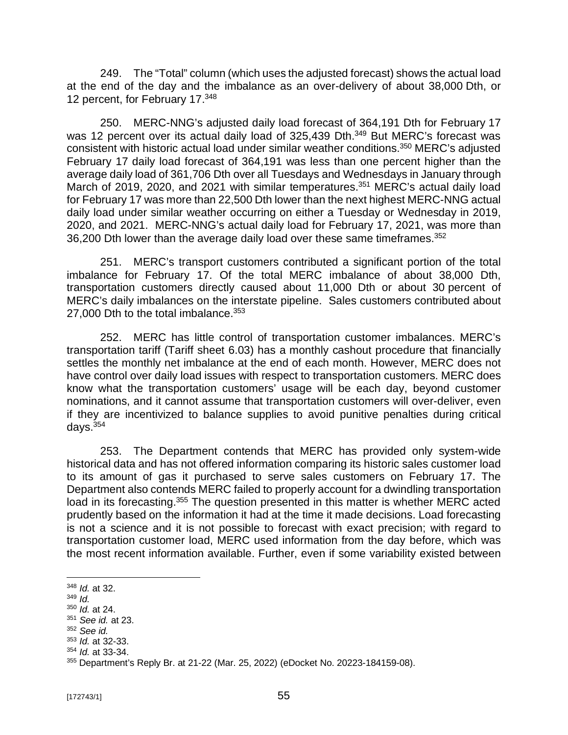249. The "Total" column (which uses the adjusted forecast) shows the actual load at the end of the day and the imbalance as an over-delivery of about 38,000 Dth, or 12 percent, for February 17.348

250. MERC-NNG's adjusted daily load forecast of 364,191 Dth for February 17 was 12 percent over its actual daily load of 325,439 Dth.<sup>349</sup> But MERC's forecast was consistent with historic actual load under similar weather conditions.<sup>350</sup> MERC's adjusted February 17 daily load forecast of 364,191 was less than one percent higher than the average daily load of 361,706 Dth over all Tuesdays and Wednesdays in January through March of 2019, 2020, and 2021 with similar temperatures.<sup>351</sup> MERC's actual daily load for February 17 was more than 22,500 Dth lower than the next highest MERC-NNG actual daily load under similar weather occurring on either a Tuesday or Wednesday in 2019, 2020, and 2021. MERC-NNG's actual daily load for February 17, 2021, was more than 36,200 Dth lower than the average daily load over these same timeframes.<sup>352</sup>

251. MERC's transport customers contributed a significant portion of the total imbalance for February 17. Of the total MERC imbalance of about 38,000 Dth, transportation customers directly caused about 11,000 Dth or about 30 percent of MERC's daily imbalances on the interstate pipeline. Sales customers contributed about 27,000 Dth to the total imbalance.<sup>353</sup>

252. MERC has little control of transportation customer imbalances. MERC's transportation tariff (Tariff sheet 6.03) has a monthly cashout procedure that financially settles the monthly net imbalance at the end of each month. However, MERC does not have control over daily load issues with respect to transportation customers. MERC does know what the transportation customers' usage will be each day, beyond customer nominations, and it cannot assume that transportation customers will over-deliver, even if they are incentivized to balance supplies to avoid punitive penalties during critical days.<sup>354</sup>

253. The Department contends that MERC has provided only system-wide historical data and has not offered information comparing its historic sales customer load to its amount of gas it purchased to serve sales customers on February 17. The Department also contends MERC failed to properly account for a dwindling transportation load in its forecasting.<sup>355</sup> The question presented in this matter is whether MERC acted prudently based on the information it had at the time it made decisions. Load forecasting is not a science and it is not possible to forecast with exact precision; with regard to transportation customer load, MERC used information from the day before, which was the most recent information available. Further, even if some variability existed between

<sup>348</sup> *Id.* at 32.

<sup>349</sup> *Id.*

<sup>350</sup> *Id.* at 24.

<sup>351</sup> *See id.* at 23.

<sup>352</sup> *See id.*

<sup>353</sup> *Id.* at 32-33.

<sup>354</sup> *Id.* at 33-34.

<sup>355</sup> Department's Reply Br. at 21-22 (Mar. 25, 2022) (eDocket No. 20223-184159-08).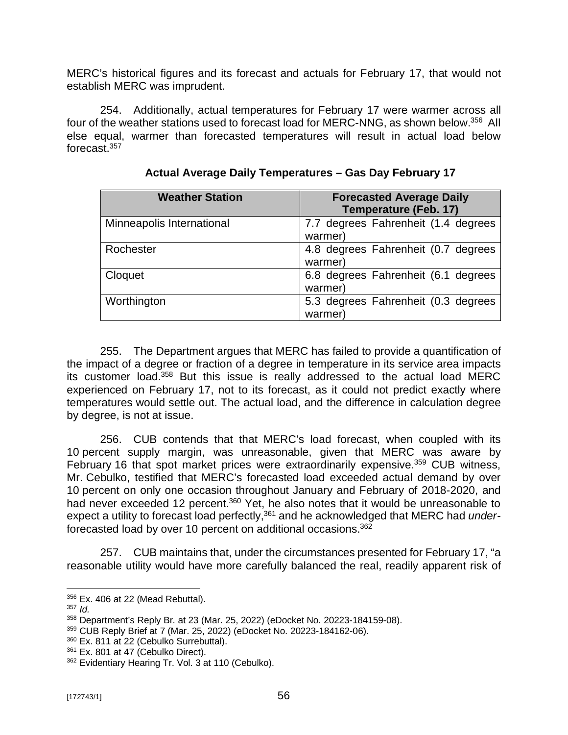MERC's historical figures and its forecast and actuals for February 17, that would not establish MERC was imprudent.

254. Additionally, actual temperatures for February 17 were warmer across all four of the weather stations used to forecast load for MERC-NNG, as shown below.<sup>356</sup> All else equal, warmer than forecasted temperatures will result in actual load below forecast.<sup>357</sup>

| <b>Weather Station</b>    | <b>Forecasted Average Daily</b><br><b>Temperature (Feb. 17)</b> |  |  |
|---------------------------|-----------------------------------------------------------------|--|--|
| Minneapolis International | 7.7 degrees Fahrenheit (1.4 degrees<br>warmer)                  |  |  |
| Rochester                 | 4.8 degrees Fahrenheit (0.7 degrees<br>warmer)                  |  |  |
| Cloquet                   | 6.8 degrees Fahrenheit (6.1 degrees<br>warmer)                  |  |  |
| Worthington               | 5.3 degrees Fahrenheit (0.3 degrees<br>warmer                   |  |  |

| Actual Average Daily Temperatures - Gas Day February 17 |  |  |  |
|---------------------------------------------------------|--|--|--|
|                                                         |  |  |  |

255. The Department argues that MERC has failed to provide a quantification of the impact of a degree or fraction of a degree in temperature in its service area impacts its customer load.<sup>358</sup> But this issue is really addressed to the actual load MERC experienced on February 17, not to its forecast, as it could not predict exactly where temperatures would settle out. The actual load, and the difference in calculation degree by degree, is not at issue.

256. CUB contends that that MERC's load forecast, when coupled with its 10 percent supply margin, was unreasonable, given that MERC was aware by February 16 that spot market prices were extraordinarily expensive.<sup>359</sup> CUB witness, Mr. Cebulko, testified that MERC's forecasted load exceeded actual demand by over 10 percent on only one occasion throughout January and February of 2018-2020, and had never exceeded 12 percent.<sup>360</sup> Yet, he also notes that it would be unreasonable to expect a utility to forecast load perfectly,<sup>361</sup> and he acknowledged that MERC had *under*forecasted load by over 10 percent on additional occasions.<sup>362</sup>

257. CUB maintains that, under the circumstances presented for February 17, "a reasonable utility would have more carefully balanced the real, readily apparent risk of

<sup>356</sup> Ex. 406 at 22 (Mead Rebuttal).

<sup>357</sup> *Id.*

<sup>358</sup> Department's Reply Br. at 23 (Mar. 25, 2022) (eDocket No. 20223-184159-08).

<sup>359</sup> CUB Reply Brief at 7 (Mar. 25, 2022) (eDocket No. 20223-184162-06).

<sup>360</sup> Ex. 811 at 22 (Cebulko Surrebuttal).

 $361$  Ex. 801 at 47 (Cebulko Direct).

<sup>362</sup> Evidentiary Hearing Tr. Vol. 3 at 110 (Cebulko).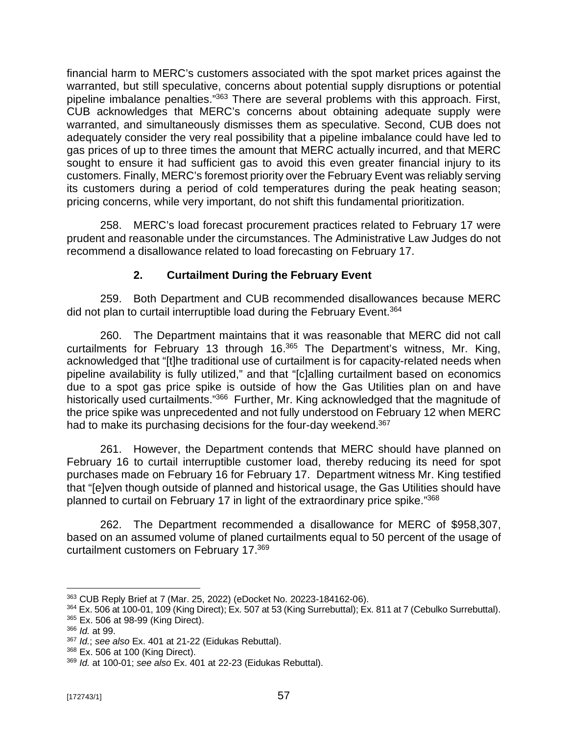financial harm to MERC's customers associated with the spot market prices against the warranted, but still speculative, concerns about potential supply disruptions or potential pipeline imbalance penalties."<sup>363</sup> There are several problems with this approach. First, CUB acknowledges that MERC's concerns about obtaining adequate supply were warranted, and simultaneously dismisses them as speculative. Second, CUB does not adequately consider the very real possibility that a pipeline imbalance could have led to gas prices of up to three times the amount that MERC actually incurred, and that MERC sought to ensure it had sufficient gas to avoid this even greater financial injury to its customers. Finally, MERC's foremost priority over the February Event was reliably serving its customers during a period of cold temperatures during the peak heating season; pricing concerns, while very important, do not shift this fundamental prioritization.

258. MERC's load forecast procurement practices related to February 17 were prudent and reasonable under the circumstances. The Administrative Law Judges do not recommend a disallowance related to load forecasting on February 17.

## **2. Curtailment During the February Event**

259. Both Department and CUB recommended disallowances because MERC did not plan to curtail interruptible load during the February Event.<sup>364</sup>

260. The Department maintains that it was reasonable that MERC did not call curtailments for February 13 through 16. <sup>365</sup> The Department's witness, Mr. King, acknowledged that "[t]he traditional use of curtailment is for capacity-related needs when pipeline availability is fully utilized," and that "[c]alling curtailment based on economics due to a spot gas price spike is outside of how the Gas Utilities plan on and have historically used curtailments."<sup>366</sup> Further, Mr. King acknowledged that the magnitude of the price spike was unprecedented and not fully understood on February 12 when MERC had to make its purchasing decisions for the four-day weekend.<sup>367</sup>

261. However, the Department contends that MERC should have planned on February 16 to curtail interruptible customer load, thereby reducing its need for spot purchases made on February 16 for February 17. Department witness Mr. King testified that "[e]ven though outside of planned and historical usage, the Gas Utilities should have planned to curtail on February 17 in light of the extraordinary price spike."<sup>368</sup>

262. The Department recommended a disallowance for MERC of \$958,307, based on an assumed volume of planed curtailments equal to 50 percent of the usage of curtailment customers on February 17. 369

<sup>363</sup> CUB Reply Brief at 7 (Mar. 25, 2022) (eDocket No. 20223-184162-06).

<sup>364</sup> Ex. 506 at 100-01, 109 (King Direct); Ex. 507 at 53 (King Surrebuttal); Ex. 811 at 7 (Cebulko Surrebuttal).

<sup>365</sup> Ex. 506 at 98-99 (King Direct).

<sup>366</sup> *Id.* at 99.

<sup>367</sup> *Id.*; *see also* Ex. 401 at 21-22 (Eidukas Rebuttal).

<sup>368</sup> Ex. 506 at 100 (King Direct).

<sup>369</sup> *Id.* at 100-01; *see also* Ex. 401 at 22-23 (Eidukas Rebuttal).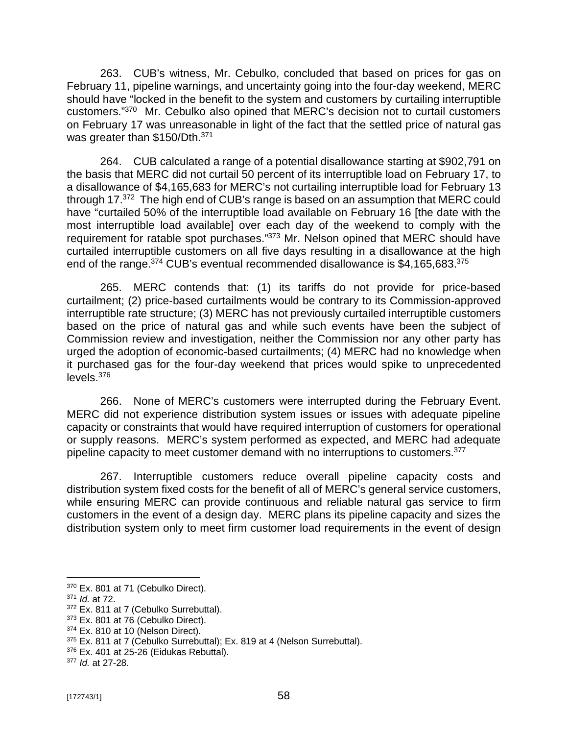263. CUB's witness, Mr. Cebulko, concluded that based on prices for gas on February 11, pipeline warnings, and uncertainty going into the four-day weekend, MERC should have "locked in the benefit to the system and customers by curtailing interruptible customers." 370 Mr. Cebulko also opined that MERC's decision not to curtail customers on February 17 was unreasonable in light of the fact that the settled price of natural gas was greater than \$150/Dth.<sup>371</sup>

264. CUB calculated a range of a potential disallowance starting at \$902,791 on the basis that MERC did not curtail 50 percent of its interruptible load on February 17, to a disallowance of \$4,165,683 for MERC's not curtailing interruptible load for February 13 through 17.<sup>372</sup> The high end of CUB's range is based on an assumption that MERC could have "curtailed 50% of the interruptible load available on February 16 [the date with the most interruptible load available] over each day of the weekend to comply with the requirement for ratable spot purchases."<sup>373</sup> Mr. Nelson opined that MERC should have curtailed interruptible customers on all five days resulting in a disallowance at the high end of the range.<sup>374</sup> CUB's eventual recommended disallowance is \$4,165,683.<sup>375</sup>

265. MERC contends that: (1) its tariffs do not provide for price-based curtailment; (2) price-based curtailments would be contrary to its Commission-approved interruptible rate structure; (3) MERC has not previously curtailed interruptible customers based on the price of natural gas and while such events have been the subject of Commission review and investigation, neither the Commission nor any other party has urged the adoption of economic-based curtailments; (4) MERC had no knowledge when it purchased gas for the four-day weekend that prices would spike to unprecedented levels. 376

266. None of MERC's customers were interrupted during the February Event. MERC did not experience distribution system issues or issues with adequate pipeline capacity or constraints that would have required interruption of customers for operational or supply reasons. MERC's system performed as expected, and MERC had adequate pipeline capacity to meet customer demand with no interruptions to customers.<sup>377</sup>

267. Interruptible customers reduce overall pipeline capacity costs and distribution system fixed costs for the benefit of all of MERC's general service customers, while ensuring MERC can provide continuous and reliable natural gas service to firm customers in the event of a design day. MERC plans its pipeline capacity and sizes the distribution system only to meet firm customer load requirements in the event of design

 $370$  Ex. 801 at 71 (Cebulko Direct).

<sup>371</sup> *Id.* at 72.

<sup>372</sup> Ex. 811 at 7 (Cebulko Surrebuttal).

<sup>&</sup>lt;sup>373</sup> Ex. 801 at 76 (Cebulko Direct).

<sup>374</sup> Ex. 810 at 10 (Nelson Direct).

<sup>&</sup>lt;sup>375</sup> Ex. 811 at 7 (Cebulko Surrebuttal); Ex. 819 at 4 (Nelson Surrebuttal).

 $376$  Ex. 401 at 25-26 (Eidukas Rebuttal).

<sup>377</sup> *Id.* at 27-28.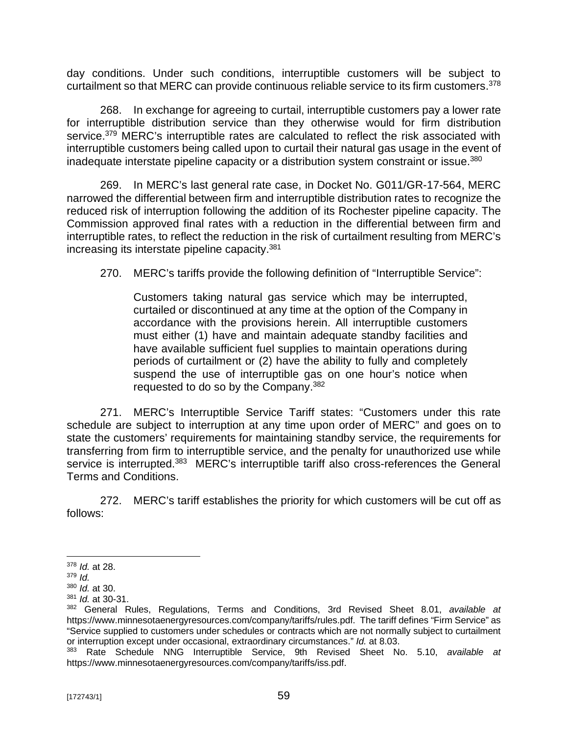day conditions. Under such conditions, interruptible customers will be subject to curtailment so that MERC can provide continuous reliable service to its firm customers.<sup>378</sup>

268. In exchange for agreeing to curtail, interruptible customers pay a lower rate for interruptible distribution service than they otherwise would for firm distribution service.<sup>379</sup> MERC's interruptible rates are calculated to reflect the risk associated with interruptible customers being called upon to curtail their natural gas usage in the event of inadequate interstate pipeline capacity or a distribution system constraint or issue.<sup>380</sup>

269. In MERC's last general rate case, in Docket No. G011/GR-17-564, MERC narrowed the differential between firm and interruptible distribution rates to recognize the reduced risk of interruption following the addition of its Rochester pipeline capacity. The Commission approved final rates with a reduction in the differential between firm and interruptible rates, to reflect the reduction in the risk of curtailment resulting from MERC's increasing its interstate pipeline capacity.<sup>381</sup>

270. MERC's tariffs provide the following definition of "Interruptible Service":

Customers taking natural gas service which may be interrupted, curtailed or discontinued at any time at the option of the Company in accordance with the provisions herein. All interruptible customers must either (1) have and maintain adequate standby facilities and have available sufficient fuel supplies to maintain operations during periods of curtailment or (2) have the ability to fully and completely suspend the use of interruptible gas on one hour's notice when requested to do so by the Company.<sup>382</sup>

271. MERC's Interruptible Service Tariff states: "Customers under this rate schedule are subject to interruption at any time upon order of MERC" and goes on to state the customers' requirements for maintaining standby service, the requirements for transferring from firm to interruptible service, and the penalty for unauthorized use while service is interrupted.<sup>383</sup> MERC's interruptible tariff also cross-references the General Terms and Conditions.

272. MERC's tariff establishes the priority for which customers will be cut off as follows:

<sup>378</sup> *Id.* at 28.

<sup>379</sup> *Id.*

<sup>380</sup> *Id.* at 30.

<sup>381</sup> *Id.* at 30-31.

<sup>382</sup> General Rules, Regulations, Terms and Conditions, 3rd Revised Sheet 8.01, *available at* <https://www.minnesotaenergyresources.com/company/tariffs/rules.pdf.> The tariff defines "Firm Service" as "Service supplied to customers under schedules or contracts which are not normally subject to curtailment or interruption except under occasional, extraordinary circumstances." *Id.* at 8.03.

<sup>383</sup> Rate Schedule NNG Interruptible Service, 9th Revised Sheet No. 5.10, *available at* <https://www.minnesotaenergyresources.com/company/tariffs/iss.pdf.>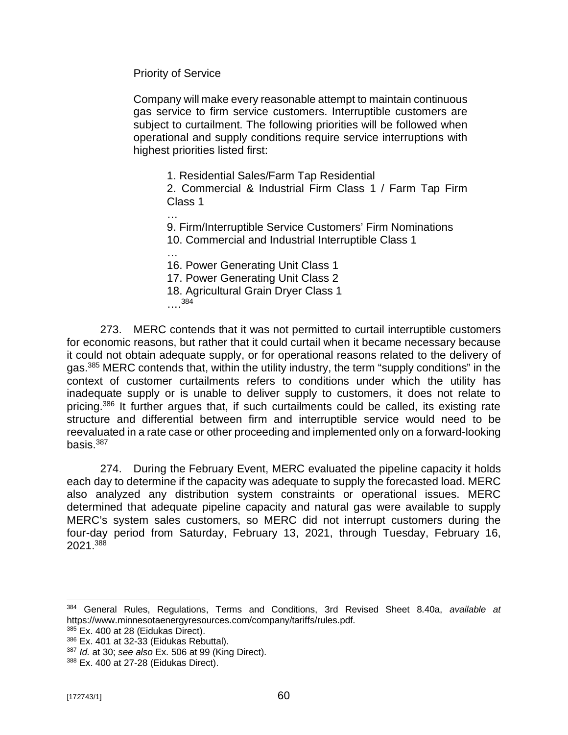Priority of Service

Company will make every reasonable attempt to maintain continuous gas service to firm service customers. Interruptible customers are subject to curtailment. The following priorities will be followed when operational and supply conditions require service interruptions with highest priorities listed first:

1. Residential Sales/Farm Tap Residential

2. Commercial & Industrial Firm Class 1 / Farm Tap Firm Class 1

…

9. Firm/Interruptible Service Customers' Firm Nominations 10. Commercial and Industrial Interruptible Class 1

… 16. Power Generating Unit Class 1 17. Power Generating Unit Class 2 18. Agricultural Grain Dryer Class 1 …. 384

273. MERC contends that it was not permitted to curtail interruptible customers for economic reasons, but rather that it could curtail when it became necessary because it could not obtain adequate supply, or for operational reasons related to the delivery of gas.<sup>385</sup> MERC contends that, within the utility industry, the term "supply conditions" in the context of customer curtailments refers to conditions under which the utility has inadequate supply or is unable to deliver supply to customers, it does not relate to pricing.<sup>386</sup> It further argues that, if such curtailments could be called, its existing rate structure and differential between firm and interruptible service would need to be reevaluated in a rate case or other proceeding and implemented only on a forward-looking basis.<sup>387</sup>

274. During the February Event, MERC evaluated the pipeline capacity it holds each day to determine if the capacity was adequate to supply the forecasted load. MERC also analyzed any distribution system constraints or operational issues. MERC determined that adequate pipeline capacity and natural gas were available to supply MERC's system sales customers, so MERC did not interrupt customers during the four-day period from Saturday, February 13, 2021, through Tuesday, February 16, 2021.<sup>388</sup>

<sup>384</sup> General Rules, Regulations, Terms and Conditions, 3rd Revised Sheet 8.40a, *available at* <https://www.minnesotaenergyresources.com/company/tariffs/rules.pdf.>

 $385$  Ex. 400 at 28 (Eidukas Direct).

<sup>386</sup> Ex. 401 at 32-33 (Eidukas Rebuttal).

<sup>387</sup> *Id.* at 30; *see also* Ex. 506 at 99 (King Direct).

<sup>388</sup> Ex. 400 at 27-28 (Eidukas Direct).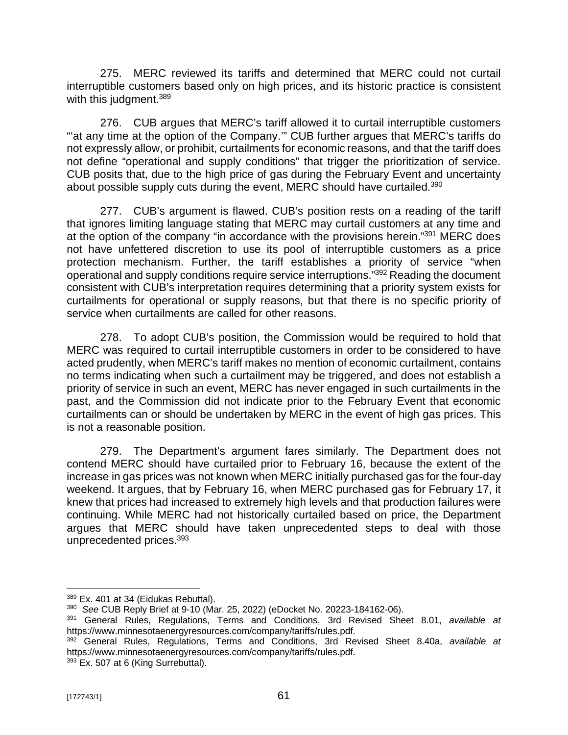275. MERC reviewed its tariffs and determined that MERC could not curtail interruptible customers based only on high prices, and its historic practice is consistent with this judgment. 389

276. CUB argues that MERC's tariff allowed it to curtail interruptible customers "at any time at the option of the Company."" CUB further argues that MERC's tariffs do not expressly allow, or prohibit, curtailments for economic reasons, and that the tariff does not define "operational and supply conditions" that trigger the prioritization of service. CUB posits that, due to the high price of gas during the February Event and uncertainty about possible supply cuts during the event, MERC should have curtailed.<sup>390</sup>

277. CUB's argument is flawed. CUB's position rests on a reading of the tariff that ignores limiting language stating that MERC may curtail customers at any time and at the option of the company "in accordance with the provisions herein."<sup>391</sup> MERC does not have unfettered discretion to use its pool of interruptible customers as a price protection mechanism. Further, the tariff establishes a priority of service "when operational and supply conditions require service interruptions." <sup>392</sup> Reading the document consistent with CUB's interpretation requires determining that a priority system exists for curtailments for operational or supply reasons, but that there is no specific priority of service when curtailments are called for other reasons.

278. To adopt CUB's position, the Commission would be required to hold that MERC was required to curtail interruptible customers in order to be considered to have acted prudently, when MERC's tariff makes no mention of economic curtailment, contains no terms indicating when such a curtailment may be triggered, and does not establish a priority of service in such an event, MERC has never engaged in such curtailments in the past, and the Commission did not indicate prior to the February Event that economic curtailments can or should be undertaken by MERC in the event of high gas prices. This is not a reasonable position.

279. The Department's argument fares similarly. The Department does not contend MERC should have curtailed prior to February 16, because the extent of the increase in gas prices was not known when MERC initially purchased gas for the four-day weekend. It argues, that by February 16, when MERC purchased gas for February 17, it knew that prices had increased to extremely high levels and that production failures were continuing. While MERC had not historically curtailed based on price, the Department argues that MERC should have taken unprecedented steps to deal with those unprecedented prices.<sup>393</sup>

<sup>389</sup> Ex. 401 at 34 (Eidukas Rebuttal).

<sup>390</sup> *See* CUB Reply Brief at 9-10 (Mar. 25, 2022) (eDocket No. 20223-184162-06).

<sup>391</sup> General Rules, Regulations, Terms and Conditions, 3rd Revised Sheet 8.01, *available at* <https://www.minnesotaenergyresources.com/company/tariffs/rules.pdf.>

<sup>392</sup> General Rules, Regulations, Terms and Conditions, 3rd Revised Sheet 8.40a, *available at* <https://www.minnesotaenergyresources.com/company/tariffs/rules.pdf.> 393 Ex. 507 at 6 (King Surrebuttal).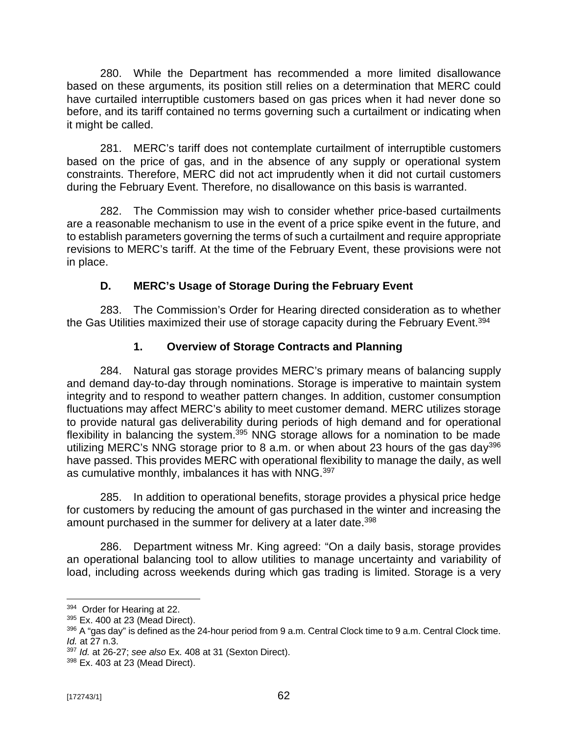280. While the Department has recommended a more limited disallowance based on these arguments, its position still relies on a determination that MERC could have curtailed interruptible customers based on gas prices when it had never done so before, and its tariff contained no terms governing such a curtailment or indicating when it might be called.

281. MERC's tariff does not contemplate curtailment of interruptible customers based on the price of gas, and in the absence of any supply or operational system constraints. Therefore, MERC did not act imprudently when it did not curtail customers during the February Event. Therefore, no disallowance on this basis is warranted.

282. The Commission may wish to consider whether price-based curtailments are a reasonable mechanism to use in the event of a price spike event in the future, and to establish parameters governing the terms of such a curtailment and require appropriate revisions to MERC's tariff. At the time of the February Event, these provisions were not in place.

# **D. MERC's Usage of Storage During the February Event**

283. The Commission's Order for Hearing directed consideration as to whether the Gas Utilities maximized their use of storage capacity during the February Event.<sup>394</sup>

# **1. Overview of Storage Contracts and Planning**

284. Natural gas storage provides MERC's primary means of balancing supply and demand day-to-day through nominations. Storage is imperative to maintain system integrity and to respond to weather pattern changes. In addition, customer consumption fluctuations may affect MERC's ability to meet customer demand. MERC utilizes storage to provide natural gas deliverability during periods of high demand and for operational flexibility in balancing the system.<sup>395</sup> NNG storage allows for a nomination to be made utilizing MERC's NNG storage prior to 8 a.m. or when about 23 hours of the gas day<sup>396</sup> have passed. This provides MERC with operational flexibility to manage the daily, as well as cumulative monthly, imbalances it has with NNG.<sup>397</sup>

285. In addition to operational benefits, storage provides a physical price hedge for customers by reducing the amount of gas purchased in the winter and increasing the amount purchased in the summer for delivery at a later date.<sup>398</sup>

286. Department witness Mr. King agreed: "On a daily basis, storage provides an operational balancing tool to allow utilities to manage uncertainty and variability of load, including across weekends during which gas trading is limited. Storage is a very

<sup>&</sup>lt;sup>394</sup> Order for Hearing at 22.

<sup>395</sup> Ex. 400 at 23 (Mead Direct).

 $396$  A "gas day" is defined as the 24-hour period from 9 a.m. Central Clock time to 9 a.m. Central Clock time. *Id.* at 27 n.3.

<sup>397</sup> *Id.* at 26-27; *see also* Ex. 408 at 31 (Sexton Direct).

<sup>398</sup> Ex. 403 at 23 (Mead Direct).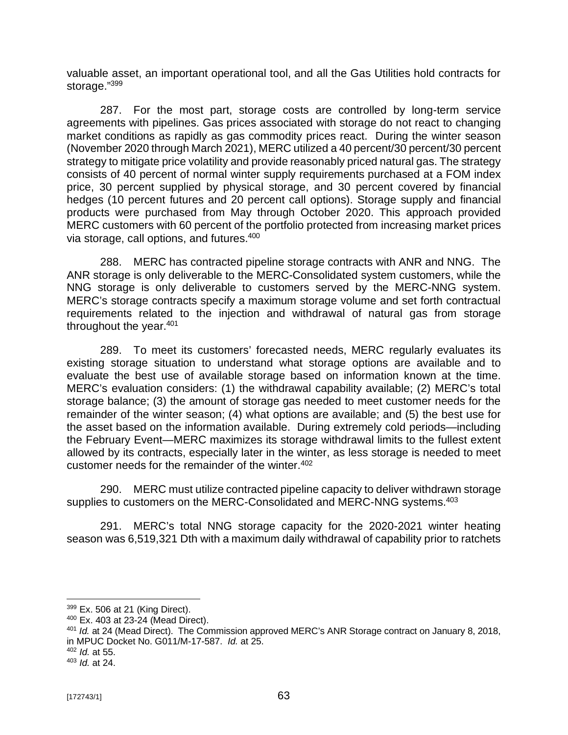valuable asset, an important operational tool, and all the Gas Utilities hold contracts for storage."<sup>399</sup>

287. For the most part, storage costs are controlled by long-term service agreements with pipelines. Gas prices associated with storage do not react to changing market conditions as rapidly as gas commodity prices react. During the winter season (November 2020 through March 2021), MERC utilized a 40 percent/30 percent/30 percent strategy to mitigate price volatility and provide reasonably priced natural gas. The strategy consists of 40 percent of normal winter supply requirements purchased at a FOM index price, 30 percent supplied by physical storage, and 30 percent covered by financial hedges (10 percent futures and 20 percent call options). Storage supply and financial products were purchased from May through October 2020. This approach provided MERC customers with 60 percent of the portfolio protected from increasing market prices via storage, call options, and futures.<sup>400</sup>

288. MERC has contracted pipeline storage contracts with ANR and NNG. The ANR storage is only deliverable to the MERC-Consolidated system customers, while the NNG storage is only deliverable to customers served by the MERC-NNG system. MERC's storage contracts specify a maximum storage volume and set forth contractual requirements related to the injection and withdrawal of natural gas from storage throughout the year.<sup>401</sup>

289. To meet its customers' forecasted needs, MERC regularly evaluates its existing storage situation to understand what storage options are available and to evaluate the best use of available storage based on information known at the time. MERC's evaluation considers: (1) the withdrawal capability available; (2) MERC's total storage balance; (3) the amount of storage gas needed to meet customer needs for the remainder of the winter season; (4) what options are available; and (5) the best use for the asset based on the information available. During extremely cold periods—including the February Event—MERC maximizes its storage withdrawal limits to the fullest extent allowed by its contracts, especially later in the winter, as less storage is needed to meet customer needs for the remainder of the winter.<sup>402</sup>

290. MERC must utilize contracted pipeline capacity to deliver withdrawn storage supplies to customers on the MERC-Consolidated and MERC-NNG systems.<sup>403</sup>

291. MERC's total NNG storage capacity for the 2020-2021 winter heating season was 6,519,321 Dth with a maximum daily withdrawal of capability prior to ratchets

- <sup>400</sup> Ex. 403 at 23-24 (Mead Direct).
- <sup>401</sup> *Id.* at 24 (Mead Direct). The Commission approved MERC's ANR Storage contract on January 8, 2018, in MPUC Docket No. G011/M-17-587. *Id.* at 25.

<sup>399</sup> Ex. 506 at 21 (King Direct).

<sup>402</sup> *Id.* at 55.

<sup>403</sup> *Id.* at 24.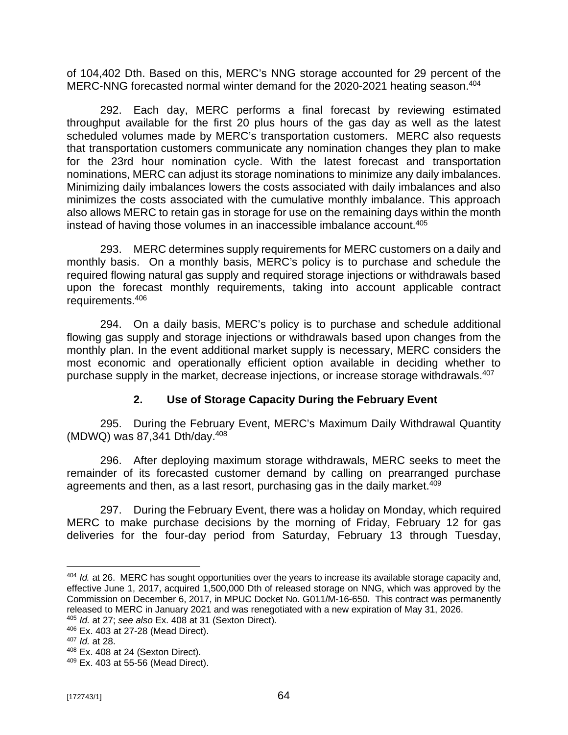of 104,402 Dth. Based on this, MERC's NNG storage accounted for 29 percent of the MERC-NNG forecasted normal winter demand for the 2020-2021 heating season.<sup>404</sup>

292. Each day, MERC performs a final forecast by reviewing estimated throughput available for the first 20 plus hours of the gas day as well as the latest scheduled volumes made by MERC's transportation customers. MERC also requests that transportation customers communicate any nomination changes they plan to make for the 23rd hour nomination cycle. With the latest forecast and transportation nominations, MERC can adjust its storage nominations to minimize any daily imbalances. Minimizing daily imbalances lowers the costs associated with daily imbalances and also minimizes the costs associated with the cumulative monthly imbalance. This approach also allows MERC to retain gas in storage for use on the remaining days within the month instead of having those volumes in an inaccessible imbalance account.<sup>405</sup>

293. MERC determines supply requirements for MERC customers on a daily and monthly basis. On a monthly basis, MERC's policy is to purchase and schedule the required flowing natural gas supply and required storage injections or withdrawals based upon the forecast monthly requirements, taking into account applicable contract requirements.<sup>406</sup>

294. On a daily basis, MERC's policy is to purchase and schedule additional flowing gas supply and storage injections or withdrawals based upon changes from the monthly plan. In the event additional market supply is necessary, MERC considers the most economic and operationally efficient option available in deciding whether to purchase supply in the market, decrease injections, or increase storage withdrawals.<sup>407</sup>

## **2. Use of Storage Capacity During the February Event**

295. During the February Event, MERC's Maximum Daily Withdrawal Quantity (MDWQ) was 87,341 Dth/day.<sup>408</sup>

296. After deploying maximum storage withdrawals, MERC seeks to meet the remainder of its forecasted customer demand by calling on prearranged purchase agreements and then, as a last resort, purchasing gas in the daily market.<sup>409</sup>

297. During the February Event, there was a holiday on Monday, which required MERC to make purchase decisions by the morning of Friday, February 12 for gas deliveries for the four-day period from Saturday, February 13 through Tuesday,

- <sup>405</sup> *Id.* at 27; *see also* Ex. 408 at 31 (Sexton Direct).
- <sup>406</sup> Ex. 403 at 27-28 (Mead Direct).

<sup>404</sup> *Id.* at 26. MERC has sought opportunities over the years to increase its available storage capacity and, effective June 1, 2017, acquired 1,500,000 Dth of released storage on NNG, which was approved by the Commission on December 6, 2017, in MPUC Docket No. G011/M-16-650. This contract was permanently released to MERC in January 2021 and was renegotiated with a new expiration of May 31, 2026.

<sup>407</sup> *Id.* at 28.

<sup>408</sup> Ex. 408 at 24 (Sexton Direct).

<sup>409</sup> Ex. 403 at 55-56 (Mead Direct).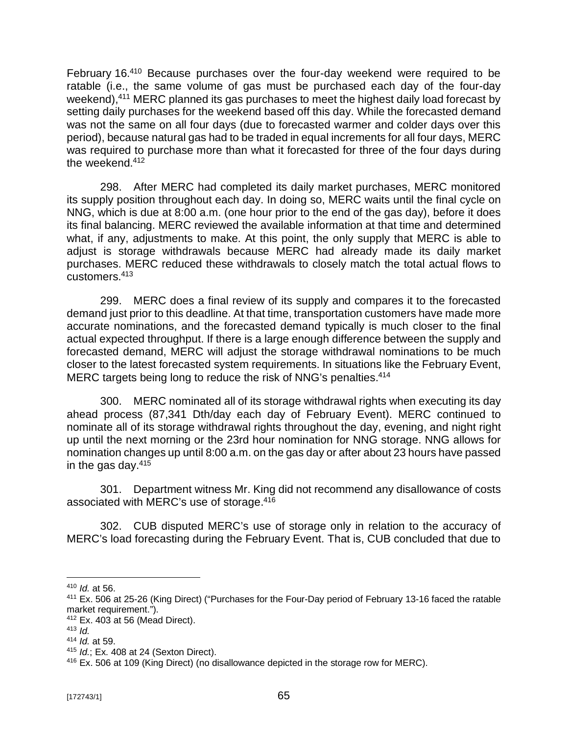February 16.<sup>410</sup> Because purchases over the four-day weekend were required to be ratable (i.e., the same volume of gas must be purchased each day of the four-day weekend),<sup>411</sup> MERC planned its gas purchases to meet the highest daily load forecast by setting daily purchases for the weekend based off this day. While the forecasted demand was not the same on all four days (due to forecasted warmer and colder days over this period), because natural gas had to be traded in equal increments for all four days, MERC was required to purchase more than what it forecasted for three of the four days during the weekend.<sup>412</sup>

298. After MERC had completed its daily market purchases, MERC monitored its supply position throughout each day. In doing so, MERC waits until the final cycle on NNG, which is due at 8:00 a.m. (one hour prior to the end of the gas day), before it does its final balancing. MERC reviewed the available information at that time and determined what, if any, adjustments to make. At this point, the only supply that MERC is able to adjust is storage withdrawals because MERC had already made its daily market purchases. MERC reduced these withdrawals to closely match the total actual flows to customers.<sup>413</sup>

299. MERC does a final review of its supply and compares it to the forecasted demand just prior to this deadline. At that time, transportation customers have made more accurate nominations, and the forecasted demand typically is much closer to the final actual expected throughput. If there is a large enough difference between the supply and forecasted demand, MERC will adjust the storage withdrawal nominations to be much closer to the latest forecasted system requirements. In situations like the February Event, MERC targets being long to reduce the risk of NNG's penalties.<sup>414</sup>

300. MERC nominated all of its storage withdrawal rights when executing its day ahead process (87,341 Dth/day each day of February Event). MERC continued to nominate all of its storage withdrawal rights throughout the day, evening, and night right up until the next morning or the 23rd hour nomination for NNG storage. NNG allows for nomination changes up until 8:00 a.m. on the gas day or after about 23 hours have passed in the gas day. $415$ 

301. Department witness Mr. King did not recommend any disallowance of costs associated with MERC's use of storage. 416

302. CUB disputed MERC's use of storage only in relation to the accuracy of MERC's load forecasting during the February Event. That is, CUB concluded that due to

<sup>410</sup> *Id.* at 56.

<sup>411</sup> Ex. 506 at 25-26 (King Direct) ("Purchases for the Four-Day period of February 13-16 faced the ratable market requirement.").

<sup>412</sup> Ex. 403 at 56 (Mead Direct).

<sup>413</sup>  $\overline{d}$ 

<sup>414</sup> *Id.* at 59.

<sup>415</sup> *Id.*; Ex. 408 at 24 (Sexton Direct).

<sup>416</sup> Ex. 506 at 109 (King Direct) (no disallowance depicted in the storage row for MERC).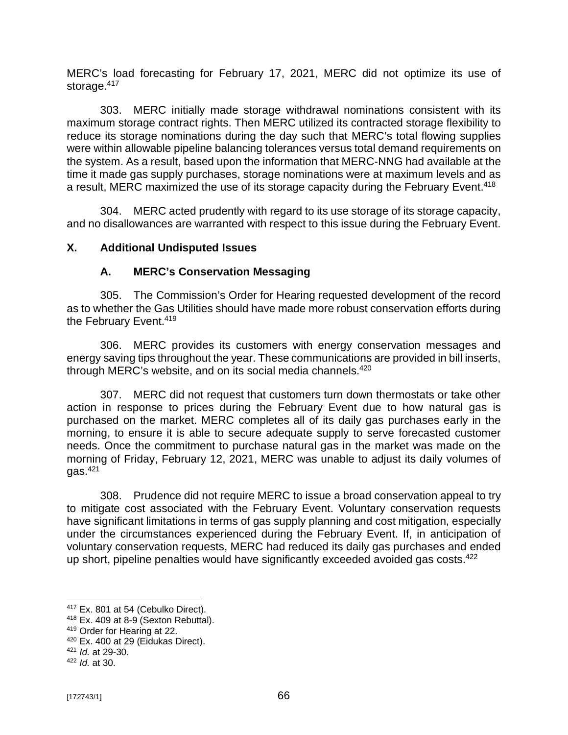MERC's load forecasting for February 17, 2021, MERC did not optimize its use of storage.<sup>417</sup>

303. MERC initially made storage withdrawal nominations consistent with its maximum storage contract rights. Then MERC utilized its contracted storage flexibility to reduce its storage nominations during the day such that MERC's total flowing supplies were within allowable pipeline balancing tolerances versus total demand requirements on the system. As a result, based upon the information that MERC-NNG had available at the time it made gas supply purchases, storage nominations were at maximum levels and as a result, MERC maximized the use of its storage capacity during the February Event.<sup>418</sup>

304. MERC acted prudently with regard to its use storage of its storage capacity, and no disallowances are warranted with respect to this issue during the February Event.

## **X. Additional Undisputed Issues**

## **A. MERC's Conservation Messaging**

305. The Commission's Order for Hearing requested development of the record as to whether the Gas Utilities should have made more robust conservation efforts during the February Event.<sup>419</sup>

306. MERC provides its customers with energy conservation messages and energy saving tips throughout the year. These communications are provided in bill inserts, through MERC's website, and on its social media channels.<sup>420</sup>

307. MERC did not request that customers turn down thermostats or take other action in response to prices during the February Event due to how natural gas is purchased on the market. MERC completes all of its daily gas purchases early in the morning, to ensure it is able to secure adequate supply to serve forecasted customer needs. Once the commitment to purchase natural gas in the market was made on the morning of Friday, February 12, 2021, MERC was unable to adjust its daily volumes of  $a$ as. $421$ 

308. Prudence did not require MERC to issue a broad conservation appeal to try to mitigate cost associated with the February Event. Voluntary conservation requests have significant limitations in terms of gas supply planning and cost mitigation, especially under the circumstances experienced during the February Event. If, in anticipation of voluntary conservation requests, MERC had reduced its daily gas purchases and ended up short, pipeline penalties would have significantly exceeded avoided gas costs.<sup>422</sup>

<sup>&</sup>lt;sup>417</sup> Ex. 801 at 54 (Cebulko Direct).

<sup>418</sup> Ex. 409 at 8-9 (Sexton Rebuttal).

<sup>419</sup> Order for Hearing at 22.

<sup>&</sup>lt;sup>420</sup> Ex. 400 at 29 (Eidukas Direct).

<sup>421</sup> *Id.* at 29-30.

<sup>422</sup> *Id.* at 30.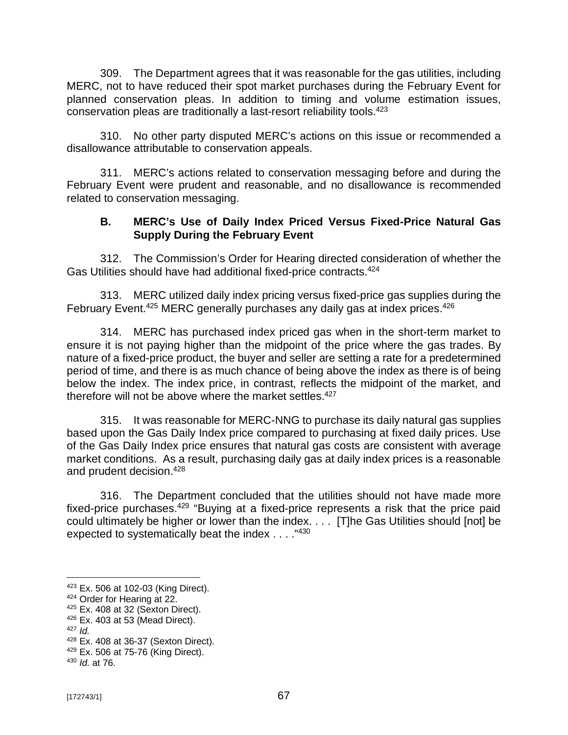309. The Department agrees that it was reasonable for the gas utilities, including MERC, not to have reduced their spot market purchases during the February Event for planned conservation pleas. In addition to timing and volume estimation issues, conservation pleas are traditionally a last-resort reliability tools.<sup>423</sup>

310. No other party disputed MERC's actions on this issue or recommended a disallowance attributable to conservation appeals.

311. MERC's actions related to conservation messaging before and during the February Event were prudent and reasonable, and no disallowance is recommended related to conservation messaging.

### **B. MERC's Use of Daily Index Priced Versus Fixed-Price Natural Gas Supply During the February Event**

312. The Commission's Order for Hearing directed consideration of whether the Gas Utilities should have had additional fixed-price contracts.<sup>424</sup>

313. MERC utilized daily index pricing versus fixed-price gas supplies during the February Event.<sup>425</sup> MERC generally purchases any daily gas at index prices.<sup>426</sup>

314. MERC has purchased index priced gas when in the short-term market to ensure it is not paying higher than the midpoint of the price where the gas trades. By nature of a fixed-price product, the buyer and seller are setting a rate for a predetermined period of time, and there is as much chance of being above the index as there is of being below the index. The index price, in contrast, reflects the midpoint of the market, and therefore will not be above where the market settles.<sup>427</sup>

315. It was reasonable for MERC-NNG to purchase its daily natural gas supplies based upon the Gas Daily Index price compared to purchasing at fixed daily prices. Use of the Gas Daily Index price ensures that natural gas costs are consistent with average market conditions. As a result, purchasing daily gas at daily index prices is a reasonable and prudent decision.<sup>428</sup>

316. The Department concluded that the utilities should not have made more fixed-price purchases.<sup>429</sup> "Buying at a fixed-price represents a risk that the price paid could ultimately be higher or lower than the index. . . . [T]he Gas Utilities should [not] be expected to systematically beat the index . . . ."<sup>430</sup>

 $423$  Ex. 506 at 102-03 (King Direct).

<sup>424</sup> Order for Hearing at 22.

 $425$  Ex. 408 at 32 (Sexton Direct).

<sup>426</sup> Ex. 403 at 53 (Mead Direct).

<sup>427</sup> *Id.*

<sup>428</sup> Ex. 408 at 36-37 (Sexton Direct).

<sup>429</sup> Ex. 506 at 75-76 (King Direct).

<sup>430</sup> *Id.* at 76.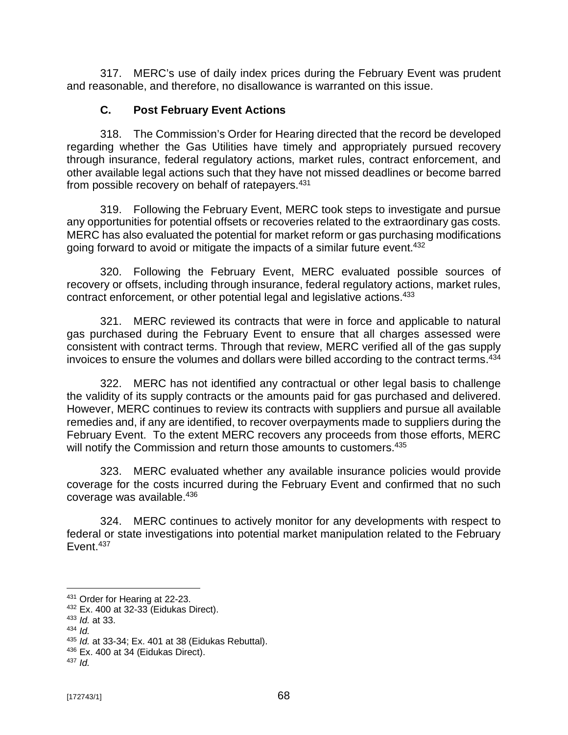317. MERC's use of daily index prices during the February Event was prudent and reasonable, and therefore, no disallowance is warranted on this issue.

### **C. Post February Event Actions**

318. The Commission's Order for Hearing directed that the record be developed regarding whether the Gas Utilities have timely and appropriately pursued recovery through insurance, federal regulatory actions, market rules, contract enforcement, and other available legal actions such that they have not missed deadlines or become barred from possible recovery on behalf of ratepayers.<sup>431</sup>

319. Following the February Event, MERC took steps to investigate and pursue any opportunities for potential offsets or recoveries related to the extraordinary gas costs. MERC has also evaluated the potential for market reform or gas purchasing modifications going forward to avoid or mitigate the impacts of a similar future event.<sup>432</sup>

320. Following the February Event, MERC evaluated possible sources of recovery or offsets, including through insurance, federal regulatory actions, market rules, contract enforcement, or other potential legal and legislative actions.<sup>433</sup>

321. MERC reviewed its contracts that were in force and applicable to natural gas purchased during the February Event to ensure that all charges assessed were consistent with contract terms. Through that review, MERC verified all of the gas supply invoices to ensure the volumes and dollars were billed according to the contract terms.<sup>434</sup>

322. MERC has not identified any contractual or other legal basis to challenge the validity of its supply contracts or the amounts paid for gas purchased and delivered. However, MERC continues to review its contracts with suppliers and pursue all available remedies and, if any are identified, to recover overpayments made to suppliers during the February Event. To the extent MERC recovers any proceeds from those efforts, MERC will notify the Commission and return those amounts to customers.<sup>435</sup>

323. MERC evaluated whether any available insurance policies would provide coverage for the costs incurred during the February Event and confirmed that no such coverage was available.<sup>436</sup>

324. MERC continues to actively monitor for any developments with respect to federal or state investigations into potential market manipulation related to the February Event.<sup>437</sup>

<sup>431</sup> Order for Hearing at 22-23.

<sup>432</sup> Ex. 400 at 32-33 (Eidukas Direct).

<sup>433</sup> *Id.* at 33.

<sup>434</sup> *Id.*

<sup>435</sup> *Id.* at 33-34; Ex. 401 at 38 (Eidukas Rebuttal).

<sup>&</sup>lt;sup>436</sup> Ex. 400 at 34 (Eidukas Direct).

<sup>437</sup> *Id.*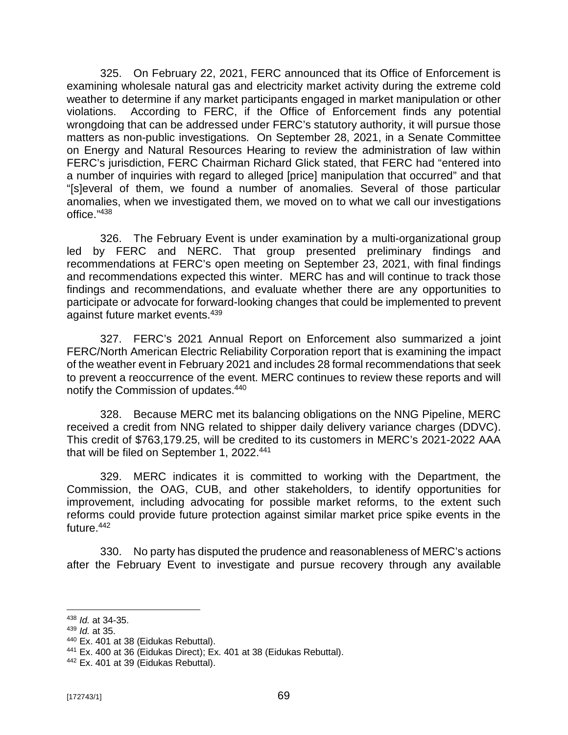325. On February 22, 2021, FERC announced that its Office of Enforcement is examining wholesale natural gas and electricity market activity during the extreme cold weather to determine if any market participants engaged in market manipulation or other violations. According to FERC, if the Office of Enforcement finds any potential wrongdoing that can be addressed under FERC's statutory authority, it will pursue those matters as non-public investigations. On September 28, 2021, in a Senate Committee on Energy and Natural Resources Hearing to review the administration of law within FERC's jurisdiction, FERC Chairman Richard Glick stated, that FERC had "entered into a number of inquiries with regard to alleged [price] manipulation that occurred" and that "[s]everal of them, we found a number of anomalies. Several of those particular anomalies, when we investigated them, we moved on to what we call our investigations office." 438

326. The February Event is under examination by a multi-organizational group led by FERC and NERC. That group presented preliminary findings and recommendations at FERC's open meeting on September 23, 2021, with final findings and recommendations expected this winter. MERC has and will continue to track those findings and recommendations, and evaluate whether there are any opportunities to participate or advocate for forward-looking changes that could be implemented to prevent against future market events.<sup>439</sup>

327. FERC's 2021 Annual Report on Enforcement also summarized a joint FERC/North American Electric Reliability Corporation report that is examining the impact of the weather event in February 2021 and includes 28 formal recommendations that seek to prevent a reoccurrence of the event. MERC continues to review these reports and will notify the Commission of updates.<sup>440</sup>

328. Because MERC met its balancing obligations on the NNG Pipeline, MERC received a credit from NNG related to shipper daily delivery variance charges (DDVC). This credit of \$763,179.25, will be credited to its customers in MERC's 2021-2022 AAA that will be filed on September 1, 2022.<sup>441</sup>

329. MERC indicates it is committed to working with the Department, the Commission, the OAG, CUB, and other stakeholders, to identify opportunities for improvement, including advocating for possible market reforms, to the extent such reforms could provide future protection against similar market price spike events in the future.<sup>442</sup>

330. No party has disputed the prudence and reasonableness of MERC's actions after the February Event to investigate and pursue recovery through any available

<sup>438</sup> *Id.* at 34-35.

<sup>439</sup> *Id.* at 35.

<sup>440</sup> Ex. 401 at 38 (Eidukas Rebuttal).

 $441$  Ex. 400 at 36 (Eidukas Direct); Ex. 401 at 38 (Eidukas Rebuttal).

<sup>&</sup>lt;sup>442</sup> Ex. 401 at 39 (Eidukas Rebuttal).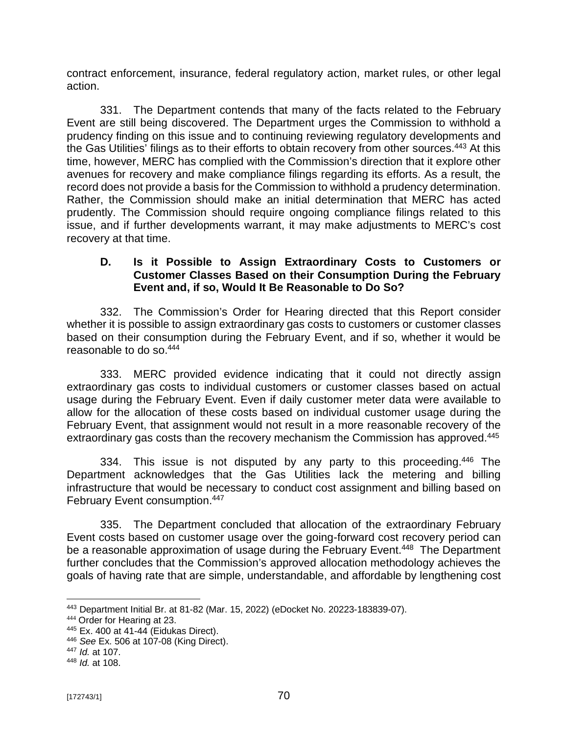contract enforcement, insurance, federal regulatory action, market rules, or other legal action.

331. The Department contends that many of the facts related to the February Event are still being discovered. The Department urges the Commission to withhold a prudency finding on this issue and to continuing reviewing regulatory developments and the Gas Utilities' filings as to their efforts to obtain recovery from other sources.<sup>443</sup> At this time, however, MERC has complied with the Commission's direction that it explore other avenues for recovery and make compliance filings regarding its efforts. As a result, the record does not provide a basis for the Commission to withhold a prudency determination. Rather, the Commission should make an initial determination that MERC has acted prudently. The Commission should require ongoing compliance filings related to this issue, and if further developments warrant, it may make adjustments to MERC's cost recovery at that time.

#### **D. Is it Possible to Assign Extraordinary Costs to Customers or Customer Classes Based on their Consumption During the February Event and, if so, Would It Be Reasonable to Do So?**

332. The Commission's Order for Hearing directed that this Report consider whether it is possible to assign extraordinary gas costs to customers or customer classes based on their consumption during the February Event, and if so, whether it would be reasonable to do so.<sup>444</sup>

333. MERC provided evidence indicating that it could not directly assign extraordinary gas costs to individual customers or customer classes based on actual usage during the February Event. Even if daily customer meter data were available to allow for the allocation of these costs based on individual customer usage during the February Event, that assignment would not result in a more reasonable recovery of the extraordinary gas costs than the recovery mechanism the Commission has approved.<sup>445</sup>

334. This issue is not disputed by any party to this proceeding.<sup>446</sup> The Department acknowledges that the Gas Utilities lack the metering and billing infrastructure that would be necessary to conduct cost assignment and billing based on February Event consumption.<sup>447</sup>

335. The Department concluded that allocation of the extraordinary February Event costs based on customer usage over the going-forward cost recovery period can be a reasonable approximation of usage during the February Event.<sup>448</sup> The Department further concludes that the Commission's approved allocation methodology achieves the goals of having rate that are simple, understandable, and affordable by lengthening cost

<sup>443</sup> Department Initial Br. at 81-82 (Mar. 15, 2022) (eDocket No. 20223-183839-07).

<sup>444</sup> Order for Hearing at 23.

<sup>445</sup> Ex. 400 at 41-44 (Eidukas Direct).

<sup>446</sup> *See* Ex. 506 at 107-08 (King Direct).

<sup>447</sup> *Id.* at 107.

<sup>448</sup> *Id.* at 108.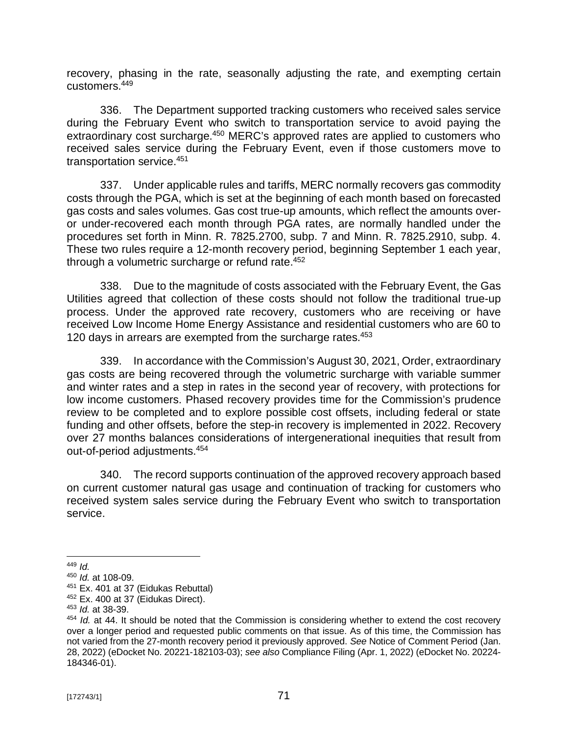recovery, phasing in the rate, seasonally adjusting the rate, and exempting certain customers.<sup>449</sup>

336. The Department supported tracking customers who received sales service during the February Event who switch to transportation service to avoid paying the extraordinary cost surcharge.<sup>450</sup> MERC's approved rates are applied to customers who received sales service during the February Event, even if those customers move to transportation service.<sup>451</sup>

337. Under applicable rules and tariffs, MERC normally recovers gas commodity costs through the PGA, which is set at the beginning of each month based on forecasted gas costs and sales volumes. Gas cost true-up amounts, which reflect the amounts overor under-recovered each month through PGA rates, are normally handled under the procedures set forth in Minn. R. 7825.2700, subp. 7 and Minn. R. 7825.2910, subp. 4. These two rules require a 12-month recovery period, beginning September 1 each year, through a volumetric surcharge or refund rate.<sup>452</sup>

338. Due to the magnitude of costs associated with the February Event, the Gas Utilities agreed that collection of these costs should not follow the traditional true-up process. Under the approved rate recovery, customers who are receiving or have received Low Income Home Energy Assistance and residential customers who are 60 to 120 days in arrears are exempted from the surcharge rates.<sup>453</sup>

339. In accordance with the Commission's August 30, 2021, Order, extraordinary gas costs are being recovered through the volumetric surcharge with variable summer and winter rates and a step in rates in the second year of recovery, with protections for low income customers. Phased recovery provides time for the Commission's prudence review to be completed and to explore possible cost offsets, including federal or state funding and other offsets, before the step-in recovery is implemented in 2022. Recovery over 27 months balances considerations of intergenerational inequities that result from out-of-period adjustments.<sup>454</sup>

340. The record supports continuation of the approved recovery approach based on current customer natural gas usage and continuation of tracking for customers who received system sales service during the February Event who switch to transportation service.

<sup>449</sup> *Id.*

<sup>450</sup> *Id.* at 108-09.

<sup>&</sup>lt;sup>451</sup> Ex. 401 at 37 (Eidukas Rebuttal)

 $452$  Ex. 400 at 37 (Eidukas Direct).

<sup>453</sup> *Id.* at 38-39.

<sup>454</sup> *Id.* at 44. It should be noted that the Commission is considering whether to extend the cost recovery over a longer period and requested public comments on that issue. As of this time, the Commission has not varied from the 27-month recovery period it previously approved. *See* Notice of Comment Period (Jan. 28, 2022) (eDocket No. 20221-182103-03); *see also* Compliance Filing (Apr. 1, 2022) (eDocket No. 20224- 184346-01).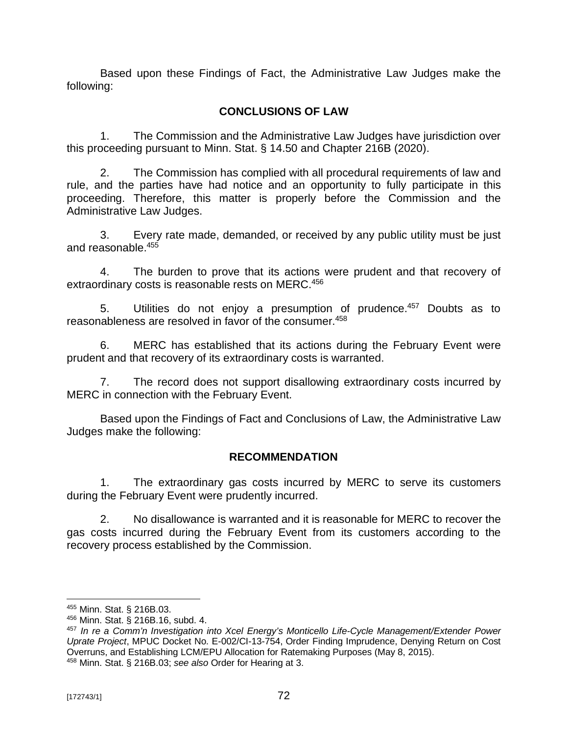Based upon these Findings of Fact, the Administrative Law Judges make the following:

# **CONCLUSIONS OF LAW**

1. The Commission and the Administrative Law Judges have jurisdiction over this proceeding pursuant to Minn. Stat. § 14.50 and Chapter 216B (2020).

2. The Commission has complied with all procedural requirements of law and rule, and the parties have had notice and an opportunity to fully participate in this proceeding. Therefore, this matter is properly before the Commission and the Administrative Law Judges.

3. Every rate made, demanded, or received by any public utility must be just and reasonable.<sup>455</sup>

4. The burden to prove that its actions were prudent and that recovery of extraordinary costs is reasonable rests on MERC.<sup>456</sup>

5. Utilities do not enjoy a presumption of prudence.<sup>457</sup> Doubts as to reasonableness are resolved in favor of the consumer.<sup>458</sup>

6. MERC has established that its actions during the February Event were prudent and that recovery of its extraordinary costs is warranted.

7. The record does not support disallowing extraordinary costs incurred by MERC in connection with the February Event.

Based upon the Findings of Fact and Conclusions of Law, the Administrative Law Judges make the following:

# **RECOMMENDATION**

1. The extraordinary gas costs incurred by MERC to serve its customers during the February Event were prudently incurred.

2. No disallowance is warranted and it is reasonable for MERC to recover the gas costs incurred during the February Event from its customers according to the recovery process established by the Commission.

<sup>455</sup> Minn. Stat. § 216B.03.

<sup>456</sup> Minn. Stat. § 216B.16, subd. 4.

<sup>457</sup> *In re a Comm'n Investigation into Xcel Energy's Monticello Life-Cycle Management/Extender Power Uprate Project*, MPUC Docket No. E-002/CI-13-754, Order Finding Imprudence, Denying Return on Cost Overruns, and Establishing LCM/EPU Allocation for Ratemaking Purposes (May 8, 2015).

<sup>458</sup> Minn. Stat. § 216B.03; *see also* Order for Hearing at 3.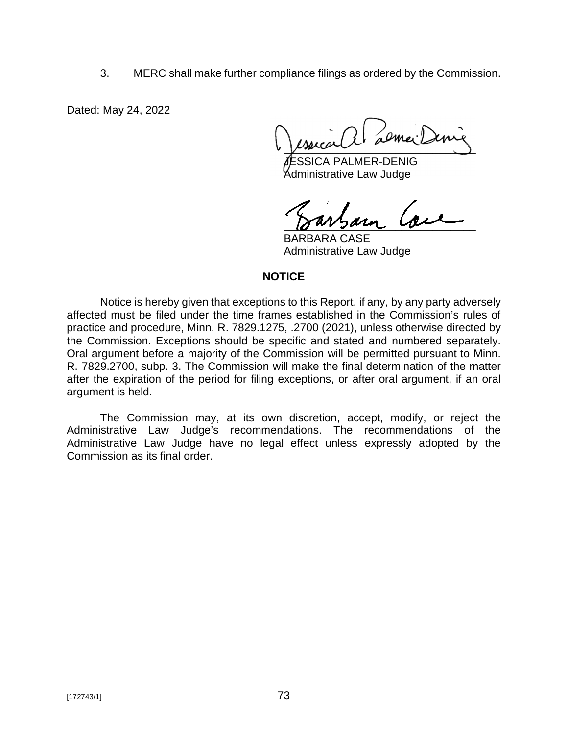3. MERC shall make further compliance filings as ordered by the Commission.

Dated: May 24, 2022

almei.  $\sqrt{2}$ 

SICA PALMER-DENIG Administrative Law Judge

 $18$  wrzann can

BARBARA CASE Administrative Law Judge

#### **NOTICE**

Notice is hereby given that exceptions to this Report, if any, by any party adversely affected must be filed under the time frames established in the Commission's rules of practice and procedure, Minn. R. 7829.1275, .2700 (2021), unless otherwise directed by the Commission. Exceptions should be specific and stated and numbered separately. Oral argument before a majority of the Commission will be permitted pursuant to Minn. R. 7829.2700, subp. 3. The Commission will make the final determination of the matter after the expiration of the period for filing exceptions, or after oral argument, if an oral argument is held.

The Commission may, at its own discretion, accept, modify, or reject the Administrative Law Judge's recommendations. The recommendations of the Administrative Law Judge have no legal effect unless expressly adopted by the Commission as its final order.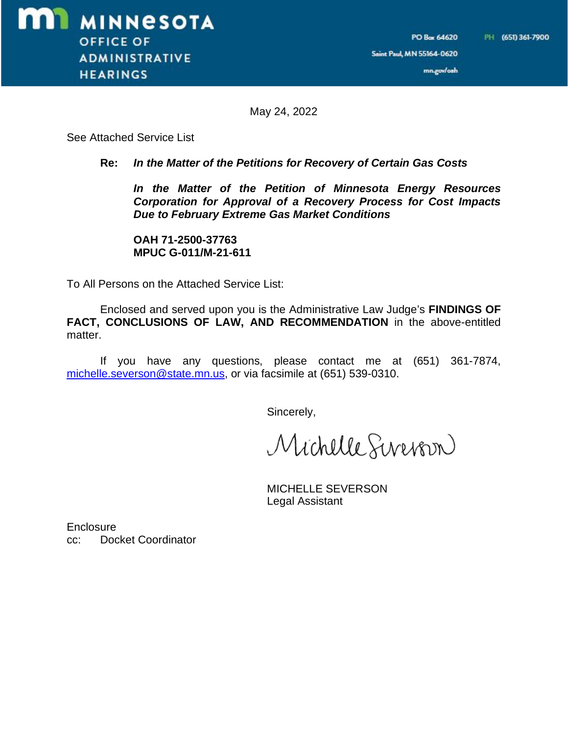mn.gov/oah

May 24, 2022

See Attached Service List

#### **Re:** *In the Matter of the Petitions for Recovery of Certain Gas Costs*

*In the Matter of the Petition of Minnesota Energy Resources Corporation for Approval of a Recovery Process for Cost Impacts Due to February Extreme Gas Market Conditions*

**OAH 71-2500-37763 MPUC G-011/M-21-611**

To All Persons on the Attached Service List:

Enclosed and served upon you is the Administrative Law Judge's **FINDINGS OF FACT, CONCLUSIONS OF LAW, AND RECOMMENDATION** in the above-entitled matter.

If you have any questions, please contact me at (651) 361-7874, [michelle.severson@state.mn.us,](mailto:michelle.severson@state.mn.us,) or via facsimile at (651) 539-0310.

Sincerely,

Michelle Sevenson

MICHELLE SEVERSON Legal Assistant

**Enclosure** cc: Docket Coordinator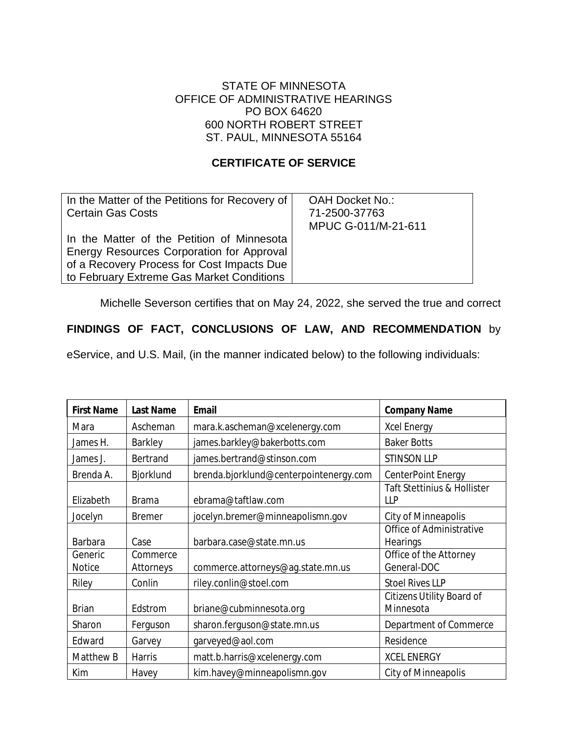#### STATE OF MINNESOTA OFFICE OF ADMINISTRATIVE HEARINGS PO BOX 64620 600 NORTH ROBERT STREET ST. PAUL, MINNESOTA 55164

## **CERTIFICATE OF SERVICE**

| In the Matter of the Petitions for Recovery of | OAH Docket No.:     |
|------------------------------------------------|---------------------|
| <b>Certain Gas Costs</b>                       | 71-2500-37763       |
|                                                | MPUC G-011/M-21-611 |
| In the Matter of the Petition of Minnesota     |                     |
| Energy Resources Corporation for Approval      |                     |
| of a Recovery Process for Cost Impacts Due     |                     |
| to February Extreme Gas Market Conditions      |                     |

Michelle Severson certifies that on May 24, 2022, she served the true and correct

## **FINDINGS OF FACT, CONCLUSIONS OF LAW, AND RECOMMENDATION** by

eService, and U.S. Mail, (in the manner indicated below) to the following individuals:

| <b>First Name</b> | <b>Last Name</b>      | <b>Email</b>                           | <b>Company Name</b>                           |
|-------------------|-----------------------|----------------------------------------|-----------------------------------------------|
| Mara              | Ascheman              | mara.k.ascheman@xcelenergy.com         | <b>Xcel Energy</b>                            |
| James H.          | Barkley               | james.barkley@bakerbotts.com           | <b>Baker Botts</b>                            |
| James J.          | Bertrand              | james.bertrand@stinson.com             | <b>STINSON LLP</b>                            |
| Brenda A.         | Bjorklund             | brenda.bjorklund@centerpointenergy.com | <b>CenterPoint Energy</b>                     |
| Elizabeth         | <b>Brama</b>          | ebrama@taftlaw.com                     | Taft Stettinius & Hollister<br>$\mathsf{HP}$  |
| Jocelyn           | <b>Bremer</b>         | jocelyn.bremer@minneapolismn.gov       | City of Minneapolis                           |
| <b>Barbara</b>    | Case                  | barbara.case@state.mn.us               | Office of Administrative<br><b>Hearings</b>   |
| Generic<br>Notice | Commerce<br>Attorneys | commerce.attorneys@ag.state.mn.us      | Office of the Attorney<br>General-DOC         |
| Riley             | Conlin                | riley.conlin@stoel.com                 | <b>Stoel Rives LLP</b>                        |
| <b>Brian</b>      | Edstrom               | briane@cubminnesota.org                | <b>Citizens Utility Board of</b><br>Minnesota |
| Sharon            | Ferguson              | sharon.ferguson@state.mn.us            | Department of Commerce                        |
| Edward            | Garvey                | garveyed@aol.com                       | Residence                                     |
| Matthew B         | <b>Harris</b>         | matt.b.harris@xcelenergy.com           | <b>XCEL ENERGY</b>                            |
| Kim               | Havey                 | kim.havey@minneapolismn.gov            | City of Minneapolis                           |